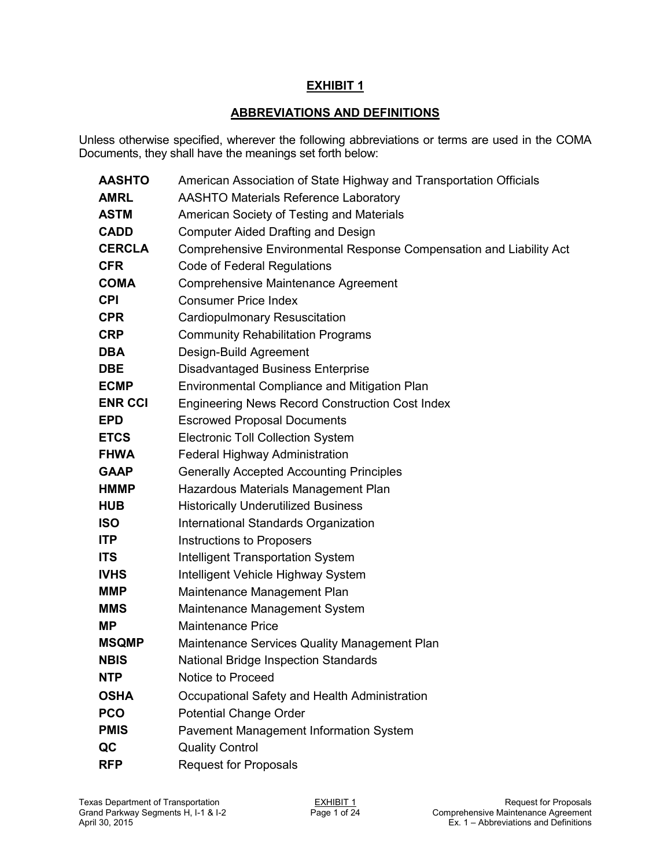# **ABBREVIATIONS AND DEFINITIONS**

Unless otherwise specified, wherever the following abbreviations or terms are used in the COMA Documents, they shall have the meanings set forth below:

| <b>AASHTO</b>  | American Association of State Highway and Transportation Officials  |
|----------------|---------------------------------------------------------------------|
| <b>AMRL</b>    | <b>AASHTO Materials Reference Laboratory</b>                        |
| <b>ASTM</b>    | American Society of Testing and Materials                           |
| <b>CADD</b>    | <b>Computer Aided Drafting and Design</b>                           |
| <b>CERCLA</b>  | Comprehensive Environmental Response Compensation and Liability Act |
| <b>CFR</b>     | Code of Federal Regulations                                         |
| <b>COMA</b>    | <b>Comprehensive Maintenance Agreement</b>                          |
| <b>CPI</b>     | <b>Consumer Price Index</b>                                         |
| <b>CPR</b>     | <b>Cardiopulmonary Resuscitation</b>                                |
| <b>CRP</b>     | <b>Community Rehabilitation Programs</b>                            |
| <b>DBA</b>     | Design-Build Agreement                                              |
| <b>DBE</b>     | <b>Disadvantaged Business Enterprise</b>                            |
| <b>ECMP</b>    | Environmental Compliance and Mitigation Plan                        |
| <b>ENR CCI</b> | <b>Engineering News Record Construction Cost Index</b>              |
| <b>EPD</b>     | <b>Escrowed Proposal Documents</b>                                  |
| <b>ETCS</b>    | <b>Electronic Toll Collection System</b>                            |
| <b>FHWA</b>    | Federal Highway Administration                                      |
| <b>GAAP</b>    | <b>Generally Accepted Accounting Principles</b>                     |
| <b>HMMP</b>    | Hazardous Materials Management Plan                                 |
| <b>HUB</b>     | <b>Historically Underutilized Business</b>                          |
| <b>ISO</b>     | International Standards Organization                                |
| <b>ITP</b>     | Instructions to Proposers                                           |
| <b>ITS</b>     | <b>Intelligent Transportation System</b>                            |
| <b>IVHS</b>    | Intelligent Vehicle Highway System                                  |
| <b>MMP</b>     | Maintenance Management Plan                                         |
| <b>MMS</b>     | Maintenance Management System                                       |
| <b>MP</b>      | <b>Maintenance Price</b>                                            |
| <b>MSQMP</b>   | Maintenance Services Quality Management Plan                        |
| <b>NBIS</b>    | National Bridge Inspection Standards                                |
| <b>NTP</b>     | Notice to Proceed                                                   |
| <b>OSHA</b>    | Occupational Safety and Health Administration                       |
| <b>PCO</b>     | <b>Potential Change Order</b>                                       |
| <b>PMIS</b>    | <b>Pavement Management Information System</b>                       |
| QC             | <b>Quality Control</b>                                              |
| <b>RFP</b>     | <b>Request for Proposals</b>                                        |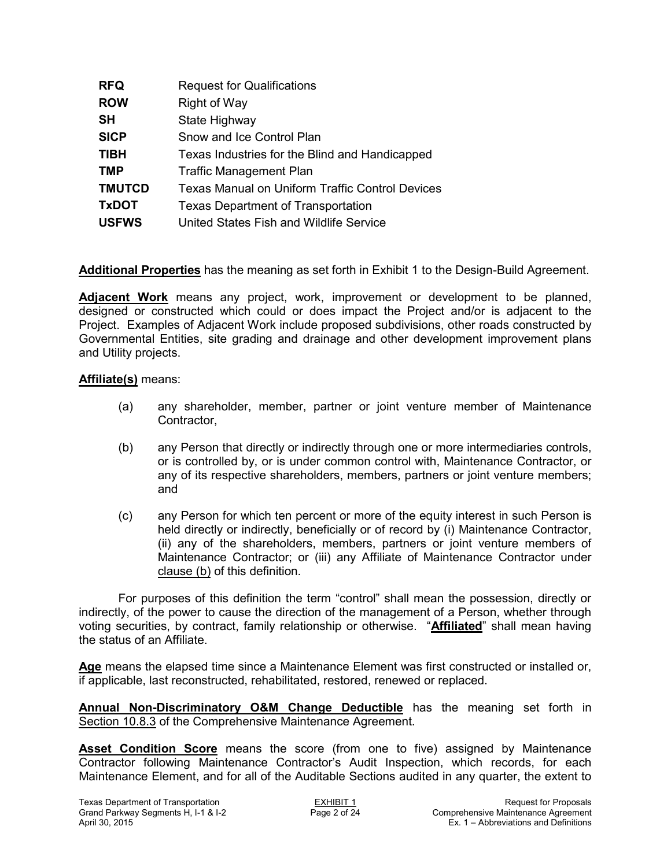| <b>RFQ</b>    | <b>Request for Qualifications</b>                      |
|---------------|--------------------------------------------------------|
| <b>ROW</b>    | <b>Right of Way</b>                                    |
| <b>SH</b>     | State Highway                                          |
| <b>SICP</b>   | Snow and Ice Control Plan                              |
| <b>TIBH</b>   | Texas Industries for the Blind and Handicapped         |
| <b>TMP</b>    | <b>Traffic Management Plan</b>                         |
| <b>TMUTCD</b> | <b>Texas Manual on Uniform Traffic Control Devices</b> |
| <b>TxDOT</b>  | <b>Texas Department of Transportation</b>              |
| <b>USFWS</b>  | United States Fish and Wildlife Service                |

**Additional Properties** has the meaning as set forth in Exhibit 1 to the Design-Build Agreement.

**Adjacent Work** means any project, work, improvement or development to be planned, designed or constructed which could or does impact the Project and/or is adjacent to the Project. Examples of Adjacent Work include proposed subdivisions, other roads constructed by Governmental Entities, site grading and drainage and other development improvement plans and Utility projects.

#### **Affiliate(s)** means:

- (a) any shareholder, member, partner or joint venture member of Maintenance Contractor,
- (b) any Person that directly or indirectly through one or more intermediaries controls, or is controlled by, or is under common control with, Maintenance Contractor, or any of its respective shareholders, members, partners or joint venture members; and
- (c) any Person for which ten percent or more of the equity interest in such Person is held directly or indirectly, beneficially or of record by (i) Maintenance Contractor, (ii) any of the shareholders, members, partners or joint venture members of Maintenance Contractor; or (iii) any Affiliate of Maintenance Contractor under clause (b) of this definition.

For purposes of this definition the term "control" shall mean the possession, directly or indirectly, of the power to cause the direction of the management of a Person, whether through voting securities, by contract, family relationship or otherwise. "**Affiliated**" shall mean having the status of an Affiliate.

**Age** means the elapsed time since a Maintenance Element was first constructed or installed or, if applicable, last reconstructed, rehabilitated, restored, renewed or replaced.

**Annual Non-Discriminatory O&M Change Deductible** has the meaning set forth in Section 10.8.3 of the Comprehensive Maintenance Agreement.

**Asset Condition Score** means the score (from one to five) assigned by Maintenance Contractor following Maintenance Contractor's Audit Inspection, which records, for each Maintenance Element, and for all of the Auditable Sections audited in any quarter, the extent to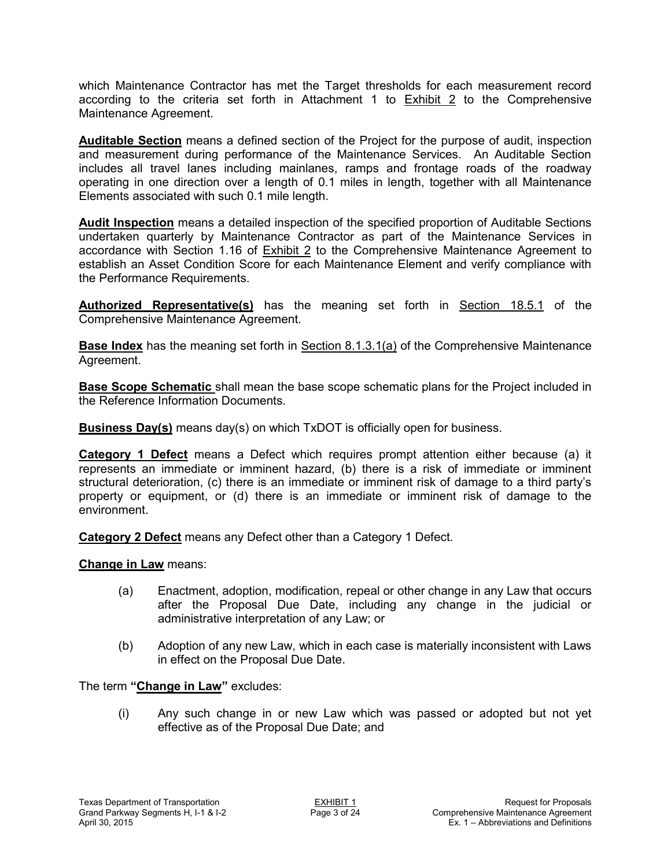which Maintenance Contractor has met the Target thresholds for each measurement record according to the criteria set forth in Attachment 1 to **Exhibit 2** to the Comprehensive Maintenance Agreement.

**Auditable Section** means a defined section of the Project for the purpose of audit, inspection and measurement during performance of the Maintenance Services. An Auditable Section includes all travel lanes including mainlanes, ramps and frontage roads of the roadway operating in one direction over a length of 0.1 miles in length, together with all Maintenance Elements associated with such 0.1 mile length.

**Audit Inspection** means a detailed inspection of the specified proportion of Auditable Sections undertaken quarterly by Maintenance Contractor as part of the Maintenance Services in accordance with Section 1.16 of Exhibit 2 to the Comprehensive Maintenance Agreement to establish an Asset Condition Score for each Maintenance Element and verify compliance with the Performance Requirements.

Authorized Representative(s) has the meaning set forth in **Section 18.5.1** of the Comprehensive Maintenance Agreement.

**Base Index** has the meaning set forth in Section 8.1.3.1(a) of the Comprehensive Maintenance Agreement.

**Base Scope Schematic** shall mean the base scope schematic plans for the Project included in the Reference Information Documents.

**Business Day(s)** means day(s) on which TxDOT is officially open for business.

**Category 1 Defect** means a Defect which requires prompt attention either because (a) it represents an immediate or imminent hazard, (b) there is a risk of immediate or imminent structural deterioration, (c) there is an immediate or imminent risk of damage to a third party's property or equipment, or (d) there is an immediate or imminent risk of damage to the environment.

**Category 2 Defect** means any Defect other than a Category 1 Defect.

**Change in Law** means:

- (a) Enactment, adoption, modification, repeal or other change in any Law that occurs after the Proposal Due Date, including any change in the judicial or administrative interpretation of any Law; or
- (b) Adoption of any new Law, which in each case is materially inconsistent with Laws in effect on the Proposal Due Date.

The term **"Change in Law"** excludes:

(i) Any such change in or new Law which was passed or adopted but not yet effective as of the Proposal Due Date; and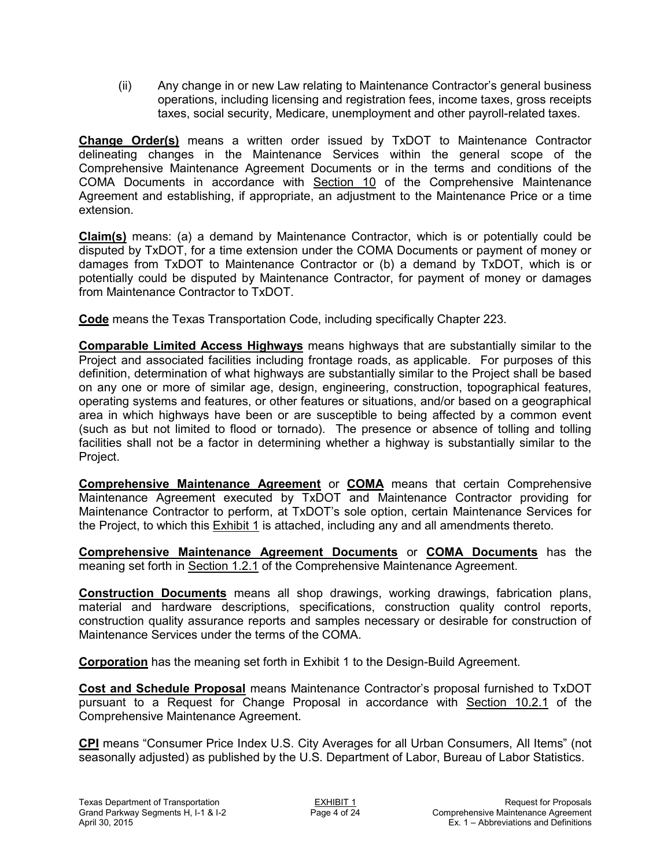(ii) Any change in or new Law relating to Maintenance Contractor's general business operations, including licensing and registration fees, income taxes, gross receipts taxes, social security, Medicare, unemployment and other payroll-related taxes.

**Change Order(s)** means a written order issued by TxDOT to Maintenance Contractor delineating changes in the Maintenance Services within the general scope of the Comprehensive Maintenance Agreement Documents or in the terms and conditions of the COMA Documents in accordance with Section 10 of the Comprehensive Maintenance Agreement and establishing, if appropriate, an adjustment to the Maintenance Price or a time extension.

**Claim(s)** means: (a) a demand by Maintenance Contractor, which is or potentially could be disputed by TxDOT, for a time extension under the COMA Documents or payment of money or damages from TxDOT to Maintenance Contractor or (b) a demand by TxDOT, which is or potentially could be disputed by Maintenance Contractor, for payment of money or damages from Maintenance Contractor to TxDOT.

**Code** means the Texas Transportation Code, including specifically Chapter 223.

**Comparable Limited Access Highways** means highways that are substantially similar to the Project and associated facilities including frontage roads, as applicable. For purposes of this definition, determination of what highways are substantially similar to the Project shall be based on any one or more of similar age, design, engineering, construction, topographical features, operating systems and features, or other features or situations, and/or based on a geographical area in which highways have been or are susceptible to being affected by a common event (such as but not limited to flood or tornado). The presence or absence of tolling and tolling facilities shall not be a factor in determining whether a highway is substantially similar to the Project.

**Comprehensive Maintenance Agreement** or **COMA** means that certain Comprehensive Maintenance Agreement executed by TxDOT and Maintenance Contractor providing for Maintenance Contractor to perform, at TxDOT's sole option, certain Maintenance Services for the Project, to which this Exhibit 1 is attached, including any and all amendments thereto.

**Comprehensive Maintenance Agreement Documents** or **COMA Documents** has the meaning set forth in Section 1.2.1 of the Comprehensive Maintenance Agreement.

**Construction Documents** means all shop drawings, working drawings, fabrication plans, material and hardware descriptions, specifications, construction quality control reports, construction quality assurance reports and samples necessary or desirable for construction of Maintenance Services under the terms of the COMA.

**Corporation** has the meaning set forth in Exhibit 1 to the Design-Build Agreement.

**Cost and Schedule Proposal** means Maintenance Contractor's proposal furnished to TxDOT pursuant to a Request for Change Proposal in accordance with Section 10.2.1 of the Comprehensive Maintenance Agreement.

**CPI** means "Consumer Price Index U.S. City Averages for all Urban Consumers, All Items" (not seasonally adjusted) as published by the U.S. Department of Labor, Bureau of Labor Statistics.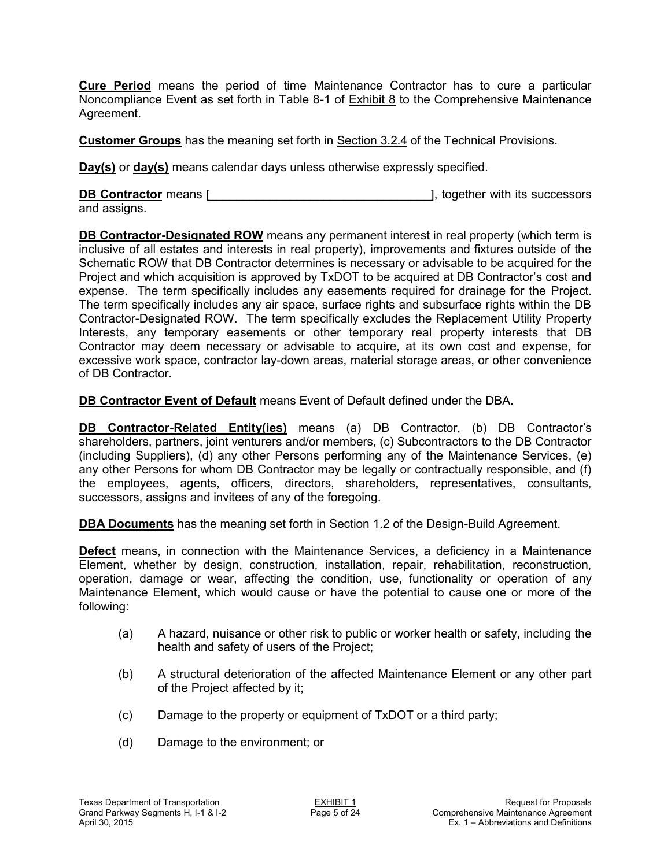**Cure Period** means the period of time Maintenance Contractor has to cure a particular Noncompliance Event as set forth in Table 8-1 of Exhibit 8 to the Comprehensive Maintenance Agreement.

**Customer Groups** has the meaning set forth in Section 3.2.4 of the Technical Provisions.

**Day(s)** or **day(s)** means calendar days unless otherwise expressly specified.

**DB Contractor** means [2000] and  $\overline{a}$  [2000], together with its successors and assigns.

**DB Contractor-Designated ROW** means any permanent interest in real property (which term is inclusive of all estates and interests in real property), improvements and fixtures outside of the Schematic ROW that DB Contractor determines is necessary or advisable to be acquired for the Project and which acquisition is approved by TxDOT to be acquired at DB Contractor's cost and expense. The term specifically includes any easements required for drainage for the Project. The term specifically includes any air space, surface rights and subsurface rights within the DB Contractor-Designated ROW. The term specifically excludes the Replacement Utility Property Interests, any temporary easements or other temporary real property interests that DB Contractor may deem necessary or advisable to acquire, at its own cost and expense, for excessive work space, contractor lay-down areas, material storage areas, or other convenience of DB Contractor.

**DB Contractor Event of Default** means Event of Default defined under the DBA.

**DB Contractor-Related Entity(ies)** means (a) DB Contractor, (b) DB Contractor's shareholders, partners, joint venturers and/or members, (c) Subcontractors to the DB Contractor (including Suppliers), (d) any other Persons performing any of the Maintenance Services, (e) any other Persons for whom DB Contractor may be legally or contractually responsible, and (f) the employees, agents, officers, directors, shareholders, representatives, consultants, successors, assigns and invitees of any of the foregoing.

**DBA Documents** has the meaning set forth in Section 1.2 of the Design-Build Agreement.

**Defect** means, in connection with the Maintenance Services, a deficiency in a Maintenance Element, whether by design, construction, installation, repair, rehabilitation, reconstruction, operation, damage or wear, affecting the condition, use, functionality or operation of any Maintenance Element, which would cause or have the potential to cause one or more of the following:

- (a) A hazard, nuisance or other risk to public or worker health or safety, including the health and safety of users of the Project;
- (b) A structural deterioration of the affected Maintenance Element or any other part of the Project affected by it;
- (c) Damage to the property or equipment of TxDOT or a third party;
- (d) Damage to the environment; or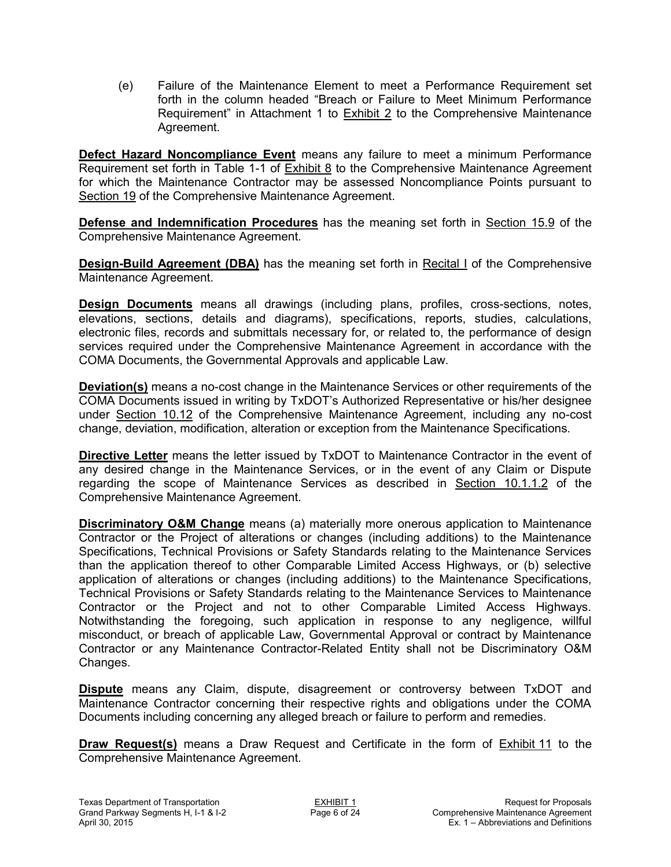(e) Failure of the Maintenance Element to meet a Performance Requirement set forth in the column headed "Breach or Failure to Meet Minimum Performance Requirement" in Attachment 1 to Exhibit 2 to the Comprehensive Maintenance Agreement.

**Defect Hazard Noncompliance Event** means any failure to meet a minimum Performance Requirement set forth in Table 1-1 of **Exhibit 8** to the Comprehensive Maintenance Agreement for which the Maintenance Contractor may be assessed Noncompliance Points pursuant to Section 19 of the Comprehensive Maintenance Agreement.

**Defense and Indemnification Procedures** has the meaning set forth in Section 15.9 of the Comprehensive Maintenance Agreement.

**Design-Build Agreement (DBA)** has the meaning set forth in Recital I of the Comprehensive Maintenance Agreement.

**Design Documents** means all drawings (including plans, profiles, cross-sections, notes, elevations, sections, details and diagrams), specifications, reports, studies, calculations, electronic files, records and submittals necessary for, or related to, the performance of design services required under the Comprehensive Maintenance Agreement in accordance with the COMA Documents, the Governmental Approvals and applicable Law.

**Deviation(s)** means a no-cost change in the Maintenance Services or other requirements of the COMA Documents issued in writing by TxDOT's Authorized Representative or his/her designee under Section 10.12 of the Comprehensive Maintenance Agreement, including any no-cost change, deviation, modification, alteration or exception from the Maintenance Specifications.

**Directive Letter** means the letter issued by TxDOT to Maintenance Contractor in the event of any desired change in the Maintenance Services, or in the event of any Claim or Dispute regarding the scope of Maintenance Services as described in Section 10.1.1.2 of the Comprehensive Maintenance Agreement.

**Discriminatory O&M Change** means (a) materially more onerous application to Maintenance Contractor or the Project of alterations or changes (including additions) to the Maintenance Specifications, Technical Provisions or Safety Standards relating to the Maintenance Services than the application thereof to other Comparable Limited Access Highways, or (b) selective application of alterations or changes (including additions) to the Maintenance Specifications, Technical Provisions or Safety Standards relating to the Maintenance Services to Maintenance Contractor or the Project and not to other Comparable Limited Access Highways. Notwithstanding the foregoing, such application in response to any negligence, willful misconduct, or breach of applicable Law, Governmental Approval or contract by Maintenance Contractor or any Maintenance Contractor-Related Entity shall not be Discriminatory O&M Changes.

**Dispute** means any Claim, dispute, disagreement or controversy between TxDOT and Maintenance Contractor concerning their respective rights and obligations under the COMA Documents including concerning any alleged breach or failure to perform and remedies.

**Draw Request(s)** means a Draw Request and Certificate in the form of Exhibit 11 to the Comprehensive Maintenance Agreement.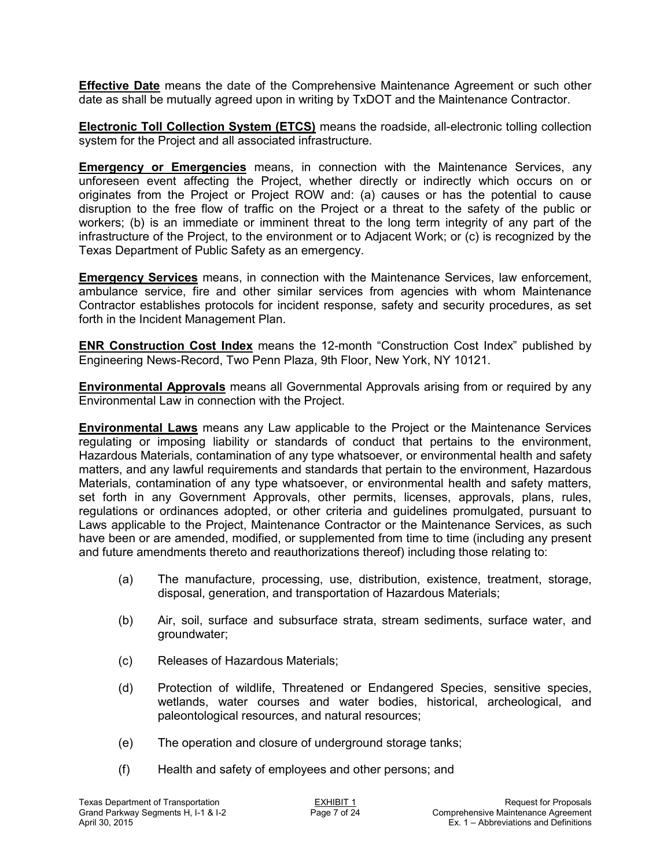**Effective Date** means the date of the Comprehensive Maintenance Agreement or such other date as shall be mutually agreed upon in writing by TxDOT and the Maintenance Contractor.

**Electronic Toll Collection System (ETCS)** means the roadside, all-electronic tolling collection system for the Project and all associated infrastructure.

**Emergency or Emergencies** means, in connection with the Maintenance Services, any unforeseen event affecting the Project, whether directly or indirectly which occurs on or originates from the Project or Project ROW and: (a) causes or has the potential to cause disruption to the free flow of traffic on the Project or a threat to the safety of the public or workers; (b) is an immediate or imminent threat to the long term integrity of any part of the infrastructure of the Project, to the environment or to Adjacent Work; or (c) is recognized by the Texas Department of Public Safety as an emergency.

**Emergency Services** means, in connection with the Maintenance Services, law enforcement, ambulance service, fire and other similar services from agencies with whom Maintenance Contractor establishes protocols for incident response, safety and security procedures, as set forth in the Incident Management Plan.

**ENR Construction Cost Index** means the 12-month "Construction Cost Index" published by Engineering News-Record, Two Penn Plaza, 9th Floor, New York, NY 10121.

**Environmental Approvals** means all Governmental Approvals arising from or required by any Environmental Law in connection with the Project.

**Environmental Laws** means any Law applicable to the Project or the Maintenance Services regulating or imposing liability or standards of conduct that pertains to the environment, Hazardous Materials, contamination of any type whatsoever, or environmental health and safety matters, and any lawful requirements and standards that pertain to the environment, Hazardous Materials, contamination of any type whatsoever, or environmental health and safety matters, set forth in any Government Approvals, other permits, licenses, approvals, plans, rules, regulations or ordinances adopted, or other criteria and guidelines promulgated, pursuant to Laws applicable to the Project, Maintenance Contractor or the Maintenance Services, as such have been or are amended, modified, or supplemented from time to time (including any present and future amendments thereto and reauthorizations thereof) including those relating to:

- (a) The manufacture, processing, use, distribution, existence, treatment, storage, disposal, generation, and transportation of Hazardous Materials;
- (b) Air, soil, surface and subsurface strata, stream sediments, surface water, and groundwater;
- (c) Releases of Hazardous Materials;
- (d) Protection of wildlife, Threatened or Endangered Species, sensitive species, wetlands, water courses and water bodies, historical, archeological, and paleontological resources, and natural resources;
- (e) The operation and closure of underground storage tanks;
- (f) Health and safety of employees and other persons; and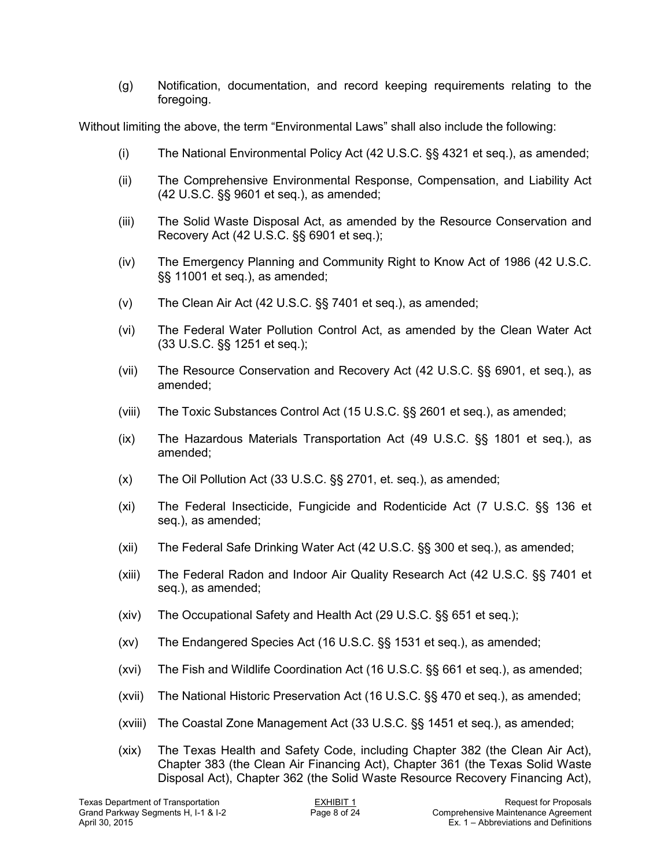(g) Notification, documentation, and record keeping requirements relating to the foregoing.

Without limiting the above, the term "Environmental Laws" shall also include the following:

- (i) The National Environmental Policy Act (42 U.S.C. §§ 4321 et seq.), as amended;
- (ii) The Comprehensive Environmental Response, Compensation, and Liability Act (42 U.S.C. §§ 9601 et seq.), as amended;
- (iii) The Solid Waste Disposal Act, as amended by the Resource Conservation and Recovery Act (42 U.S.C. §§ 6901 et seq.);
- (iv) The Emergency Planning and Community Right to Know Act of 1986 (42 U.S.C. §§ 11001 et seq.), as amended;
- (v) The Clean Air Act (42 U.S.C. §§ 7401 et seq.), as amended;
- (vi) The Federal Water Pollution Control Act, as amended by the Clean Water Act (33 U.S.C. §§ 1251 et seq.);
- (vii) The Resource Conservation and Recovery Act (42 U.S.C. §§ 6901, et seq.), as amended;
- (viii) The Toxic Substances Control Act (15 U.S.C. §§ 2601 et seq.), as amended;
- (ix) The Hazardous Materials Transportation Act (49 U.S.C. §§ 1801 et seq.), as amended;
- (x) The Oil Pollution Act (33 U.S.C. §§ 2701, et. seq.), as amended;
- (xi) The Federal Insecticide, Fungicide and Rodenticide Act (7 U.S.C. §§ 136 et seq.), as amended;
- (xii) The Federal Safe Drinking Water Act (42 U.S.C. §§ 300 et seq.), as amended;
- (xiii) The Federal Radon and Indoor Air Quality Research Act (42 U.S.C. §§ 7401 et seq.), as amended;
- (xiv) The Occupational Safety and Health Act (29 U.S.C. §§ 651 et seq.);
- (xv) The Endangered Species Act (16 U.S.C. §§ 1531 et seq.), as amended;
- (xvi) The Fish and Wildlife Coordination Act (16 U.S.C. §§ 661 et seq.), as amended;
- (xvii) The National Historic Preservation Act (16 U.S.C. §§ 470 et seq.), as amended;
- (xviii) The Coastal Zone Management Act (33 U.S.C. §§ 1451 et seq.), as amended;
- (xix) The Texas Health and Safety Code, including Chapter 382 (the Clean Air Act), Chapter 383 (the Clean Air Financing Act), Chapter 361 (the Texas Solid Waste Disposal Act), Chapter 362 (the Solid Waste Resource Recovery Financing Act),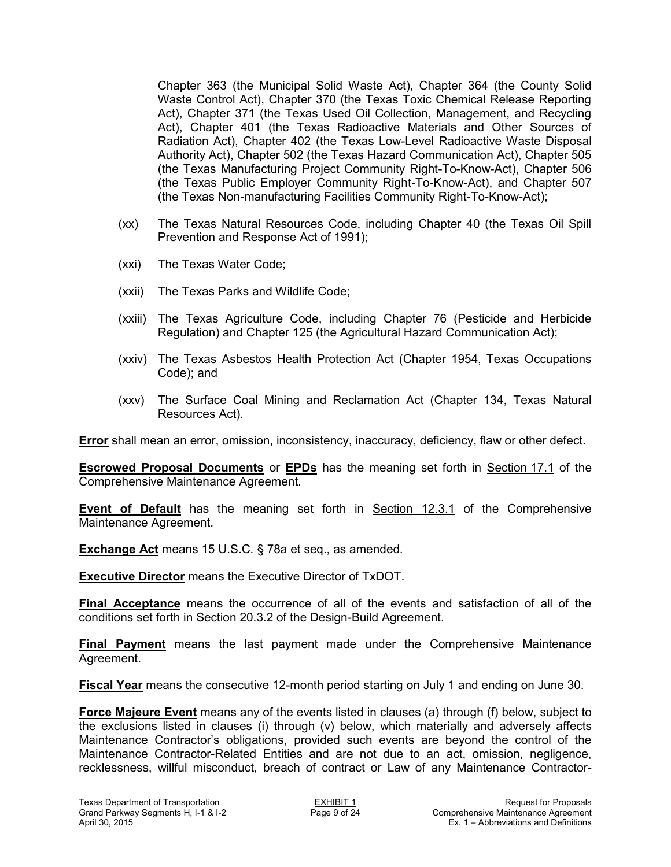Chapter 363 (the Municipal Solid Waste Act), Chapter 364 (the County Solid Waste Control Act), Chapter 370 (the Texas Toxic Chemical Release Reporting Act), Chapter 371 (the Texas Used Oil Collection, Management, and Recycling Act), Chapter 401 (the Texas Radioactive Materials and Other Sources of Radiation Act), Chapter 402 (the Texas Low-Level Radioactive Waste Disposal Authority Act), Chapter 502 (the Texas Hazard Communication Act), Chapter 505 (the Texas Manufacturing Project Community Right-To-Know-Act), Chapter 506 (the Texas Public Employer Community Right-To-Know-Act), and Chapter 507 (the Texas Non-manufacturing Facilities Community Right-To-Know-Act);

- (xx) The Texas Natural Resources Code, including Chapter 40 (the Texas Oil Spill Prevention and Response Act of 1991);
- (xxi) The Texas Water Code;
- (xxii) The Texas Parks and Wildlife Code;
- (xxiii) The Texas Agriculture Code, including Chapter 76 (Pesticide and Herbicide Regulation) and Chapter 125 (the Agricultural Hazard Communication Act);
- (xxiv) The Texas Asbestos Health Protection Act (Chapter 1954, Texas Occupations Code); and
- (xxv) The Surface Coal Mining and Reclamation Act (Chapter 134, Texas Natural Resources Act).

**Error** shall mean an error, omission, inconsistency, inaccuracy, deficiency, flaw or other defect.

**Escrowed Proposal Documents** or **EPDs** has the meaning set forth in Section 17.1 of the Comprehensive Maintenance Agreement.

**Event of Default** has the meaning set forth in Section 12.3.1 of the Comprehensive Maintenance Agreement.

**Exchange Act** means 15 U.S.C. § 78a et seq., as amended.

**Executive Director** means the Executive Director of TxDOT.

**Final Acceptance** means the occurrence of all of the events and satisfaction of all of the conditions set forth in Section 20.3.2 of the Design-Build Agreement.

**Final Payment** means the last payment made under the Comprehensive Maintenance Agreement.

**Fiscal Year** means the consecutive 12-month period starting on July 1 and ending on June 30.

Force Majeure Event means any of the events listed in clauses (a) through (f) below, subject to the exclusions listed in clauses (i) through (v) below, which materially and adversely affects Maintenance Contractor's obligations, provided such events are beyond the control of the Maintenance Contractor-Related Entities and are not due to an act, omission, negligence, recklessness, willful misconduct, breach of contract or Law of any Maintenance Contractor-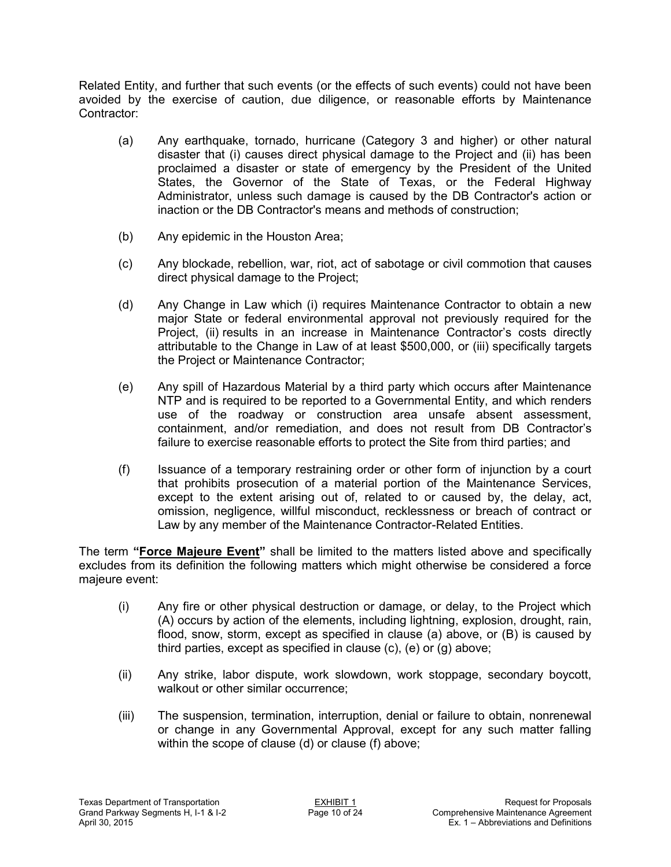Related Entity, and further that such events (or the effects of such events) could not have been avoided by the exercise of caution, due diligence, or reasonable efforts by Maintenance Contractor:

- (a) Any earthquake, tornado, hurricane (Category 3 and higher) or other natural disaster that (i) causes direct physical damage to the Project and (ii) has been proclaimed a disaster or state of emergency by the President of the United States, the Governor of the State of Texas, or the Federal Highway Administrator, unless such damage is caused by the DB Contractor's action or inaction or the DB Contractor's means and methods of construction;
- (b) Any epidemic in the Houston Area;
- (c) Any blockade, rebellion, war, riot, act of sabotage or civil commotion that causes direct physical damage to the Project;
- (d) Any Change in Law which (i) requires Maintenance Contractor to obtain a new major State or federal environmental approval not previously required for the Project, (ii) results in an increase in Maintenance Contractor's costs directly attributable to the Change in Law of at least \$500,000, or (iii) specifically targets the Project or Maintenance Contractor;
- (e) Any spill of Hazardous Material by a third party which occurs after Maintenance NTP and is required to be reported to a Governmental Entity, and which renders use of the roadway or construction area unsafe absent assessment, containment, and/or remediation, and does not result from DB Contractor's failure to exercise reasonable efforts to protect the Site from third parties; and
- (f) Issuance of a temporary restraining order or other form of injunction by a court that prohibits prosecution of a material portion of the Maintenance Services, except to the extent arising out of, related to or caused by, the delay, act, omission, negligence, willful misconduct, recklessness or breach of contract or Law by any member of the Maintenance Contractor-Related Entities.

The term **"Force Majeure Event"** shall be limited to the matters listed above and specifically excludes from its definition the following matters which might otherwise be considered a force majeure event:

- (i) Any fire or other physical destruction or damage, or delay, to the Project which (A) occurs by action of the elements, including lightning, explosion, drought, rain, flood, snow, storm, except as specified in clause (a) above, or (B) is caused by third parties, except as specified in clause (c), (e) or (g) above;
- (ii) Any strike, labor dispute, work slowdown, work stoppage, secondary boycott, walkout or other similar occurrence;
- (iii) The suspension, termination, interruption, denial or failure to obtain, nonrenewal or change in any Governmental Approval, except for any such matter falling within the scope of clause (d) or clause (f) above;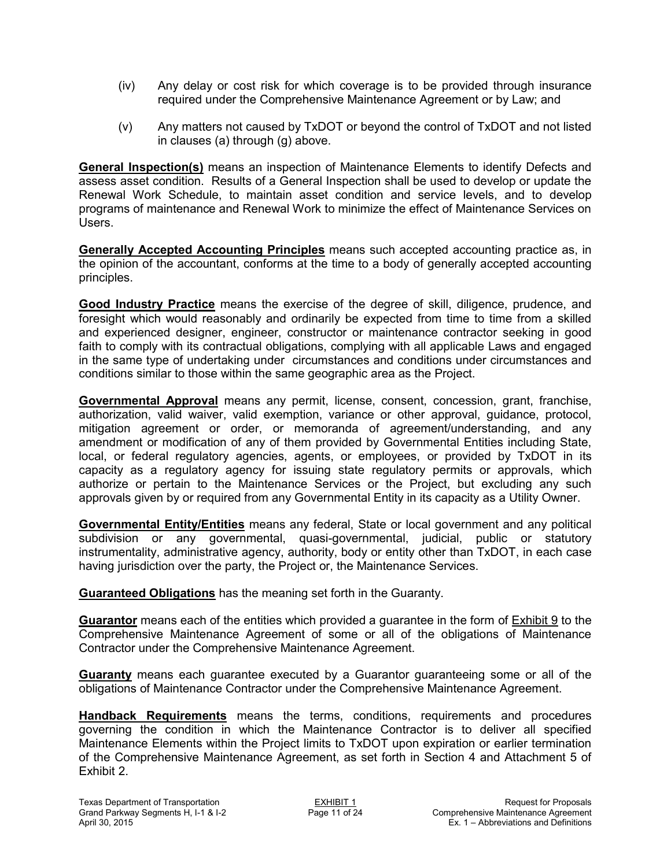- (iv) Any delay or cost risk for which coverage is to be provided through insurance required under the Comprehensive Maintenance Agreement or by Law; and
- (v) Any matters not caused by TxDOT or beyond the control of TxDOT and not listed in clauses (a) through (g) above.

**General Inspection(s)** means an inspection of Maintenance Elements to identify Defects and assess asset condition. Results of a General Inspection shall be used to develop or update the Renewal Work Schedule, to maintain asset condition and service levels, and to develop programs of maintenance and Renewal Work to minimize the effect of Maintenance Services on Users.

**Generally Accepted Accounting Principles** means such accepted accounting practice as, in the opinion of the accountant, conforms at the time to a body of generally accepted accounting principles.

**Good Industry Practice** means the exercise of the degree of skill, diligence, prudence, and foresight which would reasonably and ordinarily be expected from time to time from a skilled and experienced designer, engineer, constructor or maintenance contractor seeking in good faith to comply with its contractual obligations, complying with all applicable Laws and engaged in the same type of undertaking under circumstances and conditions under circumstances and conditions similar to those within the same geographic area as the Project.

**Governmental Approval** means any permit, license, consent, concession, grant, franchise, authorization, valid waiver, valid exemption, variance or other approval, guidance, protocol, mitigation agreement or order, or memoranda of agreement/understanding, and any amendment or modification of any of them provided by Governmental Entities including State, local, or federal regulatory agencies, agents, or employees, or provided by TxDOT in its capacity as a regulatory agency for issuing state regulatory permits or approvals, which authorize or pertain to the Maintenance Services or the Project, but excluding any such approvals given by or required from any Governmental Entity in its capacity as a Utility Owner.

**Governmental Entity/Entities** means any federal, State or local government and any political subdivision or any governmental, quasi-governmental, judicial, public or statutory instrumentality, administrative agency, authority, body or entity other than TxDOT, in each case having jurisdiction over the party, the Project or, the Maintenance Services.

**Guaranteed Obligations** has the meaning set forth in the Guaranty.

**Guarantor** means each of the entities which provided a guarantee in the form of Exhibit 9 to the Comprehensive Maintenance Agreement of some or all of the obligations of Maintenance Contractor under the Comprehensive Maintenance Agreement.

**Guaranty** means each guarantee executed by a Guarantor guaranteeing some or all of the obligations of Maintenance Contractor under the Comprehensive Maintenance Agreement.

**Handback Requirements** means the terms, conditions, requirements and procedures governing the condition in which the Maintenance Contractor is to deliver all specified Maintenance Elements within the Project limits to TxDOT upon expiration or earlier termination of the Comprehensive Maintenance Agreement, as set forth in Section 4 and Attachment 5 of Exhibit 2.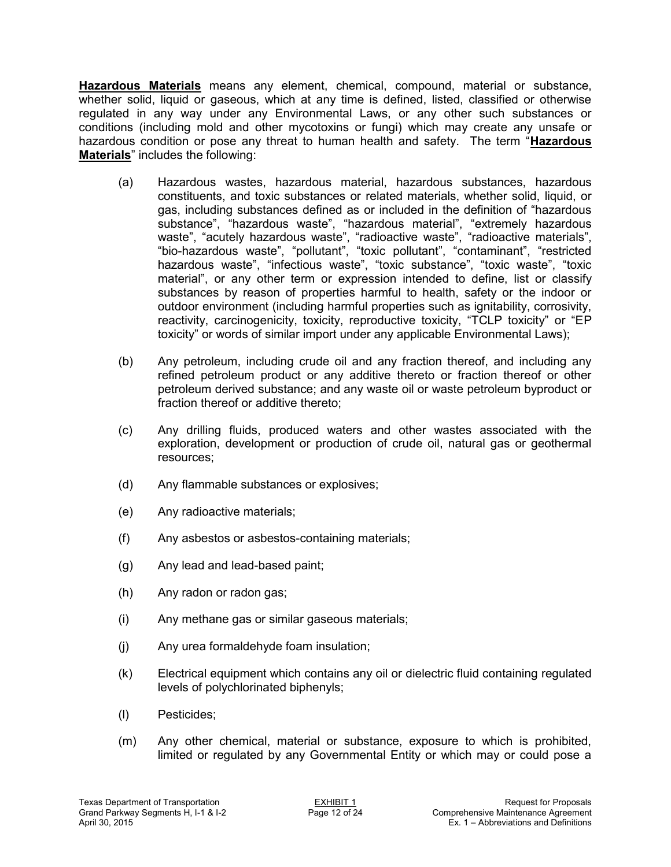**Hazardous Materials** means any element, chemical, compound, material or substance, whether solid, liquid or gaseous, which at any time is defined, listed, classified or otherwise regulated in any way under any Environmental Laws, or any other such substances or conditions (including mold and other mycotoxins or fungi) which may create any unsafe or hazardous condition or pose any threat to human health and safety. The term "**Hazardous Materials**" includes the following:

- (a) Hazardous wastes, hazardous material, hazardous substances, hazardous constituents, and toxic substances or related materials, whether solid, liquid, or gas, including substances defined as or included in the definition of "hazardous substance", "hazardous waste", "hazardous material", "extremely hazardous waste", "acutely hazardous waste", "radioactive waste", "radioactive materials", "bio-hazardous waste", "pollutant", "toxic pollutant", "contaminant", "restricted hazardous waste", "infectious waste", "toxic substance", "toxic waste", "toxic material", or any other term or expression intended to define, list or classify substances by reason of properties harmful to health, safety or the indoor or outdoor environment (including harmful properties such as ignitability, corrosivity, reactivity, carcinogenicity, toxicity, reproductive toxicity, "TCLP toxicity" or "EP toxicity" or words of similar import under any applicable Environmental Laws);
- (b) Any petroleum, including crude oil and any fraction thereof, and including any refined petroleum product or any additive thereto or fraction thereof or other petroleum derived substance; and any waste oil or waste petroleum byproduct or fraction thereof or additive thereto;
- (c) Any drilling fluids, produced waters and other wastes associated with the exploration, development or production of crude oil, natural gas or geothermal resources;
- (d) Any flammable substances or explosives;
- (e) Any radioactive materials;
- (f) Any asbestos or asbestos-containing materials;
- (g) Any lead and lead-based paint;
- (h) Any radon or radon gas;
- (i) Any methane gas or similar gaseous materials;
- (j) Any urea formaldehyde foam insulation;
- (k) Electrical equipment which contains any oil or dielectric fluid containing regulated levels of polychlorinated biphenyls;
- (l) Pesticides;
- (m) Any other chemical, material or substance, exposure to which is prohibited, limited or regulated by any Governmental Entity or which may or could pose a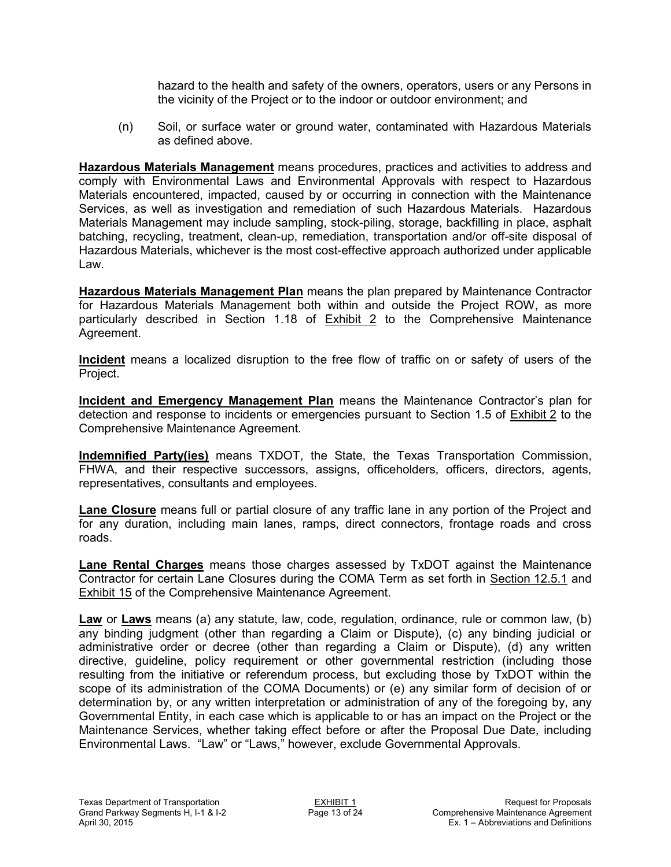hazard to the health and safety of the owners, operators, users or any Persons in the vicinity of the Project or to the indoor or outdoor environment; and

(n) Soil, or surface water or ground water, contaminated with Hazardous Materials as defined above.

**Hazardous Materials Management** means procedures, practices and activities to address and comply with Environmental Laws and Environmental Approvals with respect to Hazardous Materials encountered, impacted, caused by or occurring in connection with the Maintenance Services, as well as investigation and remediation of such Hazardous Materials. Hazardous Materials Management may include sampling, stock-piling, storage, backfilling in place, asphalt batching, recycling, treatment, clean-up, remediation, transportation and/or off-site disposal of Hazardous Materials, whichever is the most cost-effective approach authorized under applicable Law.

**Hazardous Materials Management Plan** means the plan prepared by Maintenance Contractor for Hazardous Materials Management both within and outside the Project ROW, as more particularly described in Section 1.18 of **Exhibit 2** to the Comprehensive Maintenance Agreement.

**Incident** means a localized disruption to the free flow of traffic on or safety of users of the Project.

**Incident and Emergency Management Plan** means the Maintenance Contractor's plan for detection and response to incidents or emergencies pursuant to Section 1.5 of Exhibit 2 to the Comprehensive Maintenance Agreement.

**Indemnified Party(ies)** means TXDOT, the State, the Texas Transportation Commission, FHWA, and their respective successors, assigns, officeholders, officers, directors, agents, representatives, consultants and employees.

**Lane Closure** means full or partial closure of any traffic lane in any portion of the Project and for any duration, including main lanes, ramps, direct connectors, frontage roads and cross roads.

**Lane Rental Charges** means those charges assessed by TxDOT against the Maintenance Contractor for certain Lane Closures during the COMA Term as set forth in Section 12.5.1 and Exhibit 15 of the Comprehensive Maintenance Agreement.

**Law** or **Laws** means (a) any statute, law, code, regulation, ordinance, rule or common law, (b) any binding judgment (other than regarding a Claim or Dispute), (c) any binding judicial or administrative order or decree (other than regarding a Claim or Dispute), (d) any written directive, guideline, policy requirement or other governmental restriction (including those resulting from the initiative or referendum process, but excluding those by TxDOT within the scope of its administration of the COMA Documents) or (e) any similar form of decision of or determination by, or any written interpretation or administration of any of the foregoing by, any Governmental Entity, in each case which is applicable to or has an impact on the Project or the Maintenance Services, whether taking effect before or after the Proposal Due Date, including Environmental Laws. "Law" or "Laws," however, exclude Governmental Approvals.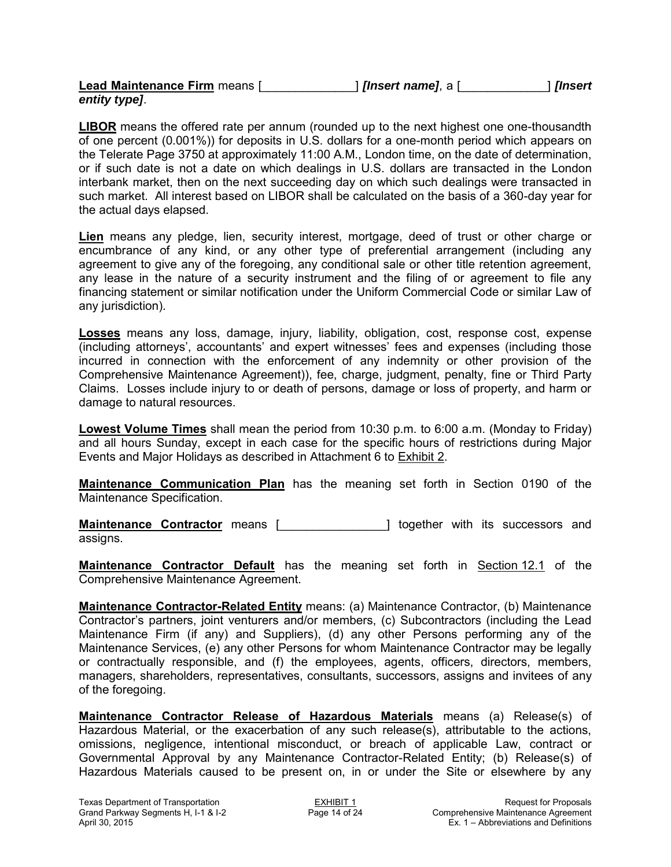| Lead Maintenance Firm means [ | <i><b>[Insert name]</b></i> , a [ | [Insert |
|-------------------------------|-----------------------------------|---------|
| entity type].                 |                                   |         |

**LIBOR** means the offered rate per annum (rounded up to the next highest one one-thousandth of one percent (0.001%)) for deposits in U.S. dollars for a one-month period which appears on the Telerate Page 3750 at approximately 11:00 A.M., London time, on the date of determination, or if such date is not a date on which dealings in U.S. dollars are transacted in the London interbank market, then on the next succeeding day on which such dealings were transacted in such market. All interest based on LIBOR shall be calculated on the basis of a 360-day year for the actual days elapsed.

**Lien** means any pledge, lien, security interest, mortgage, deed of trust or other charge or encumbrance of any kind, or any other type of preferential arrangement (including any agreement to give any of the foregoing, any conditional sale or other title retention agreement, any lease in the nature of a security instrument and the filing of or agreement to file any financing statement or similar notification under the Uniform Commercial Code or similar Law of any jurisdiction).

**Losses** means any loss, damage, injury, liability, obligation, cost, response cost, expense (including attorneys', accountants' and expert witnesses' fees and expenses (including those incurred in connection with the enforcement of any indemnity or other provision of the Comprehensive Maintenance Agreement)), fee, charge, judgment, penalty, fine or Third Party Claims. Losses include injury to or death of persons, damage or loss of property, and harm or damage to natural resources.

**Lowest Volume Times** shall mean the period from 10:30 p.m. to 6:00 a.m. (Monday to Friday) and all hours Sunday, except in each case for the specific hours of restrictions during Major Events and Major Holidays as described in Attachment 6 to Exhibit 2.

**Maintenance Communication Plan** has the meaning set forth in Section 0190 of the Maintenance Specification.

**Maintenance Contractor** means [\_\_\_\_\_\_\_\_\_\_\_\_\_\_\_\_] together with its successors and assigns.

**Maintenance Contractor Default** has the meaning set forth in Section 12.1 of the Comprehensive Maintenance Agreement.

**Maintenance Contractor-Related Entity** means: (a) Maintenance Contractor, (b) Maintenance Contractor's partners, joint venturers and/or members, (c) Subcontractors (including the Lead Maintenance Firm (if any) and Suppliers), (d) any other Persons performing any of the Maintenance Services, (e) any other Persons for whom Maintenance Contractor may be legally or contractually responsible, and (f) the employees, agents, officers, directors, members, managers, shareholders, representatives, consultants, successors, assigns and invitees of any of the foregoing.

**Maintenance Contractor Release of Hazardous Materials** means (a) Release(s) of Hazardous Material, or the exacerbation of any such release(s), attributable to the actions, omissions, negligence, intentional misconduct, or breach of applicable Law, contract or Governmental Approval by any Maintenance Contractor-Related Entity; (b) Release(s) of Hazardous Materials caused to be present on, in or under the Site or elsewhere by any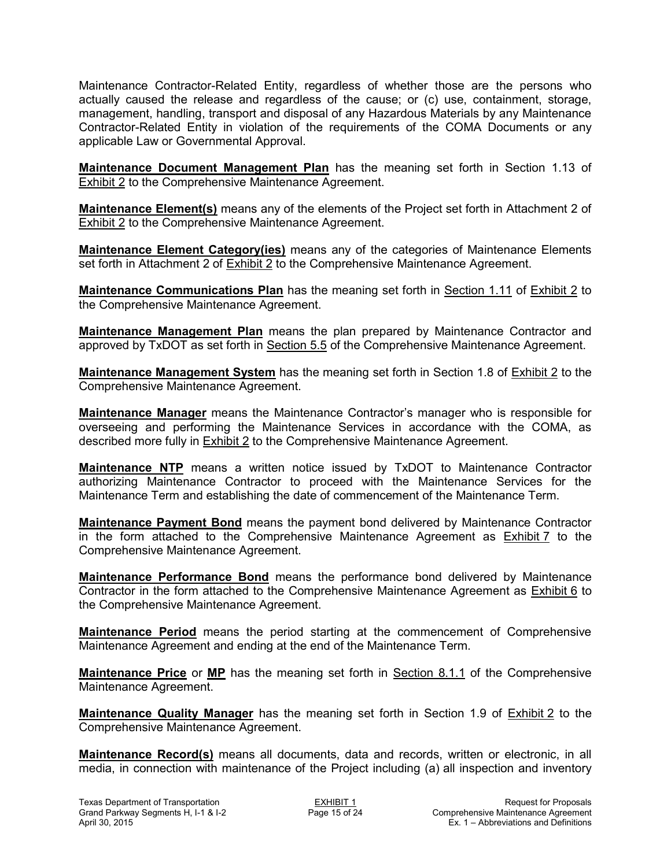Maintenance Contractor-Related Entity, regardless of whether those are the persons who actually caused the release and regardless of the cause; or (c) use, containment, storage, management, handling, transport and disposal of any Hazardous Materials by any Maintenance Contractor-Related Entity in violation of the requirements of the COMA Documents or any applicable Law or Governmental Approval.

**Maintenance Document Management Plan** has the meaning set forth in Section 1.13 of Exhibit 2 to the Comprehensive Maintenance Agreement.

**Maintenance Element(s)** means any of the elements of the Project set forth in Attachment 2 of Exhibit 2 to the Comprehensive Maintenance Agreement.

**Maintenance Element Category(ies)** means any of the categories of Maintenance Elements set forth in Attachment 2 of Exhibit 2 to the Comprehensive Maintenance Agreement.

**Maintenance Communications Plan** has the meaning set forth in Section 1.11 of Exhibit 2 to the Comprehensive Maintenance Agreement.

**Maintenance Management Plan** means the plan prepared by Maintenance Contractor and approved by TxDOT as set forth in Section 5.5 of the Comprehensive Maintenance Agreement.

**Maintenance Management System** has the meaning set forth in Section 1.8 of Exhibit 2 to the Comprehensive Maintenance Agreement.

**Maintenance Manager** means the Maintenance Contractor's manager who is responsible for overseeing and performing the Maintenance Services in accordance with the COMA, as described more fully in Exhibit 2 to the Comprehensive Maintenance Agreement.

**Maintenance NTP** means a written notice issued by TxDOT to Maintenance Contractor authorizing Maintenance Contractor to proceed with the Maintenance Services for the Maintenance Term and establishing the date of commencement of the Maintenance Term.

**Maintenance Payment Bond** means the payment bond delivered by Maintenance Contractor in the form attached to the Comprehensive Maintenance Agreement as Exhibit 7 to the Comprehensive Maintenance Agreement.

**Maintenance Performance Bond** means the performance bond delivered by Maintenance Contractor in the form attached to the Comprehensive Maintenance Agreement as Exhibit 6 to the Comprehensive Maintenance Agreement.

**Maintenance Period** means the period starting at the commencement of Comprehensive Maintenance Agreement and ending at the end of the Maintenance Term.

**Maintenance Price** or **MP** has the meaning set forth in Section 8.1.1 of the Comprehensive Maintenance Agreement.

**Maintenance Quality Manager** has the meaning set forth in Section 1.9 of Exhibit 2 to the Comprehensive Maintenance Agreement.

**Maintenance Record(s)** means all documents, data and records, written or electronic, in all media, in connection with maintenance of the Project including (a) all inspection and inventory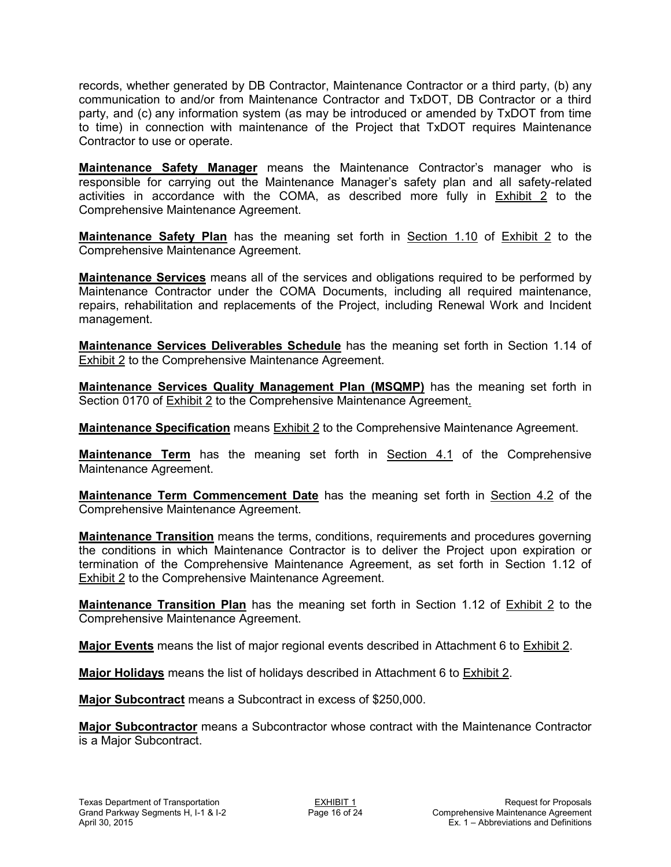records, whether generated by DB Contractor, Maintenance Contractor or a third party, (b) any communication to and/or from Maintenance Contractor and TxDOT, DB Contractor or a third party, and (c) any information system (as may be introduced or amended by TxDOT from time to time) in connection with maintenance of the Project that TxDOT requires Maintenance Contractor to use or operate.

**Maintenance Safety Manager** means the Maintenance Contractor's manager who is responsible for carrying out the Maintenance Manager's safety plan and all safety-related activities in accordance with the COMA, as described more fully in Exhibit 2 to the Comprehensive Maintenance Agreement.

**Maintenance Safety Plan** has the meaning set forth in Section 1.10 of Exhibit 2 to the Comprehensive Maintenance Agreement.

**Maintenance Services** means all of the services and obligations required to be performed by Maintenance Contractor under the COMA Documents, including all required maintenance, repairs, rehabilitation and replacements of the Project, including Renewal Work and Incident management.

**Maintenance Services Deliverables Schedule** has the meaning set forth in Section 1.14 of Exhibit 2 to the Comprehensive Maintenance Agreement.

**Maintenance Services Quality Management Plan (MSQMP)** has the meaning set forth in Section 0170 of Exhibit 2 to the Comprehensive Maintenance Agreement.

**Maintenance Specification** means Exhibit 2 to the Comprehensive Maintenance Agreement.

**Maintenance Term** has the meaning set forth in **Section 4.1** of the Comprehensive Maintenance Agreement.

**Maintenance Term Commencement Date** has the meaning set forth in Section 4.2 of the Comprehensive Maintenance Agreement.

**Maintenance Transition** means the terms, conditions, requirements and procedures governing the conditions in which Maintenance Contractor is to deliver the Project upon expiration or termination of the Comprehensive Maintenance Agreement, as set forth in Section 1.12 of Exhibit 2 to the Comprehensive Maintenance Agreement.

**Maintenance Transition Plan** has the meaning set forth in Section 1.12 of **Exhibit 2** to the Comprehensive Maintenance Agreement.

**Major Events** means the list of major regional events described in Attachment 6 to Exhibit 2.

**Major Holidays** means the list of holidays described in Attachment 6 to Exhibit 2.

**Major Subcontract** means a Subcontract in excess of \$250,000.

**Major Subcontractor** means a Subcontractor whose contract with the Maintenance Contractor is a Major Subcontract.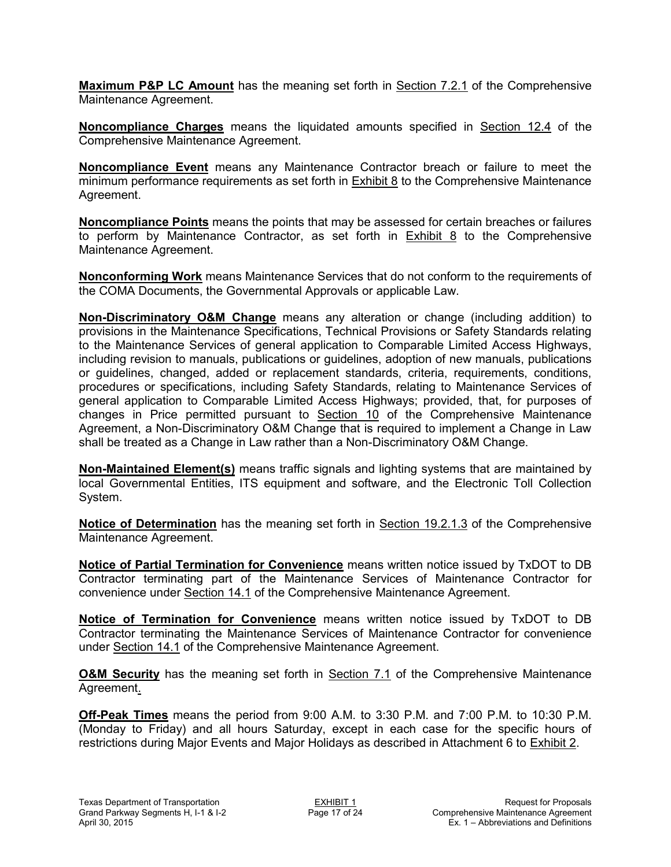**Maximum P&P LC Amount** has the meaning set forth in Section 7.2.1 of the Comprehensive Maintenance Agreement.

**Noncompliance Charges** means the liquidated amounts specified in Section 12.4 of the Comprehensive Maintenance Agreement.

**Noncompliance Event** means any Maintenance Contractor breach or failure to meet the minimum performance requirements as set forth in Exhibit 8 to the Comprehensive Maintenance Agreement.

**Noncompliance Points** means the points that may be assessed for certain breaches or failures to perform by Maintenance Contractor, as set forth in Exhibit 8 to the Comprehensive Maintenance Agreement.

**Nonconforming Work** means Maintenance Services that do not conform to the requirements of the COMA Documents, the Governmental Approvals or applicable Law.

**Non-Discriminatory O&M Change** means any alteration or change (including addition) to provisions in the Maintenance Specifications, Technical Provisions or Safety Standards relating to the Maintenance Services of general application to Comparable Limited Access Highways, including revision to manuals, publications or guidelines, adoption of new manuals, publications or guidelines, changed, added or replacement standards, criteria, requirements, conditions, procedures or specifications, including Safety Standards, relating to Maintenance Services of general application to Comparable Limited Access Highways; provided, that, for purposes of changes in Price permitted pursuant to Section 10 of the Comprehensive Maintenance Agreement, a Non-Discriminatory O&M Change that is required to implement a Change in Law shall be treated as a Change in Law rather than a Non-Discriminatory O&M Change.

**Non-Maintained Element(s)** means traffic signals and lighting systems that are maintained by local Governmental Entities, ITS equipment and software, and the Electronic Toll Collection System.

**Notice of Determination** has the meaning set forth in Section 19.2.1.3 of the Comprehensive Maintenance Agreement.

**Notice of Partial Termination for Convenience** means written notice issued by TxDOT to DB Contractor terminating part of the Maintenance Services of Maintenance Contractor for convenience under Section 14.1 of the Comprehensive Maintenance Agreement.

**Notice of Termination for Convenience** means written notice issued by TxDOT to DB Contractor terminating the Maintenance Services of Maintenance Contractor for convenience under Section 14.1 of the Comprehensive Maintenance Agreement.

**O&M Security** has the meaning set forth in Section 7.1 of the Comprehensive Maintenance Agreement.

**Off-Peak Times** means the period from 9:00 A.M. to 3:30 P.M. and 7:00 P.M. to 10:30 P.M. (Monday to Friday) and all hours Saturday, except in each case for the specific hours of restrictions during Major Events and Major Holidays as described in Attachment 6 to Exhibit 2.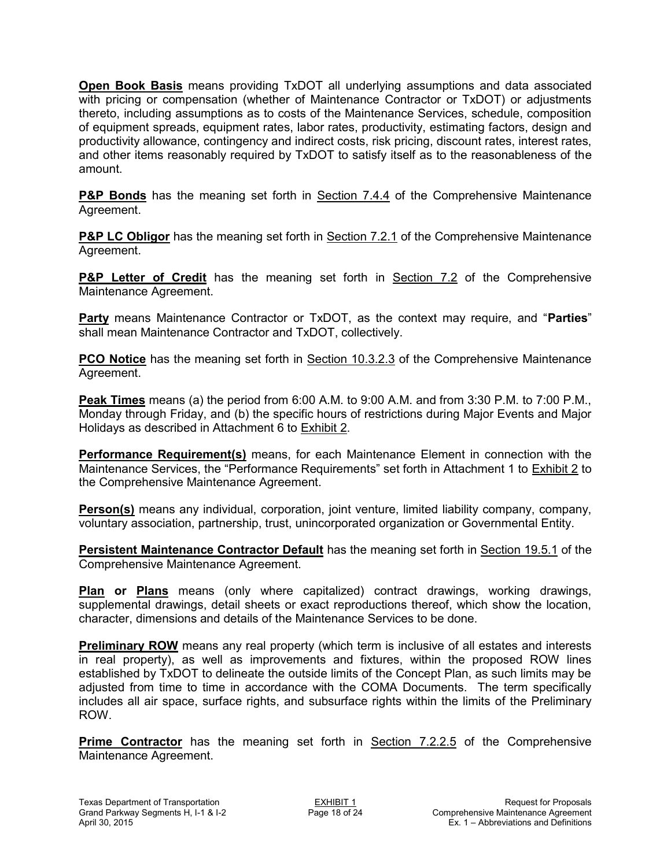**Open Book Basis** means providing TxDOT all underlying assumptions and data associated with pricing or compensation (whether of Maintenance Contractor or TxDOT) or adjustments thereto, including assumptions as to costs of the Maintenance Services, schedule, composition of equipment spreads, equipment rates, labor rates, productivity, estimating factors, design and productivity allowance, contingency and indirect costs, risk pricing, discount rates, interest rates, and other items reasonably required by TxDOT to satisfy itself as to the reasonableness of the amount.

**P&P Bonds** has the meaning set forth in Section 7.4.4 of the Comprehensive Maintenance Agreement.

**P&P LC Obligor** has the meaning set forth in Section 7.2.1 of the Comprehensive Maintenance Agreement.

**P&P Letter of Credit** has the meaning set forth in Section 7.2 of the Comprehensive Maintenance Agreement.

**Party** means Maintenance Contractor or TxDOT, as the context may require, and "**Parties**" shall mean Maintenance Contractor and TxDOT, collectively.

**PCO Notice** has the meaning set forth in Section 10.3.2.3 of the Comprehensive Maintenance Agreement.

**Peak Times** means (a) the period from 6:00 A.M. to 9:00 A.M. and from 3:30 P.M. to 7:00 P.M., Monday through Friday, and (b) the specific hours of restrictions during Major Events and Major Holidays as described in Attachment 6 to Exhibit 2.

**Performance Requirement(s)** means, for each Maintenance Element in connection with the Maintenance Services, the "Performance Requirements" set forth in Attachment 1 to Exhibit 2 to the Comprehensive Maintenance Agreement.

**Person(s)** means any individual, corporation, joint venture, limited liability company, company, voluntary association, partnership, trust, unincorporated organization or Governmental Entity.

**Persistent Maintenance Contractor Default** has the meaning set forth in Section 19.5.1 of the Comprehensive Maintenance Agreement.

**Plan or Plans** means (only where capitalized) contract drawings, working drawings, supplemental drawings, detail sheets or exact reproductions thereof, which show the location, character, dimensions and details of the Maintenance Services to be done.

**Preliminary ROW** means any real property (which term is inclusive of all estates and interests in real property), as well as improvements and fixtures, within the proposed ROW lines established by TxDOT to delineate the outside limits of the Concept Plan, as such limits may be adjusted from time to time in accordance with the COMA Documents. The term specifically includes all air space, surface rights, and subsurface rights within the limits of the Preliminary ROW.

**Prime Contractor** has the meaning set forth in Section 7.2.2.5 of the Comprehensive Maintenance Agreement.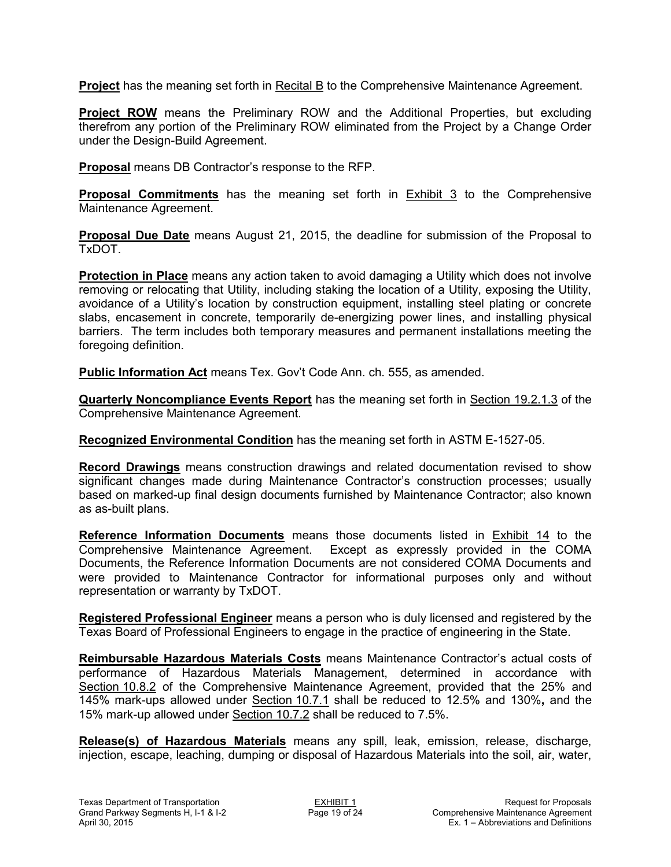**Project** has the meaning set forth in Recital B to the Comprehensive Maintenance Agreement.

**Project ROW** means the Preliminary ROW and the Additional Properties, but excluding therefrom any portion of the Preliminary ROW eliminated from the Project by a Change Order under the Design-Build Agreement.

**Proposal** means DB Contractor's response to the RFP.

**Proposal Commitments** has the meaning set forth in Exhibit 3 to the Comprehensive Maintenance Agreement.

**Proposal Due Date** means August 21, 2015, the deadline for submission of the Proposal to TxDOT.

**Protection in Place** means any action taken to avoid damaging a Utility which does not involve removing or relocating that Utility, including staking the location of a Utility, exposing the Utility, avoidance of a Utility's location by construction equipment, installing steel plating or concrete slabs, encasement in concrete, temporarily de-energizing power lines, and installing physical barriers. The term includes both temporary measures and permanent installations meeting the foregoing definition.

**Public Information Act** means Tex. Gov't Code Ann. ch. 555, as amended.

**Quarterly Noncompliance Events Report** has the meaning set forth in Section 19.2.1.3 of the Comprehensive Maintenance Agreement.

**Recognized Environmental Condition** has the meaning set forth in ASTM E-1527-05.

**Record Drawings** means construction drawings and related documentation revised to show significant changes made during Maintenance Contractor's construction processes; usually based on marked-up final design documents furnished by Maintenance Contractor; also known as as-built plans.

**Reference Information Documents** means those documents listed in Exhibit 14 to the Comprehensive Maintenance Agreement. Except as expressly provided in the COMA Documents, the Reference Information Documents are not considered COMA Documents and were provided to Maintenance Contractor for informational purposes only and without representation or warranty by TxDOT.

**Registered Professional Engineer** means a person who is duly licensed and registered by the Texas Board of Professional Engineers to engage in the practice of engineering in the State.

**Reimbursable Hazardous Materials Costs** means Maintenance Contractor's actual costs of performance of Hazardous Materials Management, determined in accordance with Section 10.8.2 of the Comprehensive Maintenance Agreement, provided that the 25% and 145% mark-ups allowed under Section 10.7.1 shall be reduced to 12.5% and 130%**,** and the 15% mark-up allowed under Section 10.7.2 shall be reduced to 7.5%.

**Release(s) of Hazardous Materials** means any spill, leak, emission, release, discharge, injection, escape, leaching, dumping or disposal of Hazardous Materials into the soil, air, water,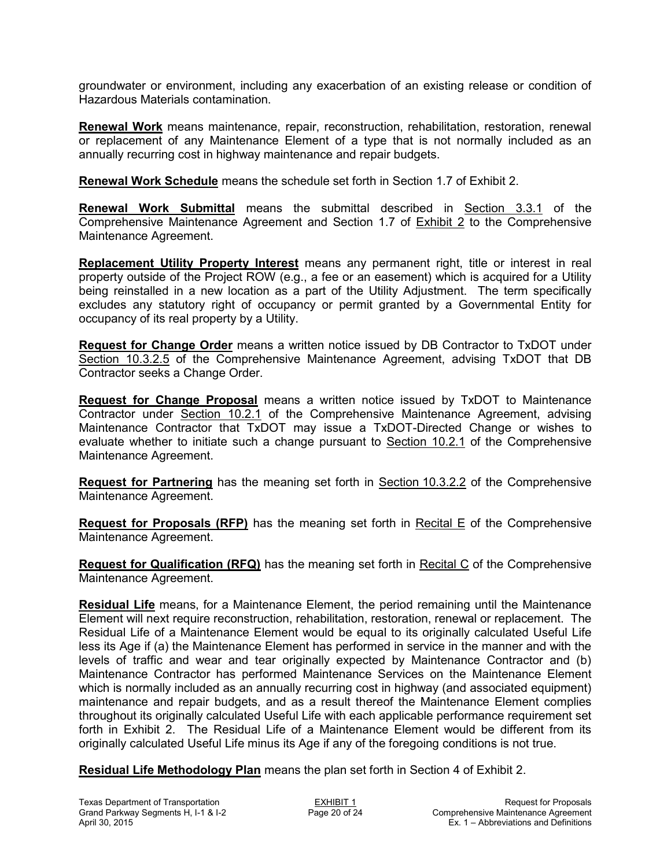groundwater or environment, including any exacerbation of an existing release or condition of Hazardous Materials contamination.

**Renewal Work** means maintenance, repair, reconstruction, rehabilitation, restoration, renewal or replacement of any Maintenance Element of a type that is not normally included as an annually recurring cost in highway maintenance and repair budgets.

**Renewal Work Schedule** means the schedule set forth in Section 1.7 of Exhibit 2.

**Renewal Work Submittal** means the submittal described in Section 3.3.1 of the Comprehensive Maintenance Agreement and Section 1.7 of Exhibit 2 to the Comprehensive Maintenance Agreement.

**Replacement Utility Property Interest** means any permanent right, title or interest in real property outside of the Project ROW (e.g., a fee or an easement) which is acquired for a Utility being reinstalled in a new location as a part of the Utility Adjustment. The term specifically excludes any statutory right of occupancy or permit granted by a Governmental Entity for occupancy of its real property by a Utility.

**Request for Change Order** means a written notice issued by DB Contractor to TxDOT under Section 10.3.2.5 of the Comprehensive Maintenance Agreement, advising TxDOT that DB Contractor seeks a Change Order.

**Request for Change Proposal** means a written notice issued by TxDOT to Maintenance Contractor under Section 10.2.1 of the Comprehensive Maintenance Agreement, advising Maintenance Contractor that TxDOT may issue a TxDOT-Directed Change or wishes to evaluate whether to initiate such a change pursuant to Section 10.2.1 of the Comprehensive Maintenance Agreement.

**Request for Partnering** has the meaning set forth in Section 10.3.2.2 of the Comprehensive Maintenance Agreement.

**Request for Proposals (RFP)** has the meaning set forth in Recital E of the Comprehensive Maintenance Agreement.

**Request for Qualification (RFQ)** has the meaning set forth in Recital C of the Comprehensive Maintenance Agreement.

**Residual Life** means, for a Maintenance Element, the period remaining until the Maintenance Element will next require reconstruction, rehabilitation, restoration, renewal or replacement. The Residual Life of a Maintenance Element would be equal to its originally calculated Useful Life less its Age if (a) the Maintenance Element has performed in service in the manner and with the levels of traffic and wear and tear originally expected by Maintenance Contractor and (b) Maintenance Contractor has performed Maintenance Services on the Maintenance Element which is normally included as an annually recurring cost in highway (and associated equipment) maintenance and repair budgets, and as a result thereof the Maintenance Element complies throughout its originally calculated Useful Life with each applicable performance requirement set forth in Exhibit 2. The Residual Life of a Maintenance Element would be different from its originally calculated Useful Life minus its Age if any of the foregoing conditions is not true.

**Residual Life Methodology Plan** means the plan set forth in Section 4 of Exhibit 2.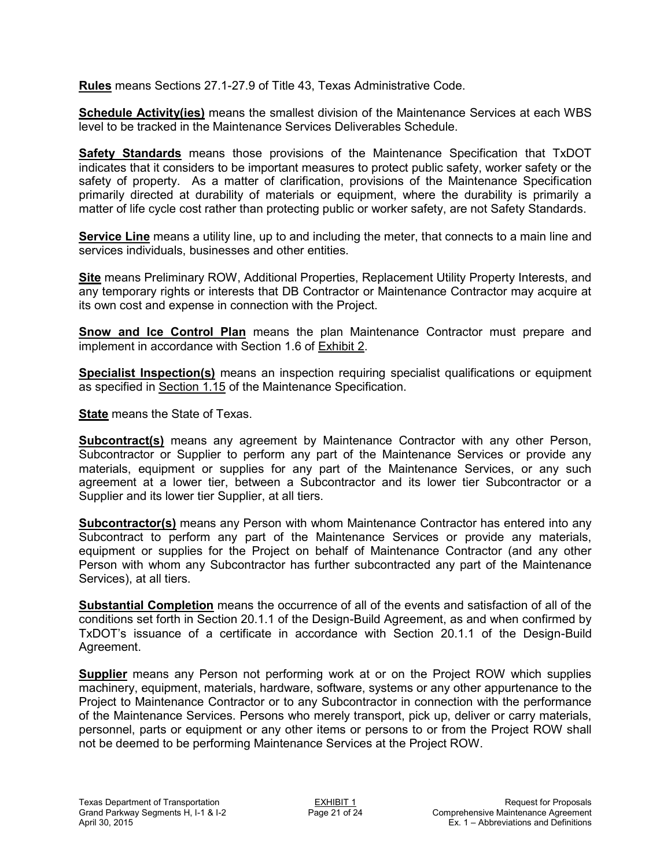**Rules** means Sections 27.1-27.9 of Title 43, Texas Administrative Code.

**Schedule Activity(ies)** means the smallest division of the Maintenance Services at each WBS level to be tracked in the Maintenance Services Deliverables Schedule.

**Safety Standards** means those provisions of the Maintenance Specification that TxDOT indicates that it considers to be important measures to protect public safety, worker safety or the safety of property. As a matter of clarification, provisions of the Maintenance Specification primarily directed at durability of materials or equipment, where the durability is primarily a matter of life cycle cost rather than protecting public or worker safety, are not Safety Standards.

**Service Line** means a utility line, up to and including the meter, that connects to a main line and services individuals, businesses and other entities.

**Site** means Preliminary ROW, Additional Properties, Replacement Utility Property Interests, and any temporary rights or interests that DB Contractor or Maintenance Contractor may acquire at its own cost and expense in connection with the Project.

**Snow and Ice Control Plan** means the plan Maintenance Contractor must prepare and implement in accordance with Section 1.6 of Exhibit 2.

**Specialist Inspection(s)** means an inspection requiring specialist qualifications or equipment as specified in Section 1.15 of the Maintenance Specification.

**State** means the State of Texas.

**Subcontract(s)** means any agreement by Maintenance Contractor with any other Person, Subcontractor or Supplier to perform any part of the Maintenance Services or provide any materials, equipment or supplies for any part of the Maintenance Services, or any such agreement at a lower tier, between a Subcontractor and its lower tier Subcontractor or a Supplier and its lower tier Supplier, at all tiers.

**Subcontractor(s)** means any Person with whom Maintenance Contractor has entered into any Subcontract to perform any part of the Maintenance Services or provide any materials, equipment or supplies for the Project on behalf of Maintenance Contractor (and any other Person with whom any Subcontractor has further subcontracted any part of the Maintenance Services), at all tiers.

**Substantial Completion** means the occurrence of all of the events and satisfaction of all of the conditions set forth in Section 20.1.1 of the Design-Build Agreement, as and when confirmed by TxDOT's issuance of a certificate in accordance with Section 20.1.1 of the Design-Build Agreement.

**Supplier** means any Person not performing work at or on the Project ROW which supplies machinery, equipment, materials, hardware, software, systems or any other appurtenance to the Project to Maintenance Contractor or to any Subcontractor in connection with the performance of the Maintenance Services. Persons who merely transport, pick up, deliver or carry materials, personnel, parts or equipment or any other items or persons to or from the Project ROW shall not be deemed to be performing Maintenance Services at the Project ROW.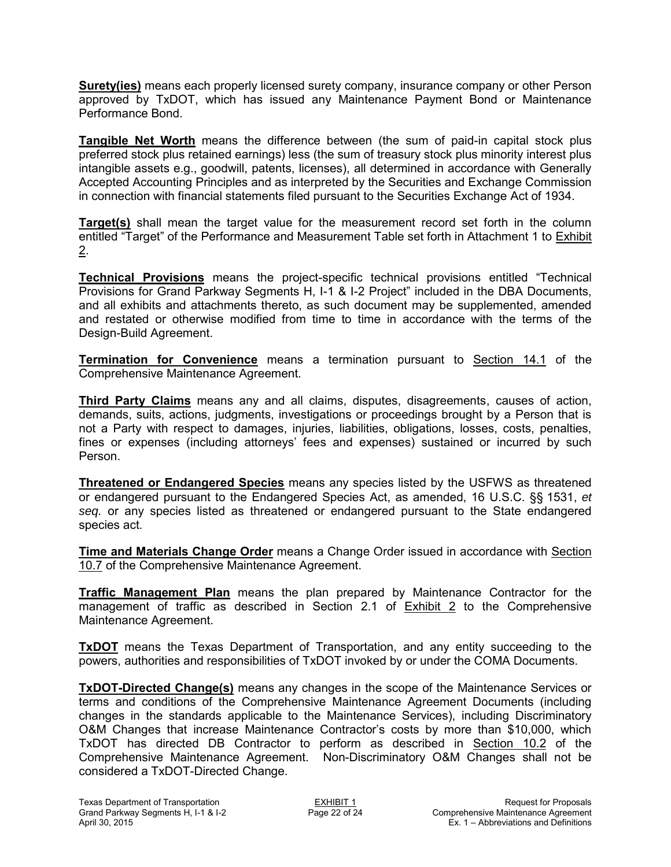**Surety(ies)** means each properly licensed surety company, insurance company or other Person approved by TxDOT, which has issued any Maintenance Payment Bond or Maintenance Performance Bond.

**Tangible Net Worth** means the difference between (the sum of paid-in capital stock plus preferred stock plus retained earnings) less (the sum of treasury stock plus minority interest plus intangible assets e.g., goodwill, patents, licenses), all determined in accordance with Generally Accepted Accounting Principles and as interpreted by the Securities and Exchange Commission in connection with financial statements filed pursuant to the Securities Exchange Act of 1934.

**Target(s)** shall mean the target value for the measurement record set forth in the column entitled "Target" of the Performance and Measurement Table set forth in Attachment 1 to Exhibit 2.

**Technical Provisions** means the project-specific technical provisions entitled "Technical Provisions for Grand Parkway Segments H, I-1 & I-2 Project" included in the DBA Documents, and all exhibits and attachments thereto, as such document may be supplemented, amended and restated or otherwise modified from time to time in accordance with the terms of the Design-Build Agreement.

**Termination for Convenience** means a termination pursuant to Section 14.1 of the Comprehensive Maintenance Agreement.

**Third Party Claims** means any and all claims, disputes, disagreements, causes of action, demands, suits, actions, judgments, investigations or proceedings brought by a Person that is not a Party with respect to damages, injuries, liabilities, obligations, losses, costs, penalties, fines or expenses (including attorneys' fees and expenses) sustained or incurred by such Person.

**Threatened or Endangered Species** means any species listed by the USFWS as threatened or endangered pursuant to the Endangered Species Act, as amended, 16 U.S.C. §§ 1531, *et seq.* or any species listed as threatened or endangered pursuant to the State endangered species act.

**Time and Materials Change Order** means a Change Order issued in accordance with Section 10.7 of the Comprehensive Maintenance Agreement.

**Traffic Management Plan** means the plan prepared by Maintenance Contractor for the management of traffic as described in Section 2.1 of Exhibit 2 to the Comprehensive Maintenance Agreement.

**TxDOT** means the Texas Department of Transportation, and any entity succeeding to the powers, authorities and responsibilities of TxDOT invoked by or under the COMA Documents.

**TxDOT-Directed Change(s)** means any changes in the scope of the Maintenance Services or terms and conditions of the Comprehensive Maintenance Agreement Documents (including changes in the standards applicable to the Maintenance Services), including Discriminatory O&M Changes that increase Maintenance Contractor's costs by more than \$10,000, which TxDOT has directed DB Contractor to perform as described in Section 10.2 of the Comprehensive Maintenance Agreement. Non-Discriminatory O&M Changes shall not be considered a TxDOT-Directed Change.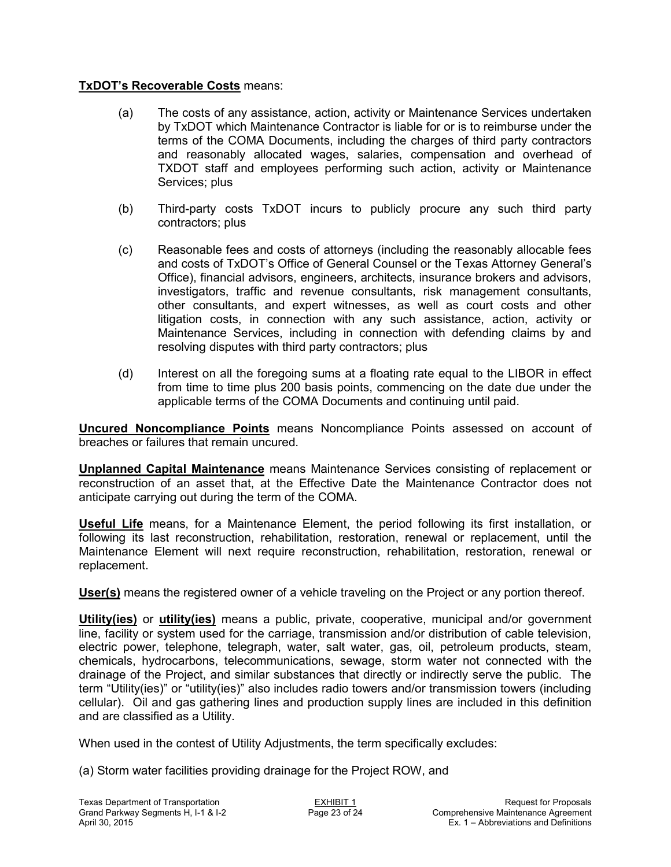### **TxDOT's Recoverable Costs** means:

- (a) The costs of any assistance, action, activity or Maintenance Services undertaken by TxDOT which Maintenance Contractor is liable for or is to reimburse under the terms of the COMA Documents, including the charges of third party contractors and reasonably allocated wages, salaries, compensation and overhead of TXDOT staff and employees performing such action, activity or Maintenance Services; plus
- (b) Third-party costs TxDOT incurs to publicly procure any such third party contractors; plus
- (c) Reasonable fees and costs of attorneys (including the reasonably allocable fees and costs of TxDOT's Office of General Counsel or the Texas Attorney General's Office), financial advisors, engineers, architects, insurance brokers and advisors, investigators, traffic and revenue consultants, risk management consultants, other consultants, and expert witnesses, as well as court costs and other litigation costs, in connection with any such assistance, action, activity or Maintenance Services, including in connection with defending claims by and resolving disputes with third party contractors; plus
- (d) Interest on all the foregoing sums at a floating rate equal to the LIBOR in effect from time to time plus 200 basis points, commencing on the date due under the applicable terms of the COMA Documents and continuing until paid.

**Uncured Noncompliance Points** means Noncompliance Points assessed on account of breaches or failures that remain uncured.

**Unplanned Capital Maintenance** means Maintenance Services consisting of replacement or reconstruction of an asset that, at the Effective Date the Maintenance Contractor does not anticipate carrying out during the term of the COMA.

**Useful Life** means, for a Maintenance Element, the period following its first installation, or following its last reconstruction, rehabilitation, restoration, renewal or replacement, until the Maintenance Element will next require reconstruction, rehabilitation, restoration, renewal or replacement.

**User(s)** means the registered owner of a vehicle traveling on the Project or any portion thereof.

**Utility(ies)** or **utility(ies)** means a public, private, cooperative, municipal and/or government line, facility or system used for the carriage, transmission and/or distribution of cable television, electric power, telephone, telegraph, water, salt water, gas, oil, petroleum products, steam, chemicals, hydrocarbons, telecommunications, sewage, storm water not connected with the drainage of the Project, and similar substances that directly or indirectly serve the public. The term "Utility(ies)" or "utility(ies)" also includes radio towers and/or transmission towers (including cellular). Oil and gas gathering lines and production supply lines are included in this definition and are classified as a Utility.

When used in the contest of Utility Adjustments, the term specifically excludes:

(a) Storm water facilities providing drainage for the Project ROW, and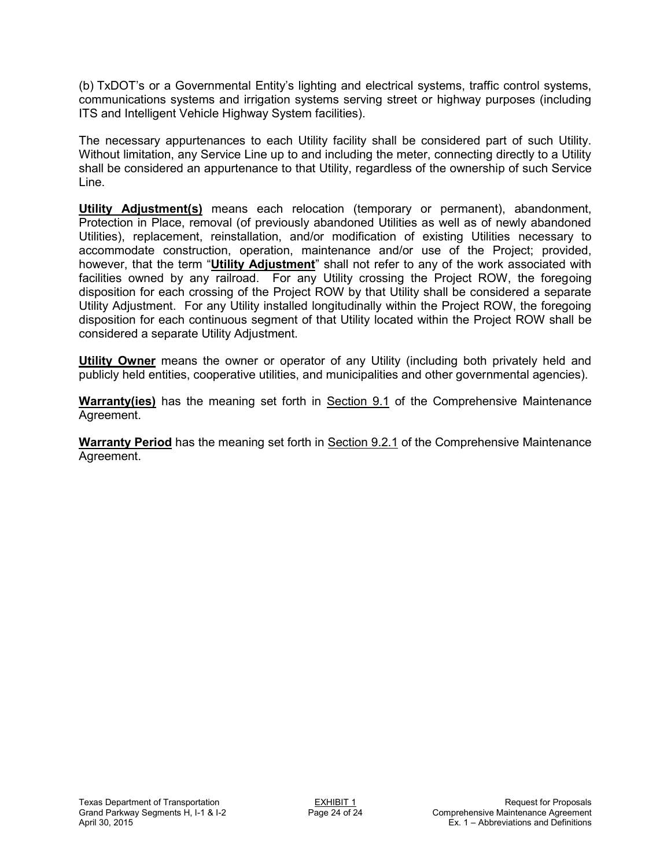(b) TxDOT's or a Governmental Entity's lighting and electrical systems, traffic control systems, communications systems and irrigation systems serving street or highway purposes (including ITS and Intelligent Vehicle Highway System facilities).

The necessary appurtenances to each Utility facility shall be considered part of such Utility. Without limitation, any Service Line up to and including the meter, connecting directly to a Utility shall be considered an appurtenance to that Utility, regardless of the ownership of such Service Line.

**Utility Adjustment(s)** means each relocation (temporary or permanent), abandonment, Protection in Place, removal (of previously abandoned Utilities as well as of newly abandoned Utilities), replacement, reinstallation, and/or modification of existing Utilities necessary to accommodate construction, operation, maintenance and/or use of the Project; provided, however, that the term "**Utility Adjustment**" shall not refer to any of the work associated with facilities owned by any railroad. For any Utility crossing the Project ROW, the foregoing disposition for each crossing of the Project ROW by that Utility shall be considered a separate Utility Adjustment. For any Utility installed longitudinally within the Project ROW, the foregoing disposition for each continuous segment of that Utility located within the Project ROW shall be considered a separate Utility Adjustment.

**Utility Owner** means the owner or operator of any Utility (including both privately held and publicly held entities, cooperative utilities, and municipalities and other governmental agencies).

**Warranty(ies)** has the meaning set forth in Section 9.1 of the Comprehensive Maintenance Agreement.

**Warranty Period** has the meaning set forth in Section 9.2.1 of the Comprehensive Maintenance Agreement.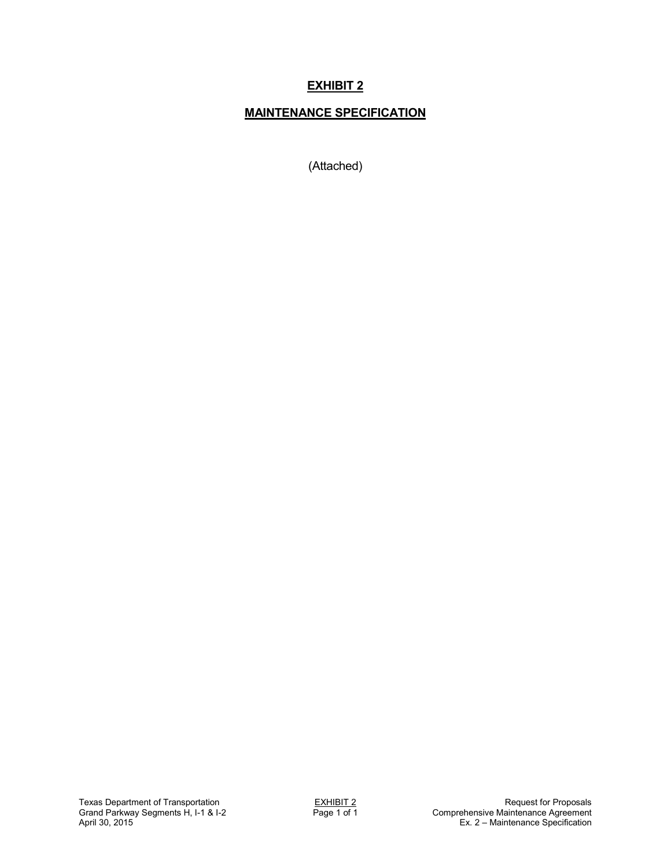# **MAINTENANCE SPECIFICATION**

(Attached)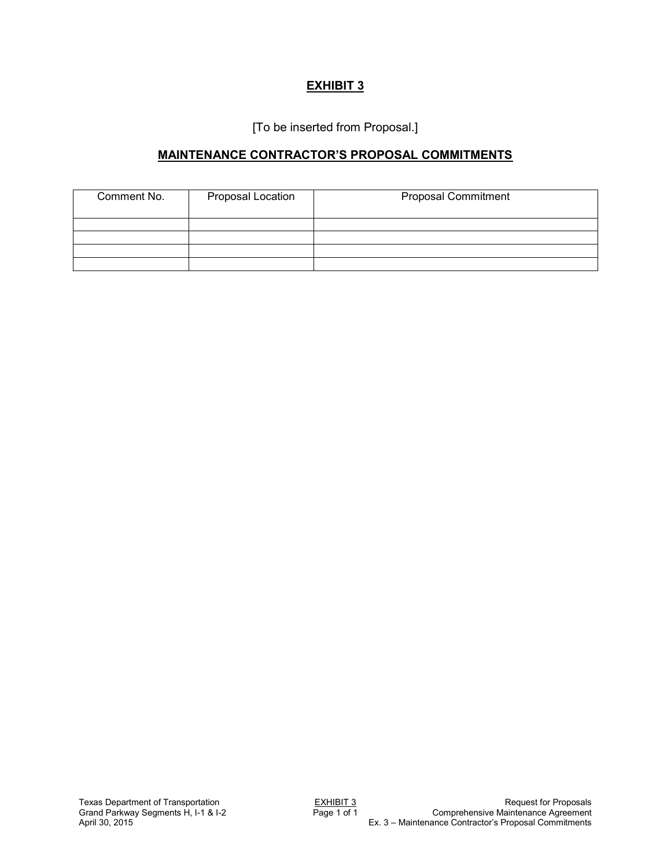[To be inserted from Proposal.]

## **MAINTENANCE CONTRACTOR'S PROPOSAL COMMITMENTS**

| Comment No.<br>Proposal Location |  | <b>Proposal Commitment</b> |
|----------------------------------|--|----------------------------|
|                                  |  |                            |
|                                  |  |                            |
|                                  |  |                            |
|                                  |  |                            |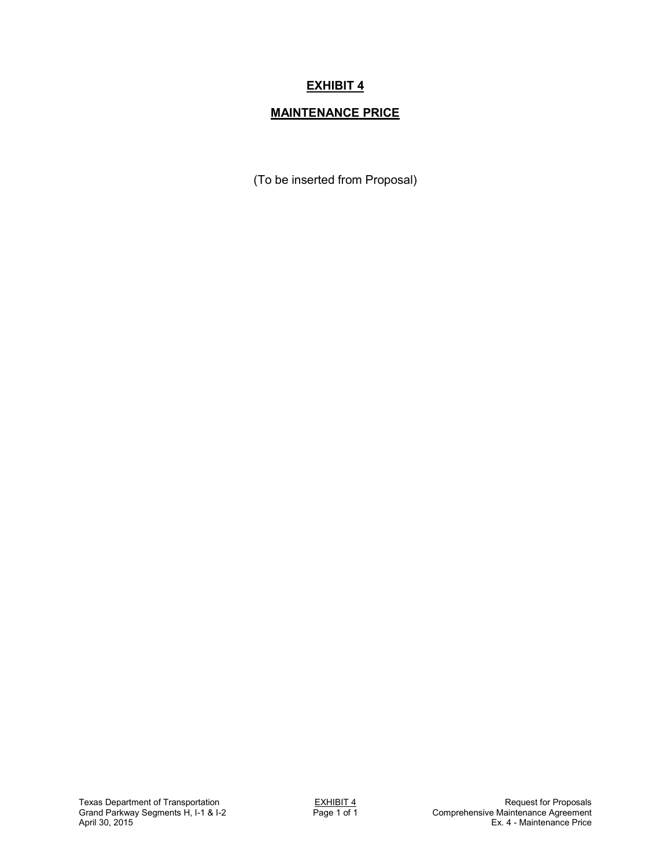# **MAINTENANCE PRICE**

(To be inserted from Proposal)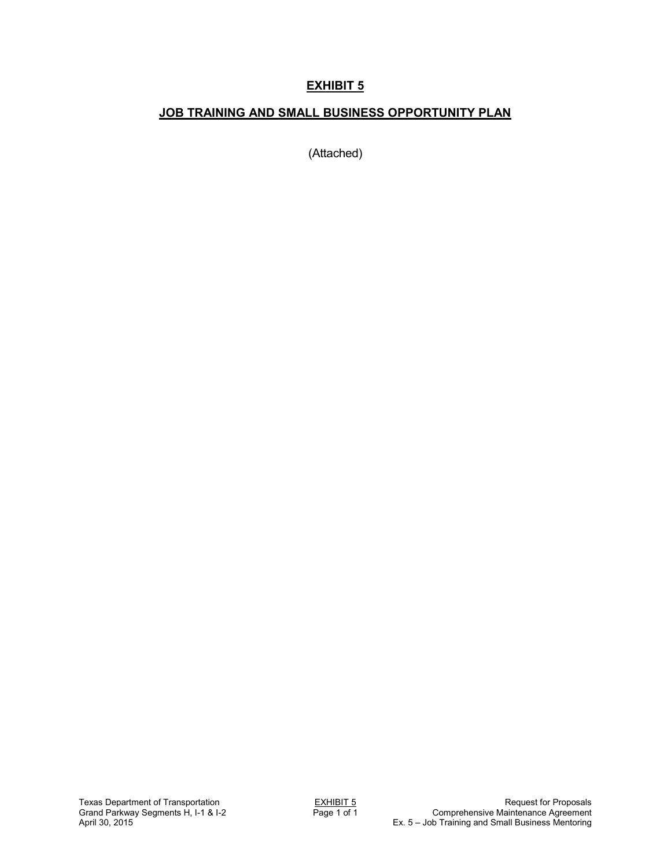## **JOB TRAINING AND SMALL BUSINESS OPPORTUNITY PLAN**

(Attached)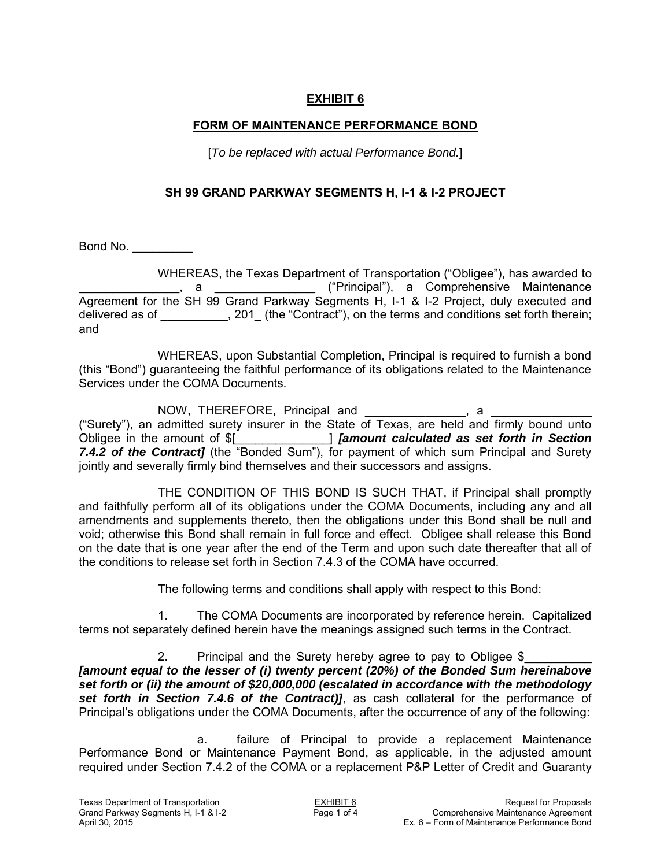### **FORM OF MAINTENANCE PERFORMANCE BOND**

[*To be replaced with actual Performance Bond.*]

#### **SH 99 GRAND PARKWAY SEGMENTS H, I-1 & I-2 PROJECT**

Bond No. \_\_\_\_\_\_\_\_\_

WHEREAS, the Texas Department of Transportation ("Obligee"), has awarded to \_\_\_\_\_\_\_\_\_\_\_\_\_\_\_, a \_\_\_\_\_\_\_\_\_\_\_\_\_\_\_ ("Principal"), a Comprehensive Maintenance Agreement for the SH 99 Grand Parkway Segments H, I-1 & I-2 Project, duly executed and delivered as of \_\_\_\_\_\_\_\_\_, 201\_ (the "Contract"), on the terms and conditions set forth therein; and

WHEREAS, upon Substantial Completion, Principal is required to furnish a bond (this "Bond") guaranteeing the faithful performance of its obligations related to the Maintenance Services under the COMA Documents.

NOW, THEREFORE, Principal and \_\_\_\_\_\_\_\_\_\_\_\_\_\_\_, a ("Surety"), an admitted surety insurer in the State of Texas, are held and firmly bound unto Obligee in the amount of \$[\_\_\_\_\_\_\_\_\_\_\_\_\_\_] *[amount calculated as set forth in Section 7.4.2 of the Contract]* (the "Bonded Sum"), for payment of which sum Principal and Surety jointly and severally firmly bind themselves and their successors and assigns.

THE CONDITION OF THIS BOND IS SUCH THAT, if Principal shall promptly and faithfully perform all of its obligations under the COMA Documents, including any and all amendments and supplements thereto, then the obligations under this Bond shall be null and void; otherwise this Bond shall remain in full force and effect. Obligee shall release this Bond on the date that is one year after the end of the Term and upon such date thereafter that all of the conditions to release set forth in Section 7.4.3 of the COMA have occurred.

The following terms and conditions shall apply with respect to this Bond:

1. The COMA Documents are incorporated by reference herein. Capitalized terms not separately defined herein have the meanings assigned such terms in the Contract.

2. Principal and the Surety hereby agree to pay to Obligee \$ *[amount equal to the lesser of (i) twenty percent (20%) of the Bonded Sum hereinabove set forth or (ii) the amount of \$20,000,000 (escalated in accordance with the methodology set forth in Section 7.4.6 of the Contract)]*, as cash collateral for the performance of Principal's obligations under the COMA Documents, after the occurrence of any of the following:

a. failure of Principal to provide a replacement Maintenance Performance Bond or Maintenance Payment Bond, as applicable, in the adjusted amount required under Section 7.4.2 of the COMA or a replacement P&P Letter of Credit and Guaranty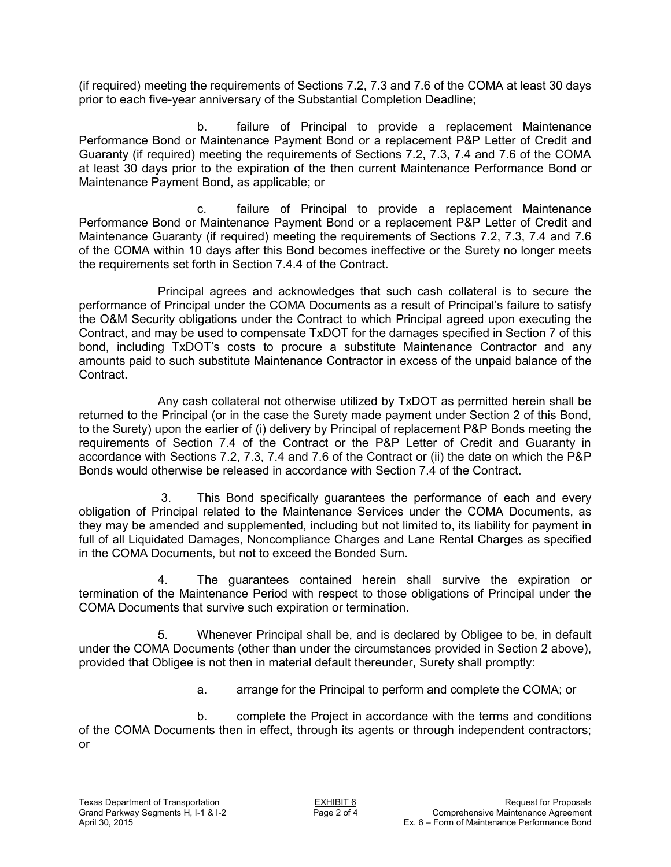(if required) meeting the requirements of Sections 7.2, 7.3 and 7.6 of the COMA at least 30 days prior to each five-year anniversary of the Substantial Completion Deadline;

 b. failure of Principal to provide a replacement Maintenance Performance Bond or Maintenance Payment Bond or a replacement P&P Letter of Credit and Guaranty (if required) meeting the requirements of Sections 7.2, 7.3, 7.4 and 7.6 of the COMA at least 30 days prior to the expiration of the then current Maintenance Performance Bond or Maintenance Payment Bond, as applicable; or

 c. failure of Principal to provide a replacement Maintenance Performance Bond or Maintenance Payment Bond or a replacement P&P Letter of Credit and Maintenance Guaranty (if required) meeting the requirements of Sections 7.2, 7.3, 7.4 and 7.6 of the COMA within 10 days after this Bond becomes ineffective or the Surety no longer meets the requirements set forth in Section 7.4.4 of the Contract.

Principal agrees and acknowledges that such cash collateral is to secure the performance of Principal under the COMA Documents as a result of Principal's failure to satisfy the O&M Security obligations under the Contract to which Principal agreed upon executing the Contract, and may be used to compensate TxDOT for the damages specified in Section 7 of this bond, including TxDOT's costs to procure a substitute Maintenance Contractor and any amounts paid to such substitute Maintenance Contractor in excess of the unpaid balance of the Contract.

Any cash collateral not otherwise utilized by TxDOT as permitted herein shall be returned to the Principal (or in the case the Surety made payment under Section 2 of this Bond, to the Surety) upon the earlier of (i) delivery by Principal of replacement P&P Bonds meeting the requirements of Section 7.4 of the Contract or the P&P Letter of Credit and Guaranty in accordance with Sections 7.2, 7.3, 7.4 and 7.6 of the Contract or (ii) the date on which the P&P Bonds would otherwise be released in accordance with Section 7.4 of the Contract.

3. This Bond specifically guarantees the performance of each and every obligation of Principal related to the Maintenance Services under the COMA Documents, as they may be amended and supplemented, including but not limited to, its liability for payment in full of all Liquidated Damages, Noncompliance Charges and Lane Rental Charges as specified in the COMA Documents, but not to exceed the Bonded Sum.

4. The guarantees contained herein shall survive the expiration or termination of the Maintenance Period with respect to those obligations of Principal under the COMA Documents that survive such expiration or termination.

5. Whenever Principal shall be, and is declared by Obligee to be, in default under the COMA Documents (other than under the circumstances provided in Section 2 above), provided that Obligee is not then in material default thereunder, Surety shall promptly:

a. arrange for the Principal to perform and complete the COMA; or

b. complete the Project in accordance with the terms and conditions of the COMA Documents then in effect, through its agents or through independent contractors; or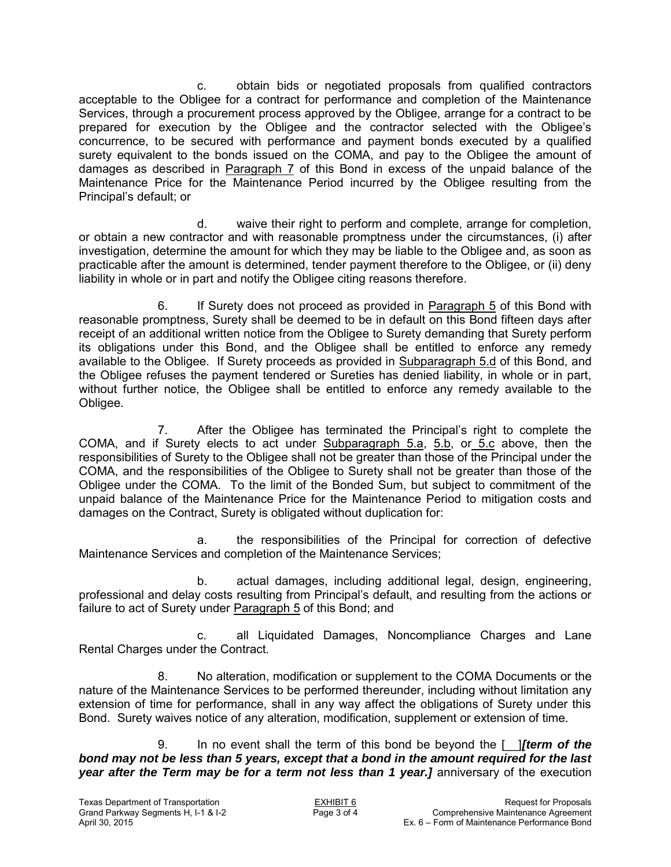c. obtain bids or negotiated proposals from qualified contractors acceptable to the Obligee for a contract for performance and completion of the Maintenance Services, through a procurement process approved by the Obligee, arrange for a contract to be prepared for execution by the Obligee and the contractor selected with the Obligee's concurrence, to be secured with performance and payment bonds executed by a qualified surety equivalent to the bonds issued on the COMA, and pay to the Obligee the amount of damages as described in Paragraph 7 of this Bond in excess of the unpaid balance of the Maintenance Price for the Maintenance Period incurred by the Obligee resulting from the Principal's default; or

d. waive their right to perform and complete, arrange for completion, or obtain a new contractor and with reasonable promptness under the circumstances, (i) after investigation, determine the amount for which they may be liable to the Obligee and, as soon as practicable after the amount is determined, tender payment therefore to the Obligee, or (ii) deny liability in whole or in part and notify the Obligee citing reasons therefore.

6. If Surety does not proceed as provided in Paragraph 5 of this Bond with reasonable promptness, Surety shall be deemed to be in default on this Bond fifteen days after receipt of an additional written notice from the Obligee to Surety demanding that Surety perform its obligations under this Bond, and the Obligee shall be entitled to enforce any remedy available to the Obligee. If Surety proceeds as provided in Subparagraph 5.d of this Bond, and the Obligee refuses the payment tendered or Sureties has denied liability, in whole or in part, without further notice, the Obligee shall be entitled to enforce any remedy available to the Obligee.

7. After the Obligee has terminated the Principal's right to complete the COMA, and if Surety elects to act under Subparagraph 5.a, 5.b, or 5.c above, then the responsibilities of Surety to the Obligee shall not be greater than those of the Principal under the COMA, and the responsibilities of the Obligee to Surety shall not be greater than those of the Obligee under the COMA. To the limit of the Bonded Sum, but subject to commitment of the unpaid balance of the Maintenance Price for the Maintenance Period to mitigation costs and damages on the Contract, Surety is obligated without duplication for:

a. the responsibilities of the Principal for correction of defective Maintenance Services and completion of the Maintenance Services;

b. actual damages, including additional legal, design, engineering, professional and delay costs resulting from Principal's default, and resulting from the actions or failure to act of Surety under Paragraph 5 of this Bond; and

c. all Liquidated Damages, Noncompliance Charges and Lane Rental Charges under the Contract.

8. No alteration, modification or supplement to the COMA Documents or the nature of the Maintenance Services to be performed thereunder, including without limitation any extension of time for performance, shall in any way affect the obligations of Surety under this Bond. Surety waives notice of any alteration, modification, supplement or extension of time.

9. In no event shall the term of this bond be beyond the [\_\_]*[term of the bond may not be less than 5 years, except that a bond in the amount required for the last year after the Term may be for a term not less than 1 year.]* anniversary of the execution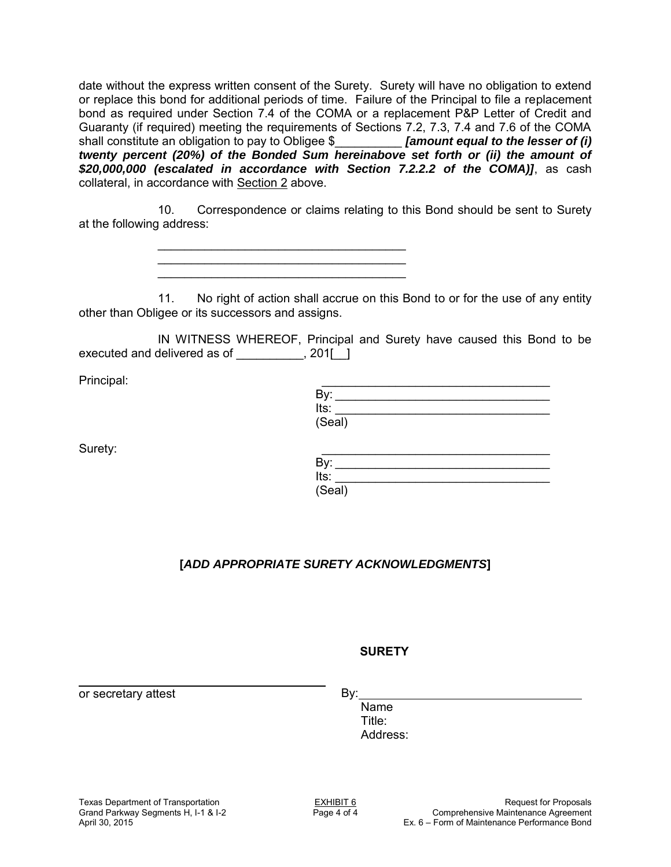date without the express written consent of the Surety. Surety will have no obligation to extend or replace this bond for additional periods of time. Failure of the Principal to file a replacement bond as required under Section 7.4 of the COMA or a replacement P&P Letter of Credit and Guaranty (if required) meeting the requirements of Sections 7.2, 7.3, 7.4 and 7.6 of the COMA shall constitute an obligation to pay to Obligee \$\_\_\_\_\_\_\_\_\_\_ *[amount equal to the lesser of (i) twenty percent (20%) of the Bonded Sum hereinabove set forth or (ii) the amount of \$20,000,000 (escalated in accordance with Section 7.2.2.2 of the COMA)]*, as cash collateral, in accordance with Section 2 above.

10. Correspondence or claims relating to this Bond should be sent to Surety at the following address:

> \_\_\_\_\_\_\_\_\_\_\_\_\_\_\_\_\_\_\_\_\_\_\_\_\_\_\_\_\_\_\_\_\_\_\_\_\_ \_\_\_\_\_\_\_\_\_\_\_\_\_\_\_\_\_\_\_\_\_\_\_\_\_\_\_\_\_\_\_\_\_\_\_\_\_ \_\_\_\_\_\_\_\_\_\_\_\_\_\_\_\_\_\_\_\_\_\_\_\_\_\_\_\_\_\_\_\_\_\_\_\_\_

11. No right of action shall accrue on this Bond to or for the use of any entity other than Obligee or its successors and assigns.

IN WITNESS WHEREOF, Principal and Surety have caused this Bond to be executed and delivered as of \_\_\_\_\_\_\_\_, 201[\_]

| Principal: |        |
|------------|--------|
|            | Bv:    |
|            | Its:   |
|            | (Seal) |

| Surety: |        |
|---------|--------|
|         | Bv:    |
|         | Its:   |
|         | (Seal) |

# **[***ADD APPROPRIATE SURETY ACKNOWLEDGMENTS***]**

#### **SURETY**

or secretary attest

By:

Name Title: Address: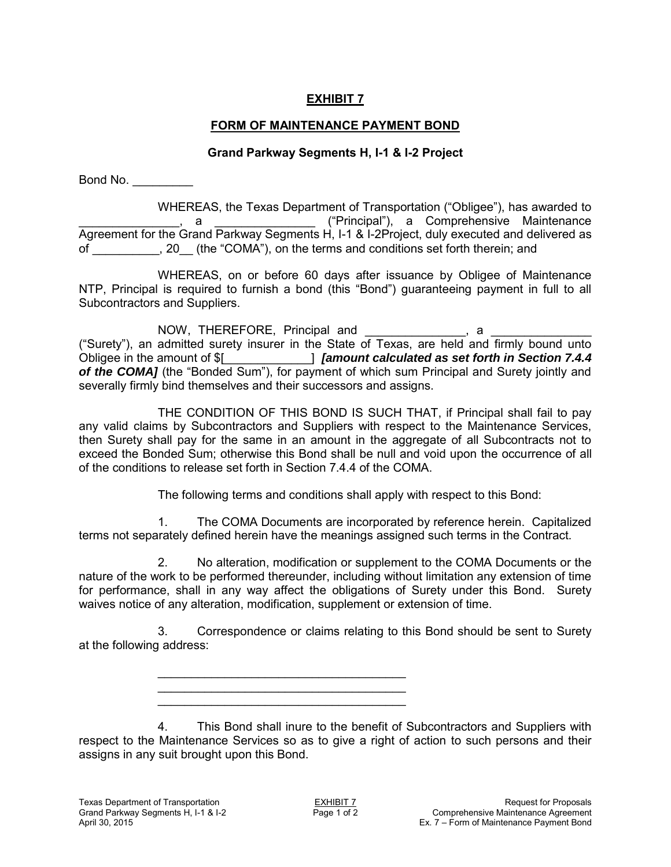## **FORM OF MAINTENANCE PAYMENT BOND**

#### **Grand Parkway Segments H, I-1 & I-2 Project**

Bond No. \_\_\_\_\_\_\_\_\_

WHEREAS, the Texas Department of Transportation ("Obligee"), has awarded to a \_\_\_\_\_\_\_\_\_\_\_\_\_\_\_\_\_\_("Principal"), a Comprehensive Maintenance Agreement for the Grand Parkway Segments H, I-1 & I-2Project, duly executed and delivered as of \_\_\_\_\_\_\_\_\_\_, 20\_\_ (the "COMA"), on the terms and conditions set forth therein; and

WHEREAS, on or before 60 days after issuance by Obligee of Maintenance NTP, Principal is required to furnish a bond (this "Bond") guaranteeing payment in full to all Subcontractors and Suppliers.

NOW, THEREFORE, Principal and \_\_\_\_\_\_\_\_\_\_\_\_\_\_\_, a ("Surety"), an admitted surety insurer in the State of Texas, are held and firmly bound unto Obligee in the amount of \$[\_\_\_\_\_\_\_\_\_\_\_\_\_] *[amount calculated as set forth in Section 7.4.4 of the COMA]* (the "Bonded Sum"), for payment of which sum Principal and Surety jointly and severally firmly bind themselves and their successors and assigns.

THE CONDITION OF THIS BOND IS SUCH THAT, if Principal shall fail to pay any valid claims by Subcontractors and Suppliers with respect to the Maintenance Services, then Surety shall pay for the same in an amount in the aggregate of all Subcontracts not to exceed the Bonded Sum; otherwise this Bond shall be null and void upon the occurrence of all of the conditions to release set forth in Section 7.4.4 of the COMA.

The following terms and conditions shall apply with respect to this Bond:

1. The COMA Documents are incorporated by reference herein. Capitalized terms not separately defined herein have the meanings assigned such terms in the Contract.

2. No alteration, modification or supplement to the COMA Documents or the nature of the work to be performed thereunder, including without limitation any extension of time for performance, shall in any way affect the obligations of Surety under this Bond. Surety waives notice of any alteration, modification, supplement or extension of time.

3. Correspondence or claims relating to this Bond should be sent to Surety at the following address:

> \_\_\_\_\_\_\_\_\_\_\_\_\_\_\_\_\_\_\_\_\_\_\_\_\_\_\_\_\_\_\_\_\_\_\_\_\_ \_\_\_\_\_\_\_\_\_\_\_\_\_\_\_\_\_\_\_\_\_\_\_\_\_\_\_\_\_\_\_\_\_\_\_\_\_ \_\_\_\_\_\_\_\_\_\_\_\_\_\_\_\_\_\_\_\_\_\_\_\_\_\_\_\_\_\_\_\_\_\_\_\_\_

4. This Bond shall inure to the benefit of Subcontractors and Suppliers with respect to the Maintenance Services so as to give a right of action to such persons and their assigns in any suit brought upon this Bond.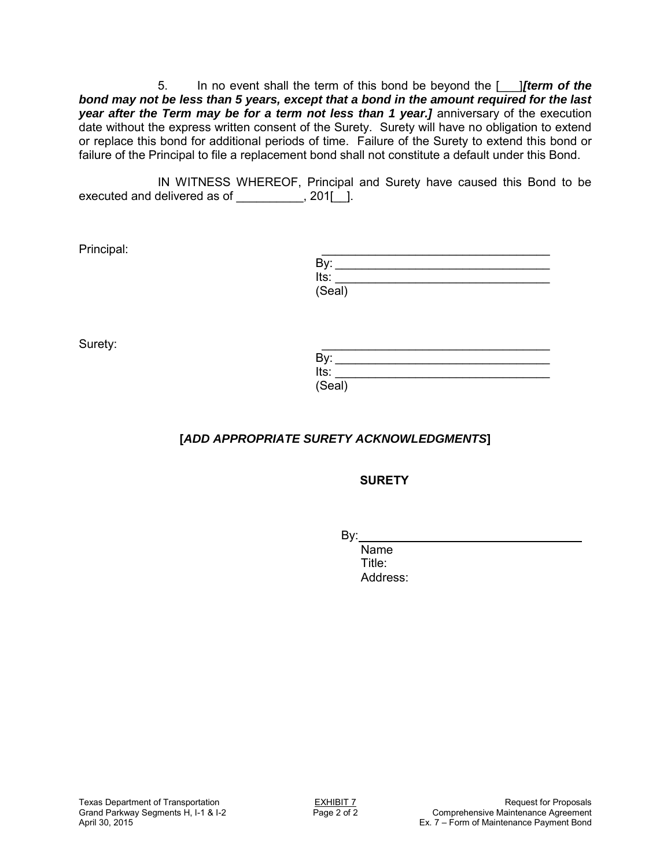5. In no event shall the term of this bond be beyond the [\_\_\_]*[term of the bond may not be less than 5 years, except that a bond in the amount required for the last year after the Term may be for a term not less than 1 year.]* anniversary of the execution date without the express written consent of the Surety. Surety will have no obligation to extend or replace this bond for additional periods of time. Failure of the Surety to extend this bond or failure of the Principal to file a replacement bond shall not constitute a default under this Bond.

IN WITNESS WHEREOF, Principal and Surety have caused this Bond to be executed and delivered as of \_\_\_\_\_\_\_\_\_, 201[\_].

| Principal: |        |
|------------|--------|
|            | By:    |
|            | Its:   |
|            | (Seal) |

| Surety: |        |
|---------|--------|
|         | By:    |
|         | Its:   |
|         | (Seal) |

# **[***ADD APPROPRIATE SURETY ACKNOWLEDGMENTS***]**

**SURETY**

By:

Name Title: Address: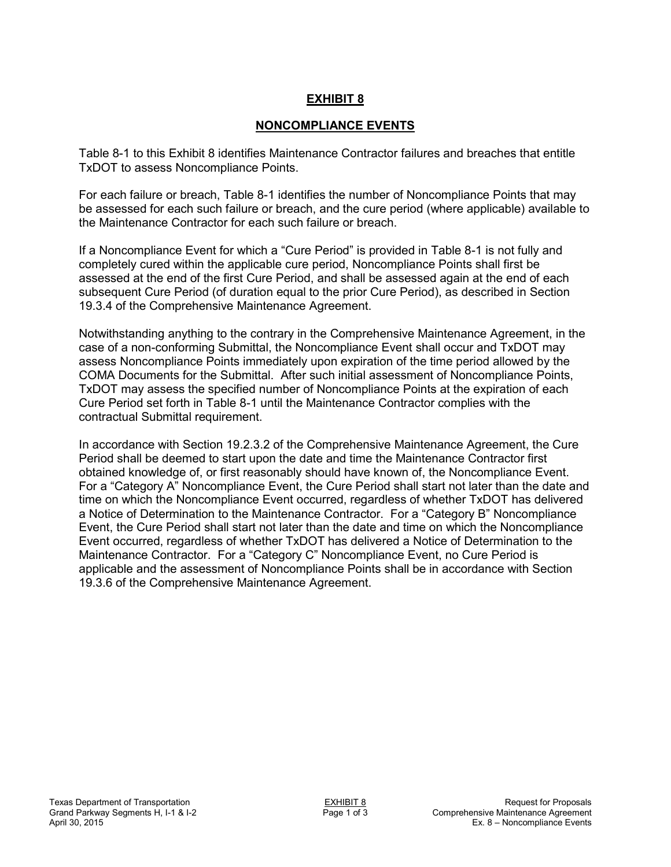### **NONCOMPLIANCE EVENTS**

Table 8-1 to this Exhibit 8 identifies Maintenance Contractor failures and breaches that entitle TxDOT to assess Noncompliance Points.

For each failure or breach, Table 8-1 identifies the number of Noncompliance Points that may be assessed for each such failure or breach, and the cure period (where applicable) available to the Maintenance Contractor for each such failure or breach.

If a Noncompliance Event for which a "Cure Period" is provided in Table 8-1 is not fully and completely cured within the applicable cure period, Noncompliance Points shall first be assessed at the end of the first Cure Period, and shall be assessed again at the end of each subsequent Cure Period (of duration equal to the prior Cure Period), as described in Section 19.3.4 of the Comprehensive Maintenance Agreement.

Notwithstanding anything to the contrary in the Comprehensive Maintenance Agreement, in the case of a non-conforming Submittal, the Noncompliance Event shall occur and TxDOT may assess Noncompliance Points immediately upon expiration of the time period allowed by the COMA Documents for the Submittal. After such initial assessment of Noncompliance Points, TxDOT may assess the specified number of Noncompliance Points at the expiration of each Cure Period set forth in Table 8-1 until the Maintenance Contractor complies with the contractual Submittal requirement.

In accordance with Section 19.2.3.2 of the Comprehensive Maintenance Agreement, the Cure Period shall be deemed to start upon the date and time the Maintenance Contractor first obtained knowledge of, or first reasonably should have known of, the Noncompliance Event. For a "Category A" Noncompliance Event, the Cure Period shall start not later than the date and time on which the Noncompliance Event occurred, regardless of whether TxDOT has delivered a Notice of Determination to the Maintenance Contractor. For a "Category B" Noncompliance Event, the Cure Period shall start not later than the date and time on which the Noncompliance Event occurred, regardless of whether TxDOT has delivered a Notice of Determination to the Maintenance Contractor. For a "Category C" Noncompliance Event, no Cure Period is applicable and the assessment of Noncompliance Points shall be in accordance with Section 19.3.6 of the Comprehensive Maintenance Agreement.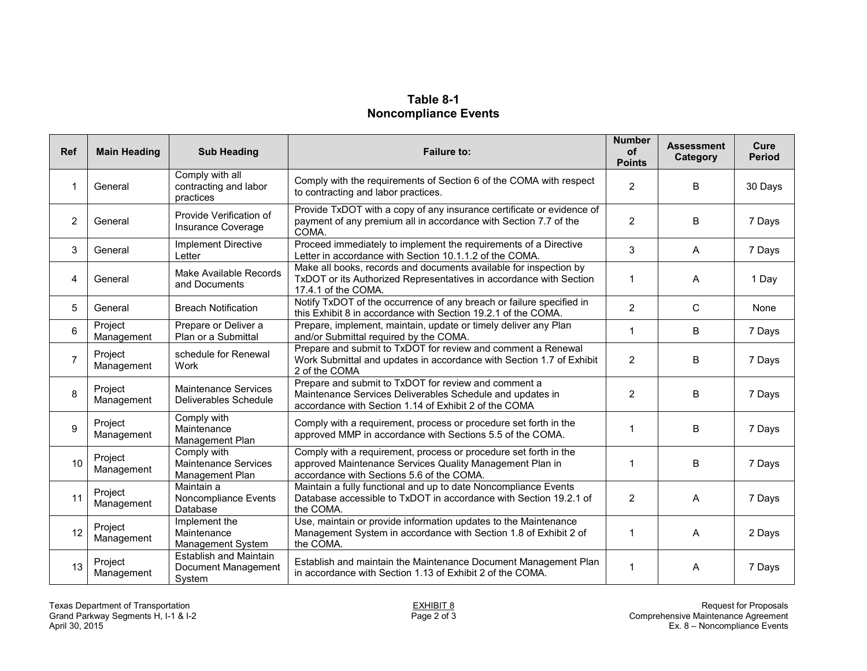## **Table 8-1 Noncompliance Events**

| Ref            | <b>Main Heading</b>   | <b>Sub Heading</b>                                             | <b>Failure to:</b>                                                                                                                                                         | <b>Number</b><br>of<br><b>Points</b> | <b>Assessment</b><br>Category | Cure<br><b>Period</b> |
|----------------|-----------------------|----------------------------------------------------------------|----------------------------------------------------------------------------------------------------------------------------------------------------------------------------|--------------------------------------|-------------------------------|-----------------------|
| -1             | General               | Comply with all<br>contracting and labor<br>practices          | Comply with the requirements of Section 6 of the COMA with respect<br>to contracting and labor practices.                                                                  | 2                                    | B                             | 30 Days               |
| 2              | General               | Provide Verification of<br>Insurance Coverage                  | Provide TxDOT with a copy of any insurance certificate or evidence of<br>payment of any premium all in accordance with Section 7.7 of the<br>COMA.                         | 2                                    | B                             | 7 Days                |
| 3              | General               | <b>Implement Directive</b><br>Letter                           | Proceed immediately to implement the requirements of a Directive<br>Letter in accordance with Section 10.1.1.2 of the COMA.                                                | 3                                    | A                             | 7 Days                |
| 4              | General               | Make Available Records<br>and Documents                        | Make all books, records and documents available for inspection by<br>TxDOT or its Authorized Representatives in accordance with Section<br>17.4.1 of the COMA.             | $\mathbf{1}$                         | A                             | 1 Day                 |
| 5              | General               | <b>Breach Notification</b>                                     | Notify TxDOT of the occurrence of any breach or failure specified in<br>this Exhibit 8 in accordance with Section 19.2.1 of the COMA.                                      | 2                                    | C                             | None                  |
| 6              | Project<br>Management | Prepare or Deliver a<br>Plan or a Submittal                    | Prepare, implement, maintain, update or timely deliver any Plan<br>and/or Submittal required by the COMA.                                                                  | $\mathbf 1$                          | B                             | 7 Days                |
| $\overline{7}$ | Project<br>Management | schedule for Renewal<br><b>Work</b>                            | Prepare and submit to TxDOT for review and comment a Renewal<br>Work Submittal and updates in accordance with Section 1.7 of Exhibit<br>2 of the COMA                      | 2                                    | B                             | 7 Days                |
| 8              | Project<br>Management | Maintenance Services<br>Deliverables Schedule                  | Prepare and submit to TxDOT for review and comment a<br>Maintenance Services Deliverables Schedule and updates in<br>accordance with Section 1.14 of Exhibit 2 of the COMA | 2                                    | B                             | 7 Days                |
| 9              | Project<br>Management | Comply with<br>Maintenance<br>Management Plan                  | Comply with a requirement, process or procedure set forth in the<br>approved MMP in accordance with Sections 5.5 of the COMA.                                              | $\mathbf 1$                          | B                             | 7 Days                |
| 10             | Project<br>Management | Comply with<br><b>Maintenance Services</b><br>Management Plan  | Comply with a requirement, process or procedure set forth in the<br>approved Maintenance Services Quality Management Plan in<br>accordance with Sections 5.6 of the COMA.  | $\mathbf{1}$                         | B                             | 7 Days                |
| 11             | Project<br>Management | Maintain a<br>Noncompliance Events<br>Database                 | Maintain a fully functional and up to date Noncompliance Events<br>Database accessible to TxDOT in accordance with Section 19.2.1 of<br>the COMA.                          | 2                                    | A                             | 7 Days                |
| 12             | Project<br>Management | Implement the<br>Maintenance<br>Management System              | Use, maintain or provide information updates to the Maintenance<br>Management System in accordance with Section 1.8 of Exhibit 2 of<br>the COMA.                           | $\mathbf{1}$                         | A                             | 2 Days                |
| 13             | Project<br>Management | <b>Establish and Maintain</b><br>Document Management<br>System | Establish and maintain the Maintenance Document Management Plan<br>in accordance with Section 1.13 of Exhibit 2 of the COMA.                                               | 1                                    | A                             | 7 Days                |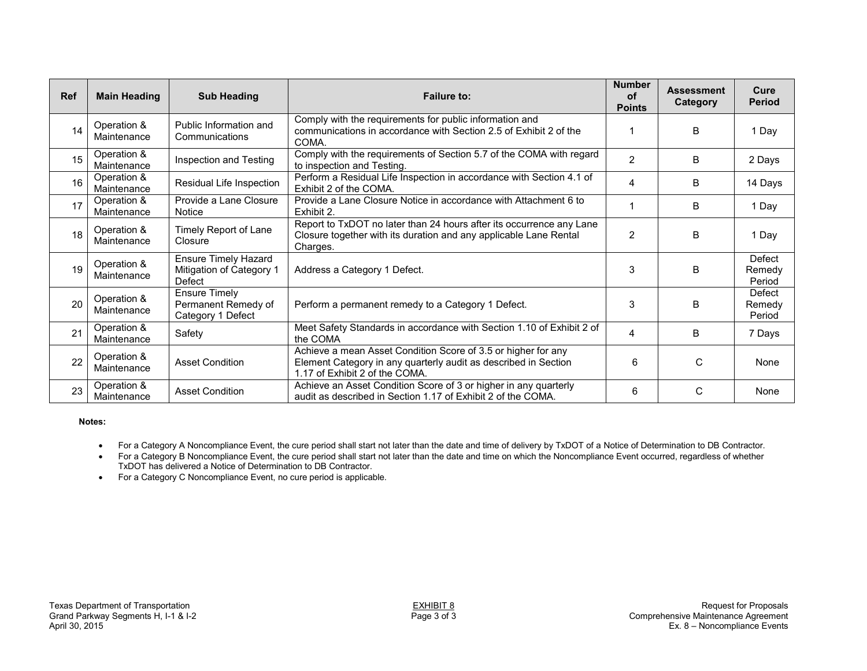| <b>Ref</b> | <b>Main Heading</b>        | <b>Sub Heading</b>                                                | <b>Failure to:</b>                                                                                                                                                 | <b>Number</b><br><b>of</b><br><b>Points</b> | <b>Assessment</b><br>Category | Cure<br><b>Period</b>      |
|------------|----------------------------|-------------------------------------------------------------------|--------------------------------------------------------------------------------------------------------------------------------------------------------------------|---------------------------------------------|-------------------------------|----------------------------|
| 14         | Operation &<br>Maintenance | Public Information and<br>Communications                          | Comply with the requirements for public information and<br>communications in accordance with Section 2.5 of Exhibit 2 of the<br>COMA.                              |                                             | B                             | 1 Day                      |
| 15         | Operation &<br>Maintenance | Inspection and Testing                                            | Comply with the requirements of Section 5.7 of the COMA with regard<br>to inspection and Testing.                                                                  | 2                                           | B                             | 2 Days                     |
| 16         | Operation &<br>Maintenance | Residual Life Inspection                                          | Perform a Residual Life Inspection in accordance with Section 4.1 of<br>Exhibit 2 of the COMA.                                                                     | 4                                           | B                             | 14 Days                    |
| 17         | Operation &<br>Maintenance | Provide a Lane Closure<br>Notice                                  | Provide a Lane Closure Notice in accordance with Attachment 6 to<br>Exhibit 2.                                                                                     | 1                                           | B                             | 1 Day                      |
| 18         | Operation &<br>Maintenance | Timely Report of Lane<br>Closure                                  | Report to TxDOT no later than 24 hours after its occurrence any Lane<br>Closure together with its duration and any applicable Lane Rental<br>Charges.              | $\overline{2}$                              | B                             | 1 Day                      |
| 19         | Operation &<br>Maintenance | <b>Ensure Timely Hazard</b><br>Mitigation of Category 1<br>Defect | Address a Category 1 Defect.                                                                                                                                       | 3                                           | B                             | Defect<br>Remedy<br>Period |
| 20         | Operation &<br>Maintenance | <b>Ensure Timely</b><br>Permanent Remedy of<br>Category 1 Defect  | Perform a permanent remedy to a Category 1 Defect.                                                                                                                 | 3                                           | B                             | Defect<br>Remedy<br>Period |
| 21         | Operation &<br>Maintenance | Safety                                                            | Meet Safety Standards in accordance with Section 1.10 of Exhibit 2 of<br>the COMA                                                                                  | 4                                           | B                             | 7 Days                     |
| 22         | Operation &<br>Maintenance | <b>Asset Condition</b>                                            | Achieve a mean Asset Condition Score of 3.5 or higher for any<br>Element Category in any quarterly audit as described in Section<br>1.17 of Exhibit 2 of the COMA. | 6                                           | C                             | None                       |
| 23         | Operation &<br>Maintenance | <b>Asset Condition</b>                                            | Achieve an Asset Condition Score of 3 or higher in any quarterly<br>audit as described in Section 1.17 of Exhibit 2 of the COMA.                                   | 6                                           | C                             | None                       |

#### **Notes:**

For a Category A Noncompliance Event, the cure period shall start not later than the date and time of delivery by TxDOT of a Notice of Determination to DB Contractor.

For a Category B Noncompliance Event, the cure period shall start not later than the date and time on which the Noncompliance Event occurred, regardless of whether TxDOT has delivered a Notice of Determination to DB Contractor.

For a Category C Noncompliance Event, no cure period is applicable.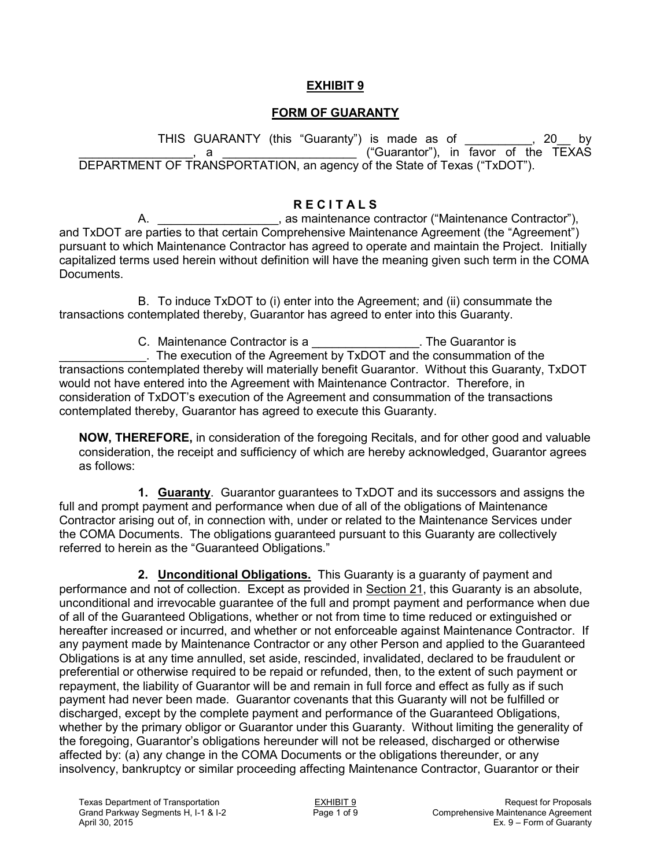### **EXHIBIT 9**

## **FORM OF GUARANTY**

THIS GUARANTY (this "Guaranty") is made as of \_\_\_\_\_\_\_\_\_\_, 20\_\_ by \_\_\_\_\_\_\_\_\_\_\_\_\_\_\_\_\_, a \_\_\_\_\_\_\_\_\_\_\_\_\_\_\_\_\_\_\_\_ ("Guarantor"), in favor of the TEXAS DEPARTMENT OF TRANSPORTATION, an agency of the State of Texas ("TxDOT").

## **R E C I T A L S**

A. \_\_\_\_\_\_\_\_\_\_\_\_\_\_\_\_\_\_, as maintenance contractor ("Maintenance Contractor"), and TxDOT are parties to that certain Comprehensive Maintenance Agreement (the "Agreement") pursuant to which Maintenance Contractor has agreed to operate and maintain the Project. Initially capitalized terms used herein without definition will have the meaning given such term in the COMA Documents.

B. To induce TxDOT to (i) enter into the Agreement; and (ii) consummate the transactions contemplated thereby, Guarantor has agreed to enter into this Guaranty.

C. Maintenance Contractor is a metal of the Guarantor is \_\_\_\_\_\_\_\_\_\_\_\_\_. The execution of the Agreement by TxDOT and the consummation of the transactions contemplated thereby will materially benefit Guarantor. Without this Guaranty, TxDOT would not have entered into the Agreement with Maintenance Contractor. Therefore, in consideration of TxDOT's execution of the Agreement and consummation of the transactions contemplated thereby, Guarantor has agreed to execute this Guaranty.

**NOW, THEREFORE,** in consideration of the foregoing Recitals, and for other good and valuable consideration, the receipt and sufficiency of which are hereby acknowledged, Guarantor agrees as follows:

**1. Guaranty**. Guarantor guarantees to TxDOT and its successors and assigns the full and prompt payment and performance when due of all of the obligations of Maintenance Contractor arising out of, in connection with, under or related to the Maintenance Services under the COMA Documents. The obligations guaranteed pursuant to this Guaranty are collectively referred to herein as the "Guaranteed Obligations."

**2. Unconditional Obligations.** This Guaranty is a guaranty of payment and performance and not of collection. Except as provided in Section 21, this Guaranty is an absolute, unconditional and irrevocable guarantee of the full and prompt payment and performance when due of all of the Guaranteed Obligations, whether or not from time to time reduced or extinguished or hereafter increased or incurred, and whether or not enforceable against Maintenance Contractor. If any payment made by Maintenance Contractor or any other Person and applied to the Guaranteed Obligations is at any time annulled, set aside, rescinded, invalidated, declared to be fraudulent or preferential or otherwise required to be repaid or refunded, then, to the extent of such payment or repayment, the liability of Guarantor will be and remain in full force and effect as fully as if such payment had never been made. Guarantor covenants that this Guaranty will not be fulfilled or discharged, except by the complete payment and performance of the Guaranteed Obligations, whether by the primary obligor or Guarantor under this Guaranty. Without limiting the generality of the foregoing, Guarantor's obligations hereunder will not be released, discharged or otherwise affected by: (a) any change in the COMA Documents or the obligations thereunder, or any insolvency, bankruptcy or similar proceeding affecting Maintenance Contractor, Guarantor or their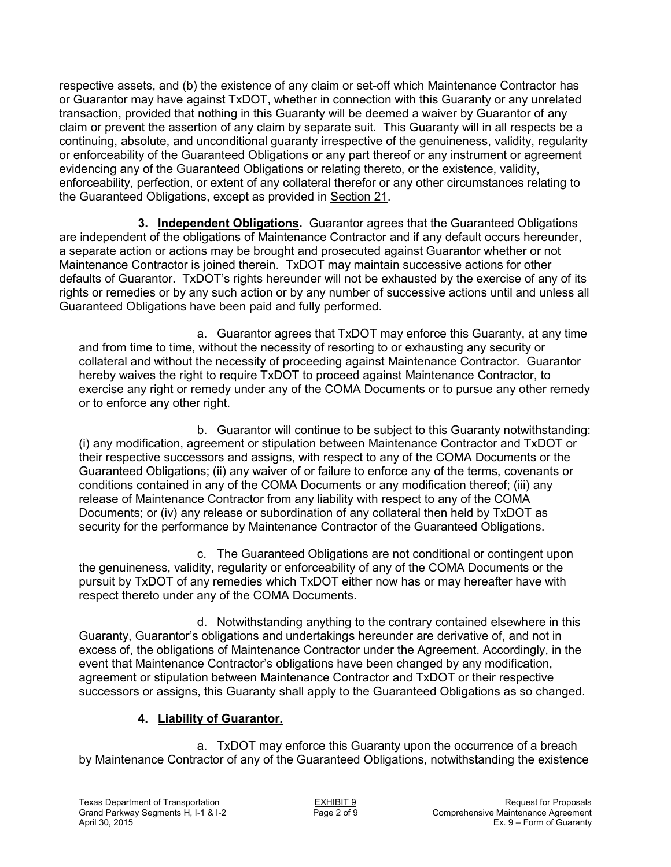respective assets, and (b) the existence of any claim or set-off which Maintenance Contractor has or Guarantor may have against TxDOT, whether in connection with this Guaranty or any unrelated transaction, provided that nothing in this Guaranty will be deemed a waiver by Guarantor of any claim or prevent the assertion of any claim by separate suit. This Guaranty will in all respects be a continuing, absolute, and unconditional guaranty irrespective of the genuineness, validity, regularity or enforceability of the Guaranteed Obligations or any part thereof or any instrument or agreement evidencing any of the Guaranteed Obligations or relating thereto, or the existence, validity, enforceability, perfection, or extent of any collateral therefor or any other circumstances relating to the Guaranteed Obligations, except as provided in Section 21.

**3. Independent Obligations.** Guarantor agrees that the Guaranteed Obligations are independent of the obligations of Maintenance Contractor and if any default occurs hereunder, a separate action or actions may be brought and prosecuted against Guarantor whether or not Maintenance Contractor is joined therein. TxDOT may maintain successive actions for other defaults of Guarantor. TxDOT's rights hereunder will not be exhausted by the exercise of any of its rights or remedies or by any such action or by any number of successive actions until and unless all Guaranteed Obligations have been paid and fully performed.

a. Guarantor agrees that TxDOT may enforce this Guaranty, at any time and from time to time, without the necessity of resorting to or exhausting any security or collateral and without the necessity of proceeding against Maintenance Contractor. Guarantor hereby waives the right to require TxDOT to proceed against Maintenance Contractor, to exercise any right or remedy under any of the COMA Documents or to pursue any other remedy or to enforce any other right.

b. Guarantor will continue to be subject to this Guaranty notwithstanding: (i) any modification, agreement or stipulation between Maintenance Contractor and TxDOT or their respective successors and assigns, with respect to any of the COMA Documents or the Guaranteed Obligations; (ii) any waiver of or failure to enforce any of the terms, covenants or conditions contained in any of the COMA Documents or any modification thereof; (iii) any release of Maintenance Contractor from any liability with respect to any of the COMA Documents; or (iv) any release or subordination of any collateral then held by TxDOT as security for the performance by Maintenance Contractor of the Guaranteed Obligations.

c. The Guaranteed Obligations are not conditional or contingent upon the genuineness, validity, regularity or enforceability of any of the COMA Documents or the pursuit by TxDOT of any remedies which TxDOT either now has or may hereafter have with respect thereto under any of the COMA Documents.

d. Notwithstanding anything to the contrary contained elsewhere in this Guaranty, Guarantor's obligations and undertakings hereunder are derivative of, and not in excess of, the obligations of Maintenance Contractor under the Agreement. Accordingly, in the event that Maintenance Contractor's obligations have been changed by any modification, agreement or stipulation between Maintenance Contractor and TxDOT or their respective successors or assigns, this Guaranty shall apply to the Guaranteed Obligations as so changed.

## **4. Liability of Guarantor.**

a. TxDOT may enforce this Guaranty upon the occurrence of a breach by Maintenance Contractor of any of the Guaranteed Obligations, notwithstanding the existence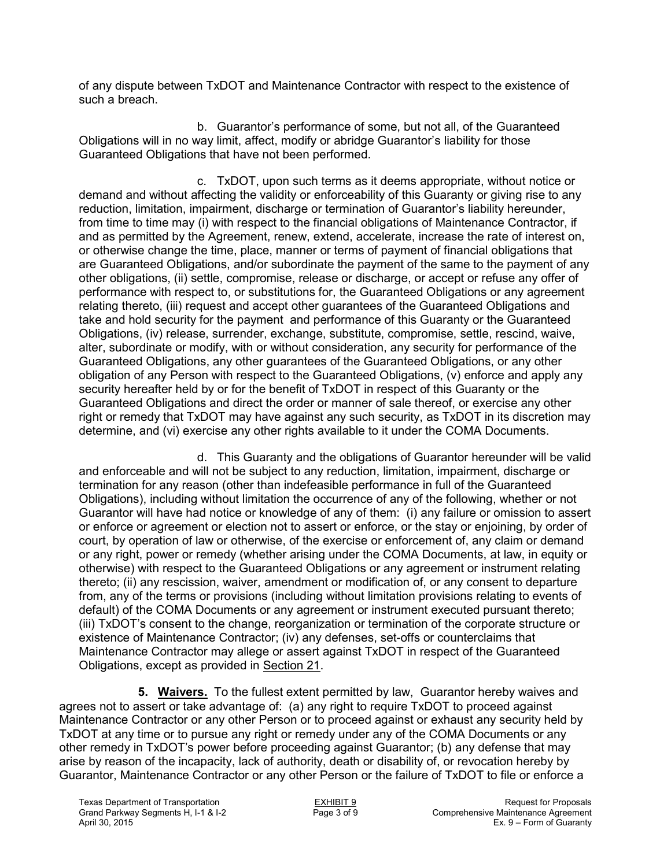of any dispute between TxDOT and Maintenance Contractor with respect to the existence of such a breach.

b. Guarantor's performance of some, but not all, of the Guaranteed Obligations will in no way limit, affect, modify or abridge Guarantor's liability for those Guaranteed Obligations that have not been performed.

c. TxDOT, upon such terms as it deems appropriate, without notice or demand and without affecting the validity or enforceability of this Guaranty or giving rise to any reduction, limitation, impairment, discharge or termination of Guarantor's liability hereunder, from time to time may (i) with respect to the financial obligations of Maintenance Contractor, if and as permitted by the Agreement, renew, extend, accelerate, increase the rate of interest on, or otherwise change the time, place, manner or terms of payment of financial obligations that are Guaranteed Obligations, and/or subordinate the payment of the same to the payment of any other obligations, (ii) settle, compromise, release or discharge, or accept or refuse any offer of performance with respect to, or substitutions for, the Guaranteed Obligations or any agreement relating thereto, (iii) request and accept other guarantees of the Guaranteed Obligations and take and hold security for the payment and performance of this Guaranty or the Guaranteed Obligations, (iv) release, surrender, exchange, substitute, compromise, settle, rescind, waive, alter, subordinate or modify, with or without consideration, any security for performance of the Guaranteed Obligations, any other guarantees of the Guaranteed Obligations, or any other obligation of any Person with respect to the Guaranteed Obligations, (v) enforce and apply any security hereafter held by or for the benefit of TxDOT in respect of this Guaranty or the Guaranteed Obligations and direct the order or manner of sale thereof, or exercise any other right or remedy that TxDOT may have against any such security, as TxDOT in its discretion may determine, and (vi) exercise any other rights available to it under the COMA Documents.

d. This Guaranty and the obligations of Guarantor hereunder will be valid and enforceable and will not be subject to any reduction, limitation, impairment, discharge or termination for any reason (other than indefeasible performance in full of the Guaranteed Obligations), including without limitation the occurrence of any of the following, whether or not Guarantor will have had notice or knowledge of any of them: (i) any failure or omission to assert or enforce or agreement or election not to assert or enforce, or the stay or enjoining, by order of court, by operation of law or otherwise, of the exercise or enforcement of, any claim or demand or any right, power or remedy (whether arising under the COMA Documents, at law, in equity or otherwise) with respect to the Guaranteed Obligations or any agreement or instrument relating thereto; (ii) any rescission, waiver, amendment or modification of, or any consent to departure from, any of the terms or provisions (including without limitation provisions relating to events of default) of the COMA Documents or any agreement or instrument executed pursuant thereto; (iii) TxDOT's consent to the change, reorganization or termination of the corporate structure or existence of Maintenance Contractor; (iv) any defenses, set-offs or counterclaims that Maintenance Contractor may allege or assert against TxDOT in respect of the Guaranteed Obligations, except as provided in Section 21.

**5. Waivers.** To the fullest extent permitted by law, Guarantor hereby waives and agrees not to assert or take advantage of: (a) any right to require TxDOT to proceed against Maintenance Contractor or any other Person or to proceed against or exhaust any security held by TxDOT at any time or to pursue any right or remedy under any of the COMA Documents or any other remedy in TxDOT's power before proceeding against Guarantor; (b) any defense that may arise by reason of the incapacity, lack of authority, death or disability of, or revocation hereby by Guarantor, Maintenance Contractor or any other Person or the failure of TxDOT to file or enforce a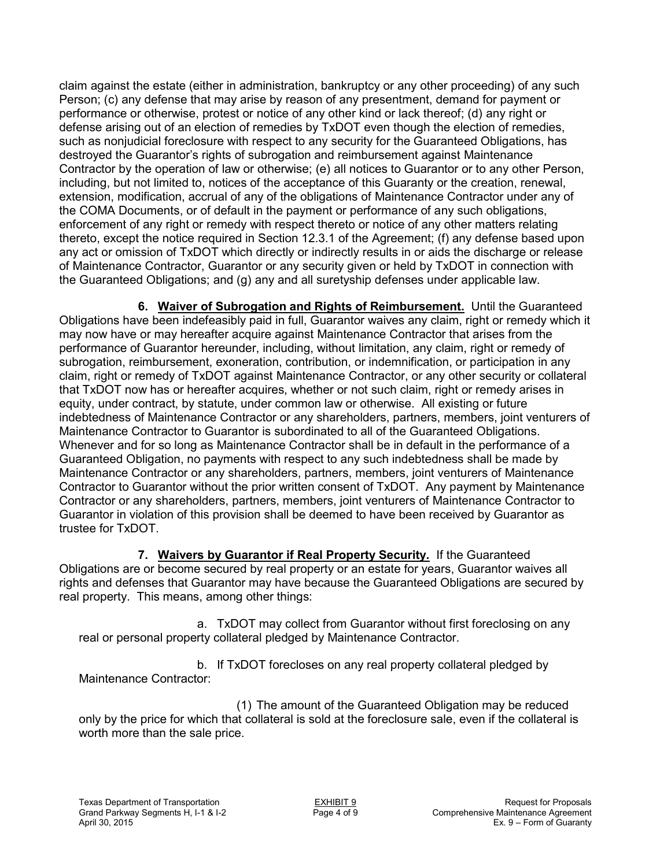claim against the estate (either in administration, bankruptcy or any other proceeding) of any such Person; (c) any defense that may arise by reason of any presentment, demand for payment or performance or otherwise, protest or notice of any other kind or lack thereof; (d) any right or defense arising out of an election of remedies by TxDOT even though the election of remedies, such as nonjudicial foreclosure with respect to any security for the Guaranteed Obligations, has destroyed the Guarantor's rights of subrogation and reimbursement against Maintenance Contractor by the operation of law or otherwise; (e) all notices to Guarantor or to any other Person, including, but not limited to, notices of the acceptance of this Guaranty or the creation, renewal, extension, modification, accrual of any of the obligations of Maintenance Contractor under any of the COMA Documents, or of default in the payment or performance of any such obligations, enforcement of any right or remedy with respect thereto or notice of any other matters relating thereto, except the notice required in Section 12.3.1 of the Agreement; (f) any defense based upon any act or omission of TxDOT which directly or indirectly results in or aids the discharge or release of Maintenance Contractor, Guarantor or any security given or held by TxDOT in connection with the Guaranteed Obligations; and (g) any and all suretyship defenses under applicable law.

**6. Waiver of Subrogation and Rights of Reimbursement.** Until the Guaranteed Obligations have been indefeasibly paid in full, Guarantor waives any claim, right or remedy which it may now have or may hereafter acquire against Maintenance Contractor that arises from the performance of Guarantor hereunder, including, without limitation, any claim, right or remedy of subrogation, reimbursement, exoneration, contribution, or indemnification, or participation in any claim, right or remedy of TxDOT against Maintenance Contractor, or any other security or collateral that TxDOT now has or hereafter acquires, whether or not such claim, right or remedy arises in equity, under contract, by statute, under common law or otherwise. All existing or future indebtedness of Maintenance Contractor or any shareholders, partners, members, joint venturers of Maintenance Contractor to Guarantor is subordinated to all of the Guaranteed Obligations. Whenever and for so long as Maintenance Contractor shall be in default in the performance of a Guaranteed Obligation, no payments with respect to any such indebtedness shall be made by Maintenance Contractor or any shareholders, partners, members, joint venturers of Maintenance Contractor to Guarantor without the prior written consent of TxDOT. Any payment by Maintenance Contractor or any shareholders, partners, members, joint venturers of Maintenance Contractor to Guarantor in violation of this provision shall be deemed to have been received by Guarantor as trustee for TxDOT.

**7. Waivers by Guarantor if Real Property Security.** If the Guaranteed Obligations are or become secured by real property or an estate for years, Guarantor waives all rights and defenses that Guarantor may have because the Guaranteed Obligations are secured by real property. This means, among other things:

a. TxDOT may collect from Guarantor without first foreclosing on any real or personal property collateral pledged by Maintenance Contractor.

b. If TxDOT forecloses on any real property collateral pledged by Maintenance Contractor:

(1) The amount of the Guaranteed Obligation may be reduced only by the price for which that collateral is sold at the foreclosure sale, even if the collateral is worth more than the sale price.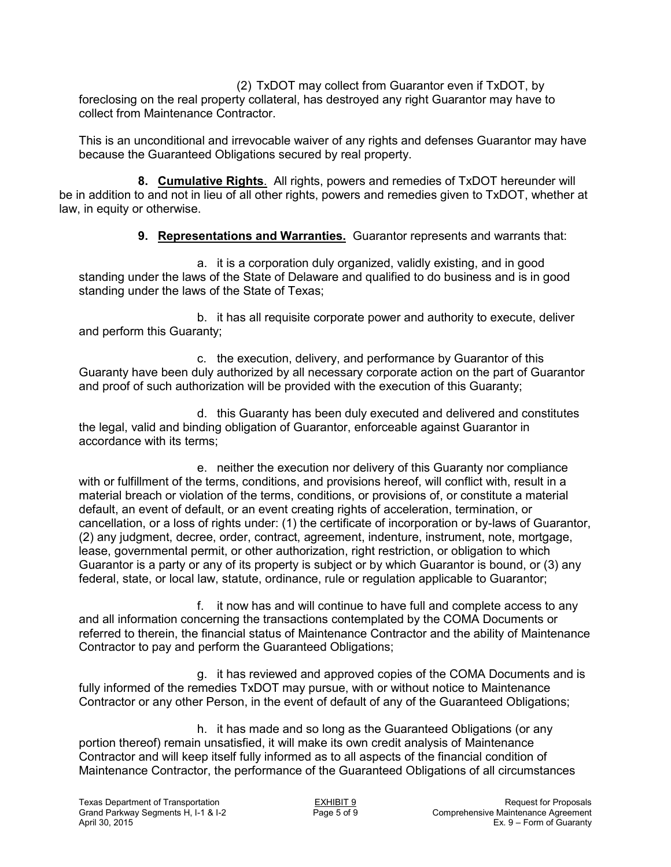(2) TxDOT may collect from Guarantor even if TxDOT, by foreclosing on the real property collateral, has destroyed any right Guarantor may have to collect from Maintenance Contractor.

This is an unconditional and irrevocable waiver of any rights and defenses Guarantor may have because the Guaranteed Obligations secured by real property.

**8. Cumulative Rights**. All rights, powers and remedies of TxDOT hereunder will be in addition to and not in lieu of all other rights, powers and remedies given to TxDOT, whether at law, in equity or otherwise.

**9. Representations and Warranties.** Guarantor represents and warrants that:

a. it is a corporation duly organized, validly existing, and in good standing under the laws of the State of Delaware and qualified to do business and is in good standing under the laws of the State of Texas;

b. it has all requisite corporate power and authority to execute, deliver and perform this Guaranty;

c. the execution, delivery, and performance by Guarantor of this Guaranty have been duly authorized by all necessary corporate action on the part of Guarantor and proof of such authorization will be provided with the execution of this Guaranty;

d. this Guaranty has been duly executed and delivered and constitutes the legal, valid and binding obligation of Guarantor, enforceable against Guarantor in accordance with its terms;

e. neither the execution nor delivery of this Guaranty nor compliance with or fulfillment of the terms, conditions, and provisions hereof, will conflict with, result in a material breach or violation of the terms, conditions, or provisions of, or constitute a material default, an event of default, or an event creating rights of acceleration, termination, or cancellation, or a loss of rights under: (1) the certificate of incorporation or by-laws of Guarantor, (2) any judgment, decree, order, contract, agreement, indenture, instrument, note, mortgage, lease, governmental permit, or other authorization, right restriction, or obligation to which Guarantor is a party or any of its property is subject or by which Guarantor is bound, or (3) any federal, state, or local law, statute, ordinance, rule or regulation applicable to Guarantor;

f. it now has and will continue to have full and complete access to any and all information concerning the transactions contemplated by the COMA Documents or referred to therein, the financial status of Maintenance Contractor and the ability of Maintenance Contractor to pay and perform the Guaranteed Obligations;

g. it has reviewed and approved copies of the COMA Documents and is fully informed of the remedies TxDOT may pursue, with or without notice to Maintenance Contractor or any other Person, in the event of default of any of the Guaranteed Obligations;

h. it has made and so long as the Guaranteed Obligations (or any portion thereof) remain unsatisfied, it will make its own credit analysis of Maintenance Contractor and will keep itself fully informed as to all aspects of the financial condition of Maintenance Contractor, the performance of the Guaranteed Obligations of all circumstances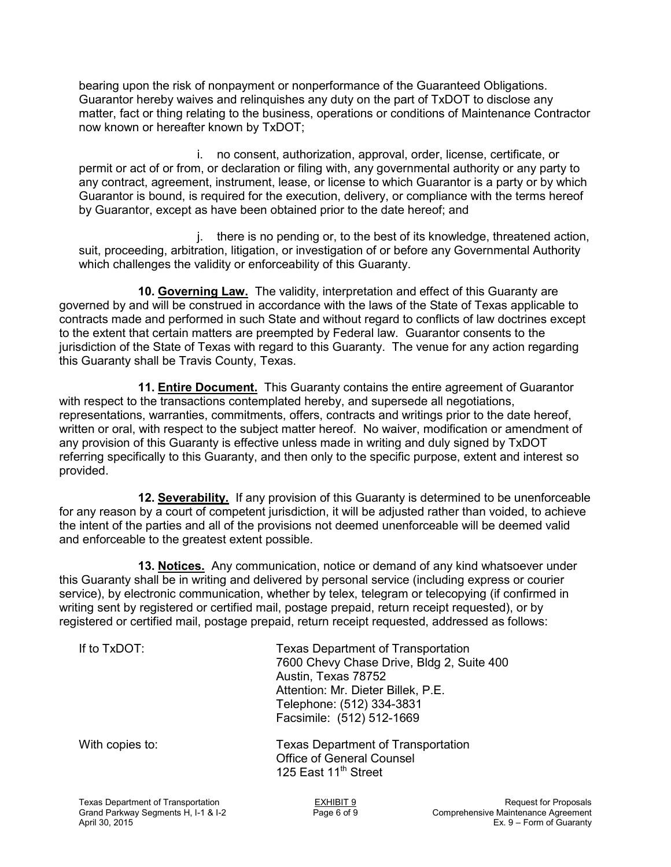bearing upon the risk of nonpayment or nonperformance of the Guaranteed Obligations. Guarantor hereby waives and relinquishes any duty on the part of TxDOT to disclose any matter, fact or thing relating to the business, operations or conditions of Maintenance Contractor now known or hereafter known by TxDOT;

i. no consent, authorization, approval, order, license, certificate, or permit or act of or from, or declaration or filing with, any governmental authority or any party to any contract, agreement, instrument, lease, or license to which Guarantor is a party or by which Guarantor is bound, is required for the execution, delivery, or compliance with the terms hereof by Guarantor, except as have been obtained prior to the date hereof; and

j. there is no pending or, to the best of its knowledge, threatened action, suit, proceeding, arbitration, litigation, or investigation of or before any Governmental Authority which challenges the validity or enforceability of this Guaranty.

**10. Governing Law.** The validity, interpretation and effect of this Guaranty are governed by and will be construed in accordance with the laws of the State of Texas applicable to contracts made and performed in such State and without regard to conflicts of law doctrines except to the extent that certain matters are preempted by Federal law. Guarantor consents to the jurisdiction of the State of Texas with regard to this Guaranty. The venue for any action regarding this Guaranty shall be Travis County, Texas.

**11. Entire Document.** This Guaranty contains the entire agreement of Guarantor with respect to the transactions contemplated hereby, and supersede all negotiations, representations, warranties, commitments, offers, contracts and writings prior to the date hereof, written or oral, with respect to the subject matter hereof. No waiver, modification or amendment of any provision of this Guaranty is effective unless made in writing and duly signed by TxDOT referring specifically to this Guaranty, and then only to the specific purpose, extent and interest so provided.

**12. Severability.** If any provision of this Guaranty is determined to be unenforceable for any reason by a court of competent jurisdiction, it will be adjusted rather than voided, to achieve the intent of the parties and all of the provisions not deemed unenforceable will be deemed valid and enforceable to the greatest extent possible.

**13. Notices.** Any communication, notice or demand of any kind whatsoever under this Guaranty shall be in writing and delivered by personal service (including express or courier service), by electronic communication, whether by telex, telegram or telecopying (if confirmed in writing sent by registered or certified mail, postage prepaid, return receipt requested), or by registered or certified mail, postage prepaid, return receipt requested, addressed as follows:

| If to TxDOT:    | <b>Texas Department of Transportation</b><br>7600 Chevy Chase Drive, Bldg 2, Suite 400<br>Austin, Texas 78752<br>Attention: Mr. Dieter Billek, P.E.<br>Telephone: (512) 334-3831<br>Facsimile: (512) 512-1669 |
|-----------------|---------------------------------------------------------------------------------------------------------------------------------------------------------------------------------------------------------------|
| With copies to: | <b>Texas Department of Transportation</b><br><b>Office of General Counsel</b><br>125 East 11 <sup>th</sup> Street                                                                                             |
|                 |                                                                                                                                                                                                               |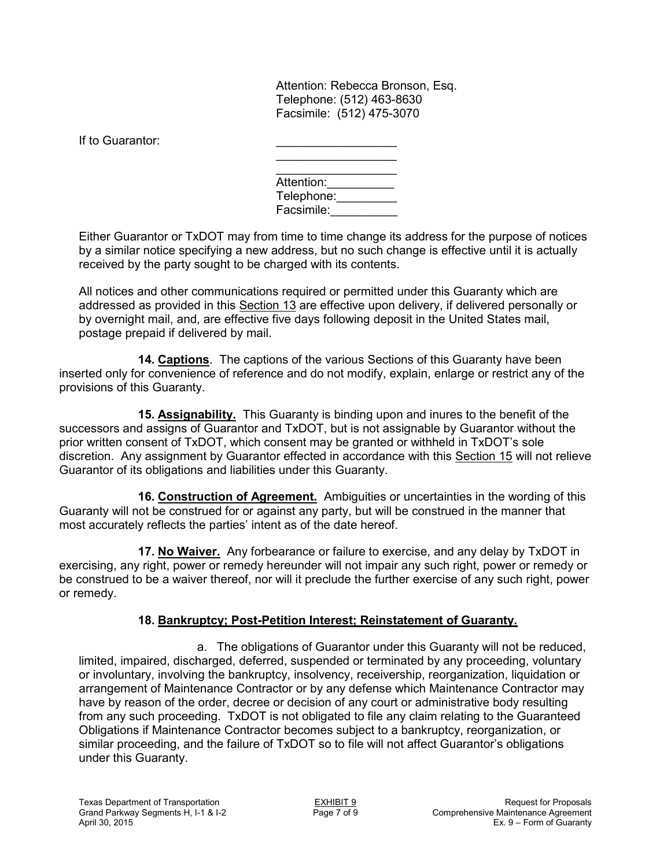Attention: Rebecca Bronson, Esq. Telephone: (512) 463-8630 Facsimile: (512) 475-3070

If to Guarantor:

| Attention: |
|------------|
| Telephone: |
| Facsimile: |

Either Guarantor or TxDOT may from time to time change its address for the purpose of notices by a similar notice specifying a new address, but no such change is effective until it is actually received by the party sought to be charged with its contents.

All notices and other communications required or permitted under this Guaranty which are addressed as provided in this Section 13 are effective upon delivery, if delivered personally or by overnight mail, and, are effective five days following deposit in the United States mail, postage prepaid if delivered by mail.

**14. Captions**. The captions of the various Sections of this Guaranty have been inserted only for convenience of reference and do not modify, explain, enlarge or restrict any of the provisions of this Guaranty.

**15. Assignability.** This Guaranty is binding upon and inures to the benefit of the successors and assigns of Guarantor and TxDOT, but is not assignable by Guarantor without the prior written consent of TxDOT, which consent may be granted or withheld in TxDOT's sole discretion. Any assignment by Guarantor effected in accordance with this Section 15 will not relieve Guarantor of its obligations and liabilities under this Guaranty.

**16. Construction of Agreement.** Ambiguities or uncertainties in the wording of this Guaranty will not be construed for or against any party, but will be construed in the manner that most accurately reflects the parties' intent as of the date hereof.

**17. No Waiver.** Any forbearance or failure to exercise, and any delay by TxDOT in exercising, any right, power or remedy hereunder will not impair any such right, power or remedy or be construed to be a waiver thereof, nor will it preclude the further exercise of any such right, power or remedy.

### **18. Bankruptcy; Post-Petition Interest; Reinstatement of Guaranty.**

a. The obligations of Guarantor under this Guaranty will not be reduced, limited, impaired, discharged, deferred, suspended or terminated by any proceeding, voluntary or involuntary, involving the bankruptcy, insolvency, receivership, reorganization, liquidation or arrangement of Maintenance Contractor or by any defense which Maintenance Contractor may have by reason of the order, decree or decision of any court or administrative body resulting from any such proceeding. TxDOT is not obligated to file any claim relating to the Guaranteed Obligations if Maintenance Contractor becomes subject to a bankruptcy, reorganization, or similar proceeding, and the failure of TxDOT so to file will not affect Guarantor's obligations under this Guaranty.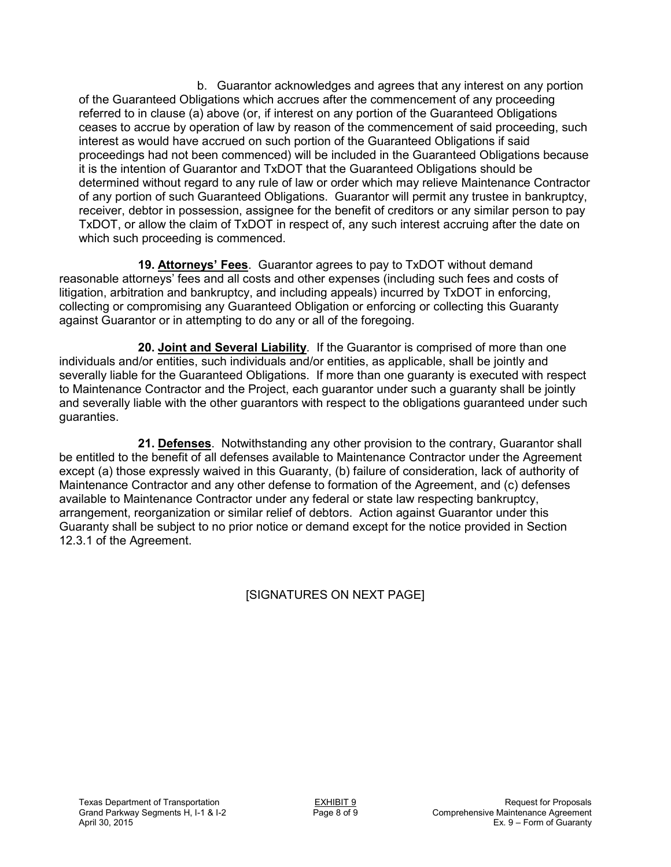b. Guarantor acknowledges and agrees that any interest on any portion of the Guaranteed Obligations which accrues after the commencement of any proceeding referred to in clause (a) above (or, if interest on any portion of the Guaranteed Obligations ceases to accrue by operation of law by reason of the commencement of said proceeding, such interest as would have accrued on such portion of the Guaranteed Obligations if said proceedings had not been commenced) will be included in the Guaranteed Obligations because it is the intention of Guarantor and TxDOT that the Guaranteed Obligations should be determined without regard to any rule of law or order which may relieve Maintenance Contractor of any portion of such Guaranteed Obligations. Guarantor will permit any trustee in bankruptcy, receiver, debtor in possession, assignee for the benefit of creditors or any similar person to pay TxDOT, or allow the claim of TxDOT in respect of, any such interest accruing after the date on which such proceeding is commenced.

**19. Attorneys' Fees**. Guarantor agrees to pay to TxDOT without demand reasonable attorneys' fees and all costs and other expenses (including such fees and costs of litigation, arbitration and bankruptcy, and including appeals) incurred by TxDOT in enforcing, collecting or compromising any Guaranteed Obligation or enforcing or collecting this Guaranty against Guarantor or in attempting to do any or all of the foregoing.

**20. Joint and Several Liability**. If the Guarantor is comprised of more than one individuals and/or entities, such individuals and/or entities, as applicable, shall be jointly and severally liable for the Guaranteed Obligations. If more than one guaranty is executed with respect to Maintenance Contractor and the Project, each guarantor under such a guaranty shall be jointly and severally liable with the other guarantors with respect to the obligations guaranteed under such guaranties.

**21. Defenses**. Notwithstanding any other provision to the contrary, Guarantor shall be entitled to the benefit of all defenses available to Maintenance Contractor under the Agreement except (a) those expressly waived in this Guaranty, (b) failure of consideration, lack of authority of Maintenance Contractor and any other defense to formation of the Agreement, and (c) defenses available to Maintenance Contractor under any federal or state law respecting bankruptcy, arrangement, reorganization or similar relief of debtors. Action against Guarantor under this Guaranty shall be subject to no prior notice or demand except for the notice provided in Section 12.3.1 of the Agreement.

## [SIGNATURES ON NEXT PAGE]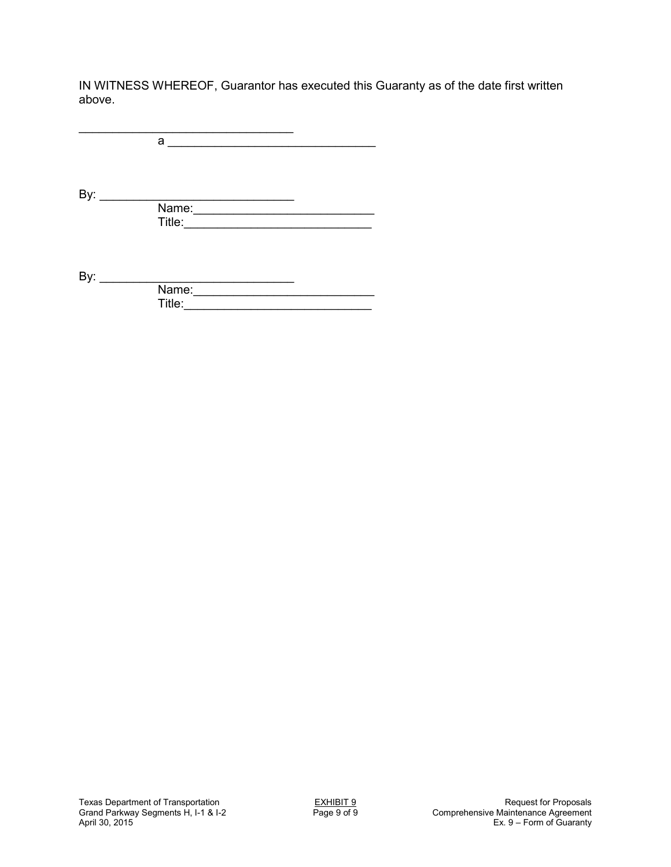IN WITNESS WHEREOF, Guarantor has executed this Guaranty as of the date first written above.

\_\_\_\_\_\_\_\_\_\_\_\_\_\_\_\_\_\_\_\_\_\_\_\_\_\_\_\_\_\_\_\_ a \_\_\_\_\_\_\_\_\_\_\_\_\_\_\_\_\_\_\_\_\_\_\_\_\_\_\_\_\_\_\_ By: \_\_\_\_\_\_\_\_\_\_\_\_\_\_\_\_\_\_\_\_\_\_\_\_\_\_\_\_\_ Name:\_\_\_\_\_\_\_\_\_\_\_\_\_\_\_\_\_\_\_\_\_\_\_\_\_\_\_ Title:\_\_\_\_\_\_\_\_\_\_\_\_\_\_\_\_\_\_\_\_\_\_\_\_\_\_\_\_ By: \_\_\_\_\_\_\_\_\_\_\_\_\_\_\_\_\_\_\_\_\_\_\_\_\_\_\_\_\_ **Name:** 2008. **Name:** 2008. **Name:** 2008. **Name:** 2008. **Name:** 2008. **Name:** 2008. **Name:** 2008. **Name:** 2008. **Name:** 2008. **Name:** 2008. **Name:** 2008. **Name:** 2008. **Name:** 2008. **Name:** 2008. **Name:** 2008. **Name:** 2008 Title:\_\_\_\_\_\_\_\_\_\_\_\_\_\_\_\_\_\_\_\_\_\_\_\_\_\_\_\_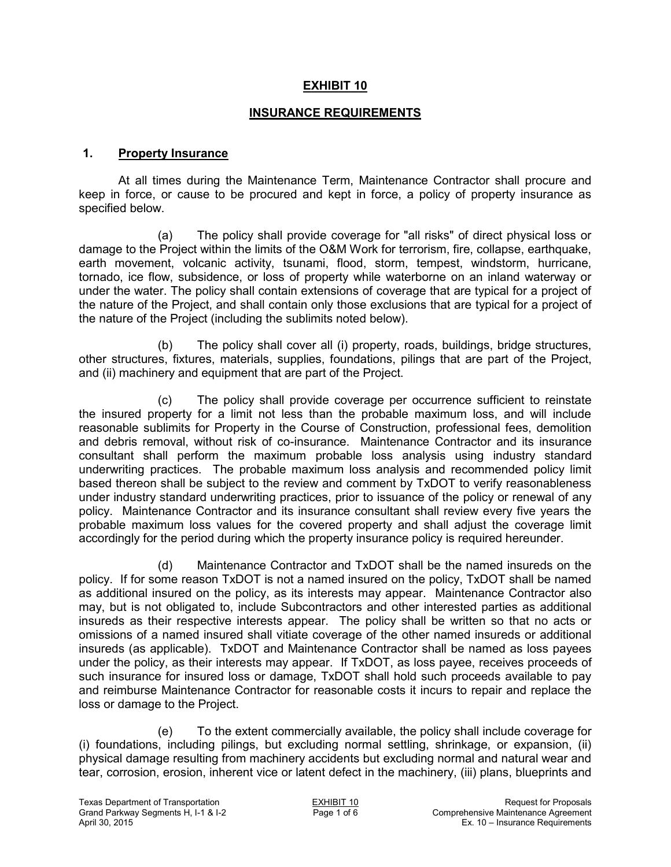### **EXHIBIT 10**

#### **INSURANCE REQUIREMENTS**

#### **1. Property Insurance**

 At all times during the Maintenance Term, Maintenance Contractor shall procure and keep in force, or cause to be procured and kept in force, a policy of property insurance as specified below.

(a) The policy shall provide coverage for "all risks" of direct physical loss or damage to the Project within the limits of the O&M Work for terrorism, fire, collapse, earthquake, earth movement, volcanic activity, tsunami, flood, storm, tempest, windstorm, hurricane, tornado, ice flow, subsidence, or loss of property while waterborne on an inland waterway or under the water. The policy shall contain extensions of coverage that are typical for a project of the nature of the Project, and shall contain only those exclusions that are typical for a project of the nature of the Project (including the sublimits noted below).

(b) The policy shall cover all (i) property, roads, buildings, bridge structures, other structures, fixtures, materials, supplies, foundations, pilings that are part of the Project, and (ii) machinery and equipment that are part of the Project.

(c) The policy shall provide coverage per occurrence sufficient to reinstate the insured property for a limit not less than the probable maximum loss, and will include reasonable sublimits for Property in the Course of Construction, professional fees, demolition and debris removal, without risk of co-insurance. Maintenance Contractor and its insurance consultant shall perform the maximum probable loss analysis using industry standard underwriting practices. The probable maximum loss analysis and recommended policy limit based thereon shall be subject to the review and comment by TxDOT to verify reasonableness under industry standard underwriting practices, prior to issuance of the policy or renewal of any policy. Maintenance Contractor and its insurance consultant shall review every five years the probable maximum loss values for the covered property and shall adjust the coverage limit accordingly for the period during which the property insurance policy is required hereunder.

(d) Maintenance Contractor and TxDOT shall be the named insureds on the policy. If for some reason TxDOT is not a named insured on the policy, TxDOT shall be named as additional insured on the policy, as its interests may appear. Maintenance Contractor also may, but is not obligated to, include Subcontractors and other interested parties as additional insureds as their respective interests appear. The policy shall be written so that no acts or omissions of a named insured shall vitiate coverage of the other named insureds or additional insureds (as applicable). TxDOT and Maintenance Contractor shall be named as loss payees under the policy, as their interests may appear. If TxDOT, as loss payee, receives proceeds of such insurance for insured loss or damage, TxDOT shall hold such proceeds available to pay and reimburse Maintenance Contractor for reasonable costs it incurs to repair and replace the loss or damage to the Project.

(e) To the extent commercially available, the policy shall include coverage for (i) foundations, including pilings, but excluding normal settling, shrinkage, or expansion, (ii) physical damage resulting from machinery accidents but excluding normal and natural wear and tear, corrosion, erosion, inherent vice or latent defect in the machinery, (iii) plans, blueprints and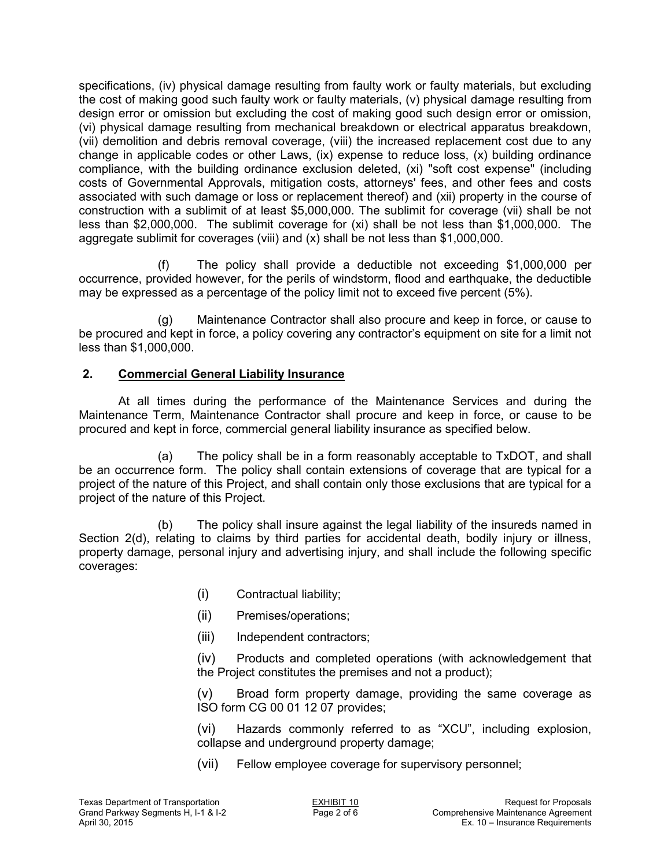specifications, (iv) physical damage resulting from faulty work or faulty materials, but excluding the cost of making good such faulty work or faulty materials, (v) physical damage resulting from design error or omission but excluding the cost of making good such design error or omission, (vi) physical damage resulting from mechanical breakdown or electrical apparatus breakdown, (vii) demolition and debris removal coverage, (viii) the increased replacement cost due to any change in applicable codes or other Laws, (ix) expense to reduce loss, (x) building ordinance compliance, with the building ordinance exclusion deleted, (xi) "soft cost expense" (including costs of Governmental Approvals, mitigation costs, attorneys' fees, and other fees and costs associated with such damage or loss or replacement thereof) and (xii) property in the course of construction with a sublimit of at least \$5,000,000. The sublimit for coverage (vii) shall be not less than \$2,000,000. The sublimit coverage for (xi) shall be not less than \$1,000,000. The aggregate sublimit for coverages (viii) and (x) shall be not less than \$1,000,000.

(f) The policy shall provide a deductible not exceeding \$1,000,000 per occurrence, provided however, for the perils of windstorm, flood and earthquake, the deductible may be expressed as a percentage of the policy limit not to exceed five percent (5%).

(g) Maintenance Contractor shall also procure and keep in force, or cause to be procured and kept in force, a policy covering any contractor's equipment on site for a limit not less than \$1,000,000.

## **2. Commercial General Liability Insurance**

 At all times during the performance of the Maintenance Services and during the Maintenance Term, Maintenance Contractor shall procure and keep in force, or cause to be procured and kept in force, commercial general liability insurance as specified below.

(a) The policy shall be in a form reasonably acceptable to TxDOT, and shall be an occurrence form. The policy shall contain extensions of coverage that are typical for a project of the nature of this Project, and shall contain only those exclusions that are typical for a project of the nature of this Project.

(b) The policy shall insure against the legal liability of the insureds named in Section 2(d), relating to claims by third parties for accidental death, bodily injury or illness, property damage, personal injury and advertising injury, and shall include the following specific coverages:

- (i) Contractual liability;
- (ii) Premises/operations;
- (iii) Independent contractors;

(iv) Products and completed operations (with acknowledgement that the Project constitutes the premises and not a product);

(v) Broad form property damage, providing the same coverage as ISO form CG 00 01 12 07 provides;

(vi) Hazards commonly referred to as "XCU", including explosion, collapse and underground property damage;

(vii) Fellow employee coverage for supervisory personnel;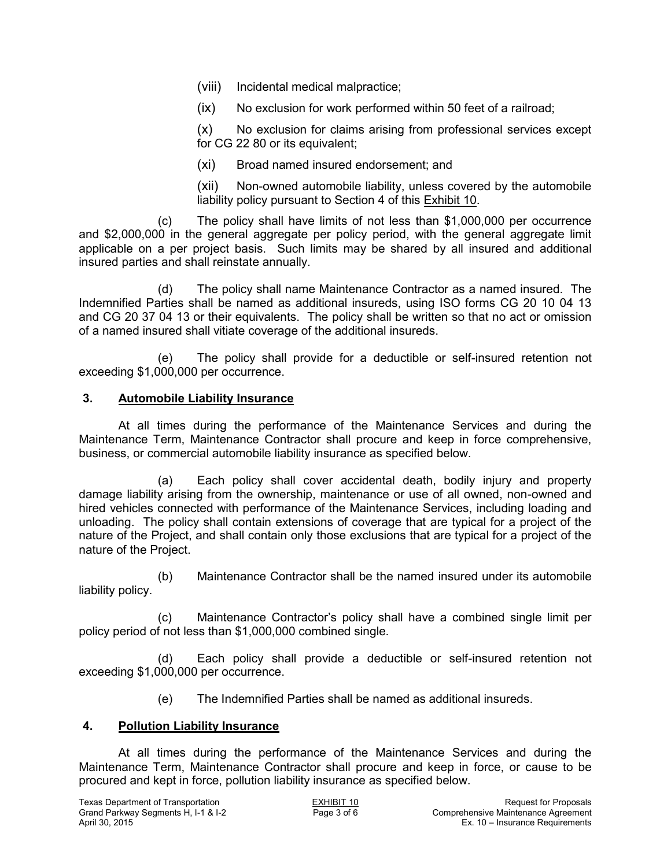(viii) Incidental medical malpractice;

(ix) No exclusion for work performed within 50 feet of a railroad;

(x) No exclusion for claims arising from professional services except for CG 22 80 or its equivalent;

(xi) Broad named insured endorsement; and

(xii) Non-owned automobile liability, unless covered by the automobile liability policy pursuant to Section 4 of this Exhibit 10.

(c) The policy shall have limits of not less than \$1,000,000 per occurrence and \$2,000,000 in the general aggregate per policy period, with the general aggregate limit applicable on a per project basis. Such limits may be shared by all insured and additional insured parties and shall reinstate annually.

(d) The policy shall name Maintenance Contractor as a named insured. The Indemnified Parties shall be named as additional insureds, using ISO forms CG 20 10 04 13 and CG 20 37 04 13 or their equivalents. The policy shall be written so that no act or omission of a named insured shall vitiate coverage of the additional insureds.

(e) The policy shall provide for a deductible or self-insured retention not exceeding \$1,000,000 per occurrence.

### **3. Automobile Liability Insurance**

 At all times during the performance of the Maintenance Services and during the Maintenance Term, Maintenance Contractor shall procure and keep in force comprehensive, business, or commercial automobile liability insurance as specified below.

(a) Each policy shall cover accidental death, bodily injury and property damage liability arising from the ownership, maintenance or use of all owned, non-owned and hired vehicles connected with performance of the Maintenance Services, including loading and unloading. The policy shall contain extensions of coverage that are typical for a project of the nature of the Project, and shall contain only those exclusions that are typical for a project of the nature of the Project.

(b) Maintenance Contractor shall be the named insured under its automobile liability policy.

(c) Maintenance Contractor's policy shall have a combined single limit per policy period of not less than \$1,000,000 combined single.

(d) Each policy shall provide a deductible or self-insured retention not exceeding \$1,000,000 per occurrence.

(e) The Indemnified Parties shall be named as additional insureds.

### **4. Pollution Liability Insurance**

 At all times during the performance of the Maintenance Services and during the Maintenance Term, Maintenance Contractor shall procure and keep in force, or cause to be procured and kept in force, pollution liability insurance as specified below.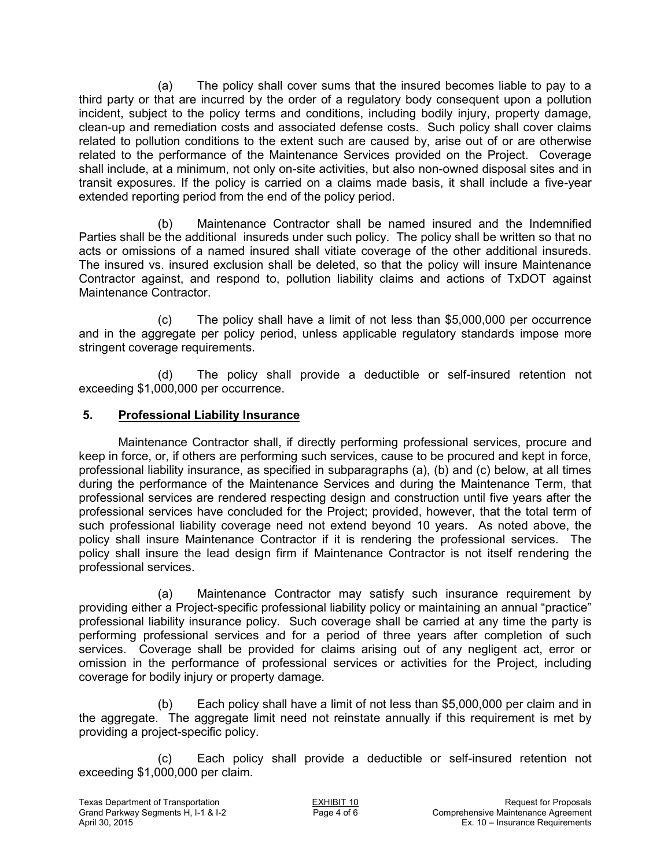(a) The policy shall cover sums that the insured becomes liable to pay to a third party or that are incurred by the order of a regulatory body consequent upon a pollution incident, subject to the policy terms and conditions, including bodily injury, property damage, clean-up and remediation costs and associated defense costs. Such policy shall cover claims related to pollution conditions to the extent such are caused by, arise out of or are otherwise related to the performance of the Maintenance Services provided on the Project. Coverage shall include, at a minimum, not only on-site activities, but also non-owned disposal sites and in transit exposures. If the policy is carried on a claims made basis, it shall include a five-year extended reporting period from the end of the policy period.

(b) Maintenance Contractor shall be named insured and the Indemnified Parties shall be the additional insureds under such policy. The policy shall be written so that no acts or omissions of a named insured shall vitiate coverage of the other additional insureds. The insured vs. insured exclusion shall be deleted, so that the policy will insure Maintenance Contractor against, and respond to, pollution liability claims and actions of TxDOT against Maintenance Contractor.

(c) The policy shall have a limit of not less than \$5,000,000 per occurrence and in the aggregate per policy period, unless applicable regulatory standards impose more stringent coverage requirements.

(d) The policy shall provide a deductible or self-insured retention not exceeding \$1,000,000 per occurrence.

### **5. Professional Liability Insurance**

 Maintenance Contractor shall, if directly performing professional services, procure and keep in force, or, if others are performing such services, cause to be procured and kept in force, professional liability insurance, as specified in subparagraphs (a), (b) and (c) below, at all times during the performance of the Maintenance Services and during the Maintenance Term, that professional services are rendered respecting design and construction until five years after the professional services have concluded for the Project; provided, however, that the total term of such professional liability coverage need not extend beyond 10 years. As noted above, the policy shall insure Maintenance Contractor if it is rendering the professional services. The policy shall insure the lead design firm if Maintenance Contractor is not itself rendering the professional services.

(a) Maintenance Contractor may satisfy such insurance requirement by providing either a Project-specific professional liability policy or maintaining an annual "practice" professional liability insurance policy. Such coverage shall be carried at any time the party is performing professional services and for a period of three years after completion of such services. Coverage shall be provided for claims arising out of any negligent act, error or omission in the performance of professional services or activities for the Project, including coverage for bodily injury or property damage.

(b) Each policy shall have a limit of not less than \$5,000,000 per claim and in the aggregate. The aggregate limit need not reinstate annually if this requirement is met by providing a project-specific policy.

(c) Each policy shall provide a deductible or self-insured retention not exceeding \$1,000,000 per claim.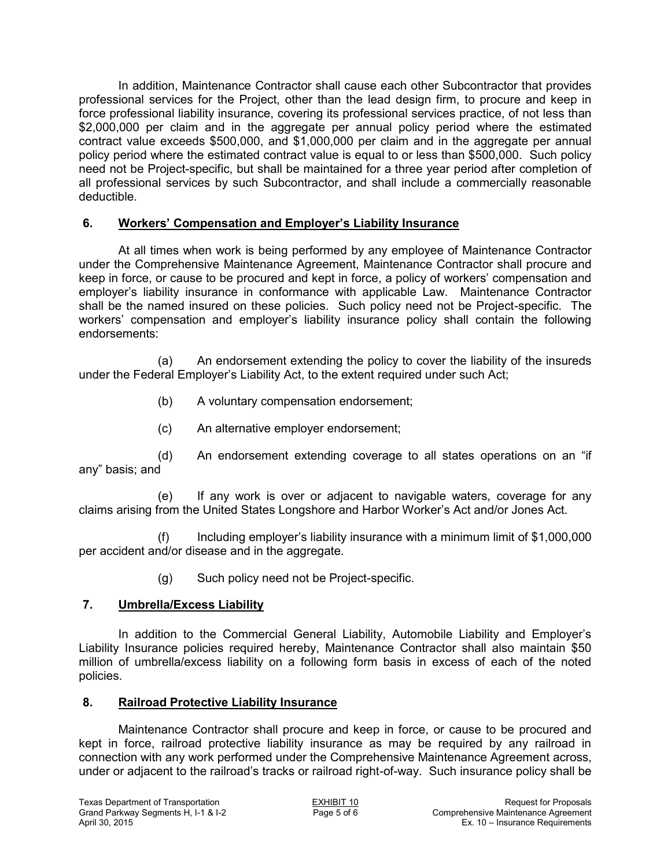In addition, Maintenance Contractor shall cause each other Subcontractor that provides professional services for the Project, other than the lead design firm, to procure and keep in force professional liability insurance, covering its professional services practice, of not less than \$2,000,000 per claim and in the aggregate per annual policy period where the estimated contract value exceeds \$500,000, and \$1,000,000 per claim and in the aggregate per annual policy period where the estimated contract value is equal to or less than \$500,000. Such policy need not be Project-specific, but shall be maintained for a three year period after completion of all professional services by such Subcontractor, and shall include a commercially reasonable deductible.

### **6. Workers' Compensation and Employer's Liability Insurance**

 At all times when work is being performed by any employee of Maintenance Contractor under the Comprehensive Maintenance Agreement, Maintenance Contractor shall procure and keep in force, or cause to be procured and kept in force, a policy of workers' compensation and employer's liability insurance in conformance with applicable Law. Maintenance Contractor shall be the named insured on these policies. Such policy need not be Project-specific. The workers' compensation and employer's liability insurance policy shall contain the following endorsements:

(a) An endorsement extending the policy to cover the liability of the insureds under the Federal Employer's Liability Act, to the extent required under such Act;

- (b) A voluntary compensation endorsement;
- (c) An alternative employer endorsement;

(d) An endorsement extending coverage to all states operations on an "if any" basis; and

(e) If any work is over or adjacent to navigable waters, coverage for any claims arising from the United States Longshore and Harbor Worker's Act and/or Jones Act.

(f) Including employer's liability insurance with a minimum limit of \$1,000,000 per accident and/or disease and in the aggregate.

(g) Such policy need not be Project-specific.

### **7. Umbrella/Excess Liability**

 In addition to the Commercial General Liability, Automobile Liability and Employer's Liability Insurance policies required hereby, Maintenance Contractor shall also maintain \$50 million of umbrella/excess liability on a following form basis in excess of each of the noted policies.

### **8. Railroad Protective Liability Insurance**

 Maintenance Contractor shall procure and keep in force, or cause to be procured and kept in force, railroad protective liability insurance as may be required by any railroad in connection with any work performed under the Comprehensive Maintenance Agreement across, under or adjacent to the railroad's tracks or railroad right-of-way. Such insurance policy shall be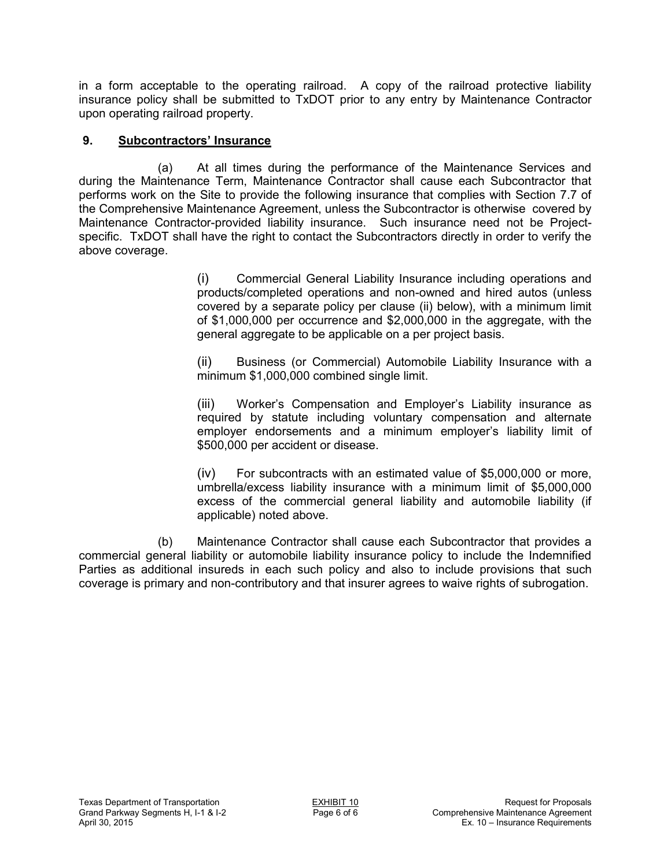in a form acceptable to the operating railroad. A copy of the railroad protective liability insurance policy shall be submitted to TxDOT prior to any entry by Maintenance Contractor upon operating railroad property.

## **9. Subcontractors' Insurance**

(a) At all times during the performance of the Maintenance Services and during the Maintenance Term, Maintenance Contractor shall cause each Subcontractor that performs work on the Site to provide the following insurance that complies with Section 7.7 of the Comprehensive Maintenance Agreement, unless the Subcontractor is otherwise covered by Maintenance Contractor-provided liability insurance. Such insurance need not be Projectspecific. TxDOT shall have the right to contact the Subcontractors directly in order to verify the above coverage.

> (i) Commercial General Liability Insurance including operations and products/completed operations and non-owned and hired autos (unless covered by a separate policy per clause (ii) below), with a minimum limit of \$1,000,000 per occurrence and \$2,000,000 in the aggregate, with the general aggregate to be applicable on a per project basis.

> (ii) Business (or Commercial) Automobile Liability Insurance with a minimum \$1,000,000 combined single limit.

> (iii) Worker's Compensation and Employer's Liability insurance as required by statute including voluntary compensation and alternate employer endorsements and a minimum employer's liability limit of \$500,000 per accident or disease.

> (iv) For subcontracts with an estimated value of \$5,000,000 or more, umbrella/excess liability insurance with a minimum limit of \$5,000,000 excess of the commercial general liability and automobile liability (if applicable) noted above.

(b) Maintenance Contractor shall cause each Subcontractor that provides a commercial general liability or automobile liability insurance policy to include the Indemnified Parties as additional insureds in each such policy and also to include provisions that such coverage is primary and non-contributory and that insurer agrees to waive rights of subrogation.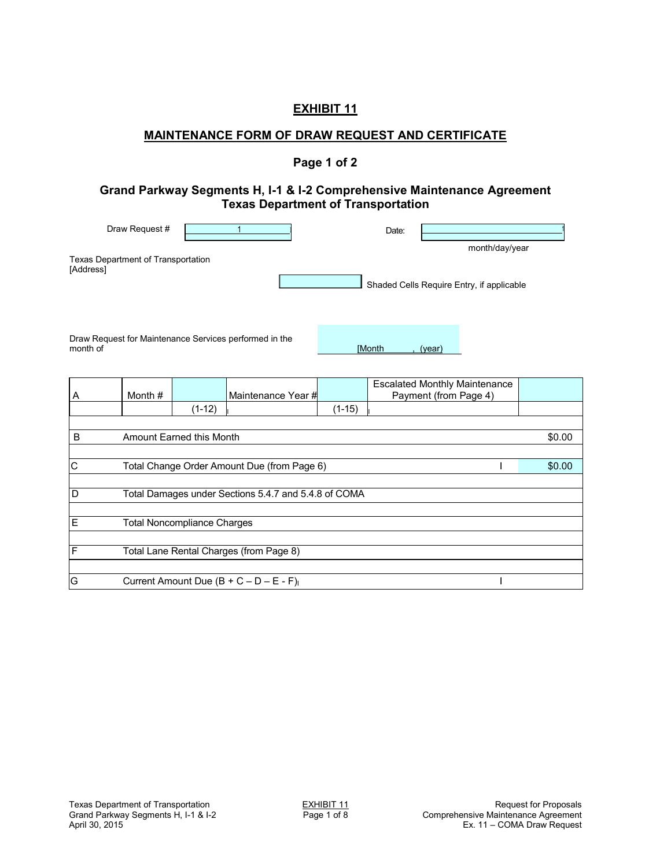### **EXHIBIT 11**

### **MAINTENANCE FORM OF DRAW REQUEST AND CERTIFICATE**

### **Page 1 of 2**

#### **Grand Parkway Segments H, I-1 & I-2 Comprehensive Maintenance Agreement Texas Department of Transportation**

| Draw Request #                                  | Date: |                                                             |
|-------------------------------------------------|-------|-------------------------------------------------------------|
| Texas Department of Transportation<br>[Address] |       | month/day/year<br>Shaded Cells Require Entry, if applicable |

Draw Request for Maintenance Services performed in the month of **and the control of the control of the control of the control of the control of the control of the control of the control of the control of the control of the control of the control of the control of the control o** 

| A  | Month # |                                    | Maintenance Year #                                   |          | <b>Escalated Monthly Maintenance</b><br>Payment (from Page 4) |        |
|----|---------|------------------------------------|------------------------------------------------------|----------|---------------------------------------------------------------|--------|
|    |         | $(1-12)$                           |                                                      | $(1-15)$ |                                                               |        |
|    |         |                                    |                                                      |          |                                                               |        |
| B  |         | Amount Earned this Month           |                                                      |          |                                                               | \$0.00 |
|    |         |                                    |                                                      |          |                                                               |        |
| lС |         |                                    | Total Change Order Amount Due (from Page 6)          |          |                                                               | \$0.00 |
|    |         |                                    |                                                      |          |                                                               |        |
| D  |         |                                    | Total Damages under Sections 5.4.7 and 5.4.8 of COMA |          |                                                               |        |
|    |         |                                    |                                                      |          |                                                               |        |
| E  |         | <b>Total Noncompliance Charges</b> |                                                      |          |                                                               |        |
|    |         |                                    |                                                      |          |                                                               |        |
| F  |         |                                    | Total Lane Rental Charges (from Page 8)              |          |                                                               |        |
|    |         |                                    |                                                      |          |                                                               |        |
| G  |         |                                    | Current Amount Due $(B + C - D - E - F)$             |          |                                                               |        |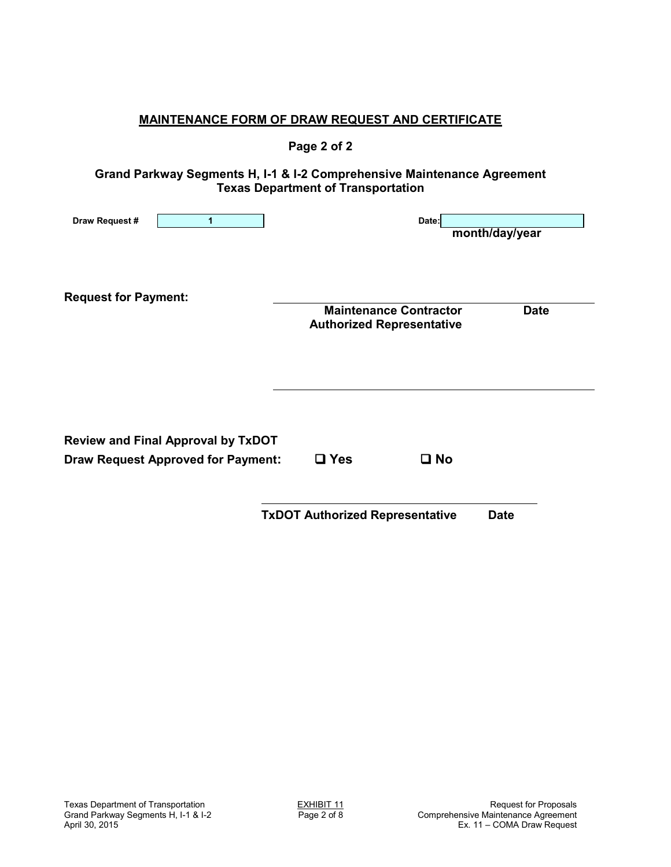| <u>MAINTENANCE FORM OF DRAW REQUEST AND CERTIFICATE</u>                                |                                                                   |                |
|----------------------------------------------------------------------------------------|-------------------------------------------------------------------|----------------|
|                                                                                        | Page 2 of 2                                                       |                |
| Grand Parkway Segments H, I-1 & I-2 Comprehensive Maintenance Agreement                | <b>Texas Department of Transportation</b>                         |                |
| Draw Request #<br>$\mathbf{1}$                                                         | Date:                                                             | month/day/year |
| <b>Request for Payment:</b>                                                            | <b>Maintenance Contractor</b><br><b>Authorized Representative</b> | <b>Date</b>    |
| <b>Review and Final Approval by TxDOT</b><br><b>Draw Request Approved for Payment:</b> | $\square$ Yes<br>$\square$ No                                     |                |
|                                                                                        | <b>TxDOT Authorized Representative</b>                            | <b>Date</b>    |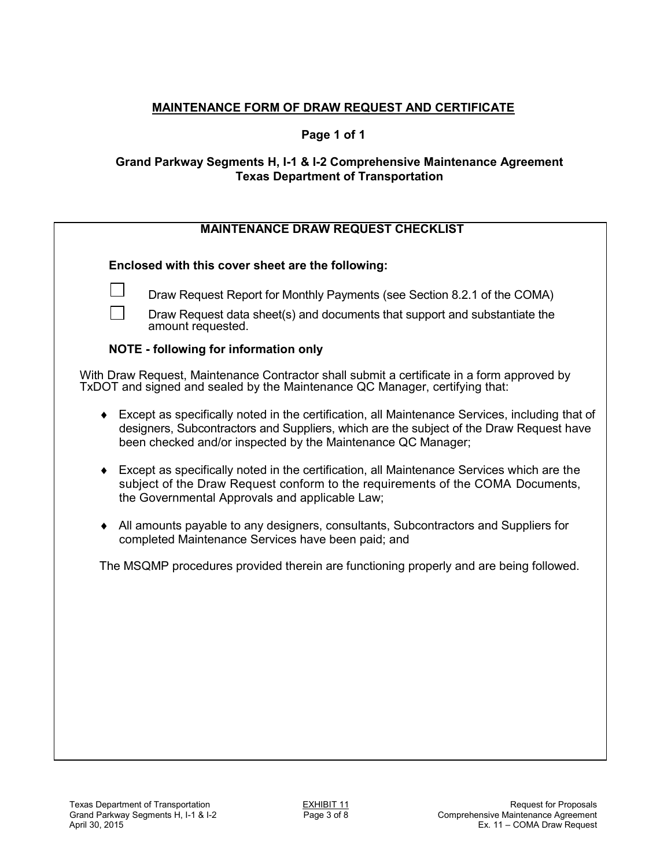### **Page 1 of 1**

### **Grand Parkway Segments H, I-1 & I-2 Comprehensive Maintenance Agreement Texas Department of Transportation**

## **MAINTENANCE DRAW REQUEST CHECKLIST**

**Enclosed with this cover sheet are the following:** 

Draw Request data sheet(s) and documents that support and substantiate the amount requested.

### **NOTE - following for information only**

| With Draw Request, Maintenance Contractor shall submit a certificate in a form approved by |
|--------------------------------------------------------------------------------------------|
| TxDOT and signed and sealed by the Maintenance QC Manager, certifying that:                |

- Except as specifically noted in the certification, all Maintenance Services, including that of designers, Subcontractors and Suppliers, which are the subject of the Draw Request have been checked and/or inspected by the Maintenance QC Manager;
- Except as specifically noted in the certification, all Maintenance Services which are the subject of the Draw Request conform to the requirements of the COMA Documents, the Governmental Approvals and applicable Law;
- All amounts payable to any designers, consultants, Subcontractors and Suppliers for completed Maintenance Services have been paid; and

The MSQMP procedures provided therein are functioning properly and are being followed.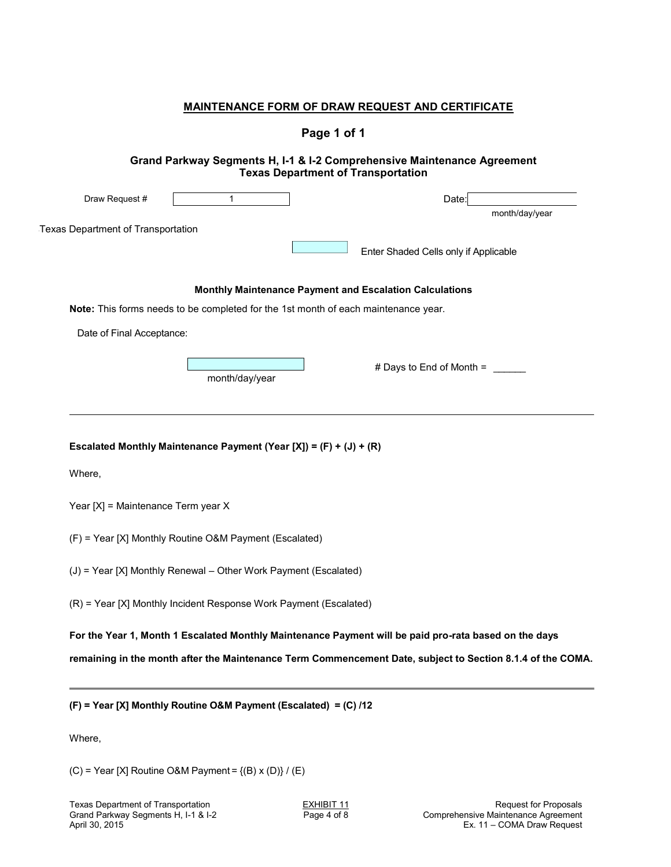# **Page 1 of 1**

| Draw Request #                            | 1                                                                                  | Date:                                                                                                      |
|-------------------------------------------|------------------------------------------------------------------------------------|------------------------------------------------------------------------------------------------------------|
|                                           |                                                                                    | month/day/year                                                                                             |
| <b>Texas Department of Transportation</b> |                                                                                    |                                                                                                            |
|                                           |                                                                                    | Enter Shaded Cells only if Applicable                                                                      |
|                                           |                                                                                    | Monthly Maintenance Payment and Escalation Calculations                                                    |
|                                           | Note: This forms needs to be completed for the 1st month of each maintenance year. |                                                                                                            |
| Date of Final Acceptance:                 |                                                                                    |                                                                                                            |
|                                           |                                                                                    |                                                                                                            |
|                                           | month/day/year                                                                     | # Days to End of Month =                                                                                   |
|                                           |                                                                                    |                                                                                                            |
|                                           |                                                                                    |                                                                                                            |
|                                           |                                                                                    |                                                                                                            |
|                                           |                                                                                    |                                                                                                            |
|                                           | Escalated Monthly Maintenance Payment (Year [X]) = $(F) + (J) + (R)$               |                                                                                                            |
|                                           |                                                                                    |                                                                                                            |
| Where,                                    |                                                                                    |                                                                                                            |
|                                           |                                                                                    |                                                                                                            |
| Year [X] = Maintenance Term year X        |                                                                                    |                                                                                                            |
|                                           | (F) = Year [X] Monthly Routine O&M Payment (Escalated)                             |                                                                                                            |
|                                           |                                                                                    |                                                                                                            |
|                                           | (J) = Year [X] Monthly Renewal - Other Work Payment (Escalated)                    |                                                                                                            |
|                                           |                                                                                    |                                                                                                            |
|                                           | (R) = Year [X] Monthly Incident Response Work Payment (Escalated)                  |                                                                                                            |
|                                           |                                                                                    | For the Year 1, Month 1 Escalated Monthly Maintenance Payment will be paid pro-rata based on the days      |
|                                           |                                                                                    | remaining in the month after the Maintenance Term Commencement Date, subject to Section 8.1.4 of the COMA. |
|                                           |                                                                                    |                                                                                                            |

(C) = Year [X] Routine O&M Payment =  $\{(B) x (D)\} / (E)$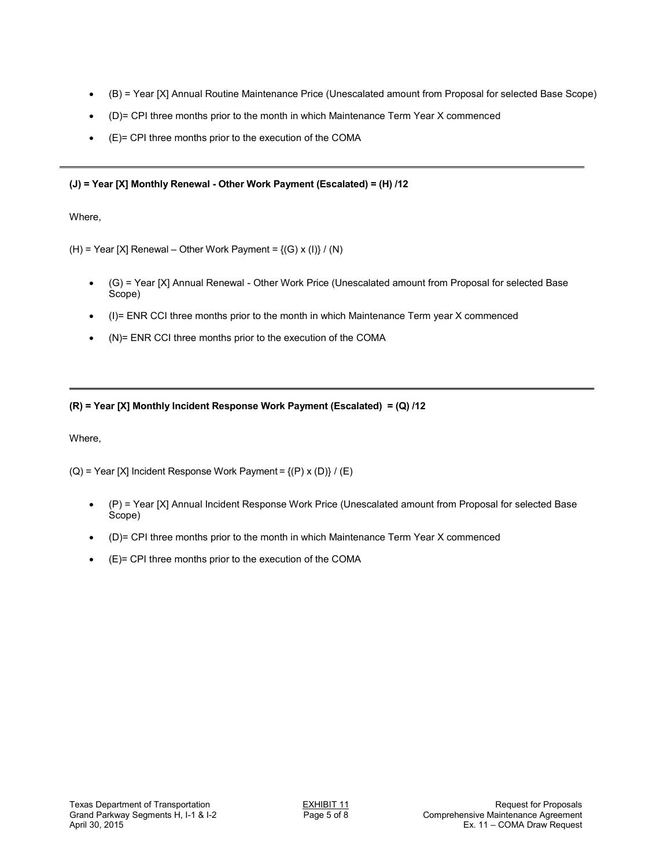- (B) = Year [X] Annual Routine Maintenance Price (Unescalated amount from Proposal for selected Base Scope)
- (D)= CPI three months prior to the month in which Maintenance Term Year X commenced
- (E)= CPI three months prior to the execution of the COMA

#### **(J) = Year [X] Monthly Renewal - Other Work Payment (Escalated) = (H) /12**

Where,

(H) = Year [X] Renewal – Other Work Payment =  $\{(G) x (I)\}/(N)$ 

- (G) = Year [X] Annual Renewal Other Work Price (Unescalated amount from Proposal for selected Base Scope)
- (I)= ENR CCI three months prior to the month in which Maintenance Term year X commenced
- (N)= ENR CCI three months prior to the execution of the COMA

#### **(R) = Year [X] Monthly Incident Response Work Payment (Escalated) = (Q) /12**

Where,

(Q) = Year [X] Incident Response Work Payment =  ${(P) x (D)} / (E)$ 

- (P) = Year [X] Annual Incident Response Work Price (Unescalated amount from Proposal for selected Base Scope)
- (D)= CPI three months prior to the month in which Maintenance Term Year X commenced
- (E)= CPI three months prior to the execution of the COMA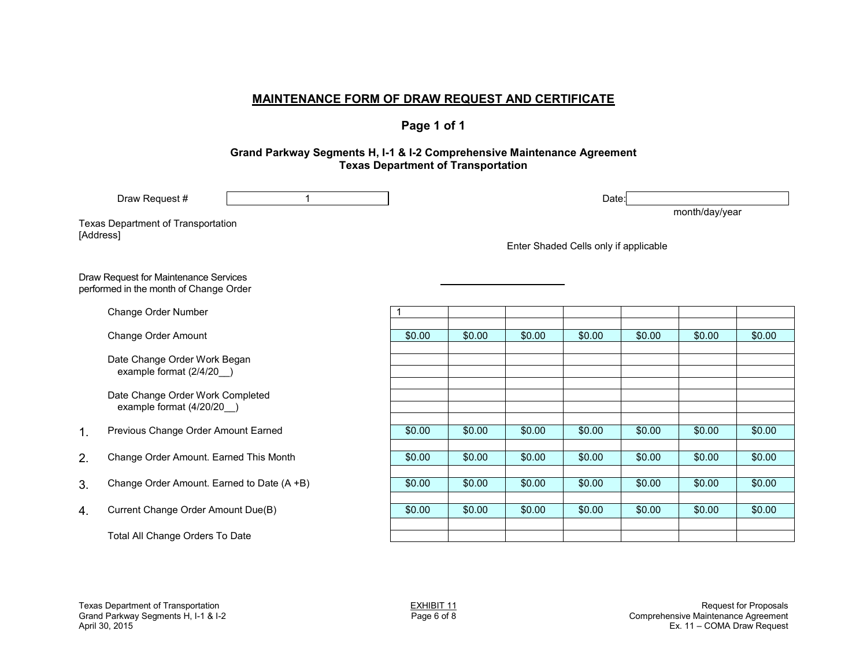**Page 1 of 1** 

#### **Grand Parkway Segments H, I-1 & I-2 Comprehensive Maintenance Agreement Texas Department of Transportation**

|                                                 | $\mathbf{1}$<br>Draw Request #                                                  |        |        |        | Date:                                 |        | month/day/year |        |
|-------------------------------------------------|---------------------------------------------------------------------------------|--------|--------|--------|---------------------------------------|--------|----------------|--------|
| Texas Department of Transportation<br>[Address] |                                                                                 |        |        |        | Enter Shaded Cells only if applicable |        |                |        |
|                                                 | Draw Request for Maintenance Services<br>performed in the month of Change Order |        |        |        |                                       |        |                |        |
|                                                 | Change Order Number                                                             | 1      |        |        |                                       |        |                |        |
|                                                 | <b>Change Order Amount</b>                                                      | \$0.00 | \$0.00 | \$0.00 | \$0.00                                | \$0.00 | \$0.00         | \$0.00 |
|                                                 | Date Change Order Work Began<br>example format (2/4/20)                         |        |        |        |                                       |        |                |        |
|                                                 | Date Change Order Work Completed<br>example format (4/20/20)                    |        |        |        |                                       |        |                |        |
| 1.                                              | Previous Change Order Amount Earned                                             | \$0.00 | \$0.00 | \$0.00 | \$0.00                                | \$0.00 | \$0.00         | \$0.00 |
| 2.                                              | Change Order Amount. Earned This Month                                          | \$0.00 | \$0.00 | \$0.00 | \$0.00                                | \$0.00 | \$0.00         | \$0.00 |
| 3.                                              | Change Order Amount. Earned to Date (A +B)                                      | \$0.00 | \$0.00 | \$0.00 | \$0.00                                | \$0.00 | \$0.00         | \$0.00 |
| 4.                                              | Current Change Order Amount Due(B)                                              | \$0.00 | \$0.00 | \$0.00 | \$0.00                                | \$0.00 | \$0.00         | \$0.00 |
|                                                 | Total All Change Orders To Date                                                 |        |        |        |                                       |        |                |        |
|                                                 |                                                                                 |        |        |        |                                       |        |                |        |
|                                                 |                                                                                 |        |        |        |                                       |        |                |        |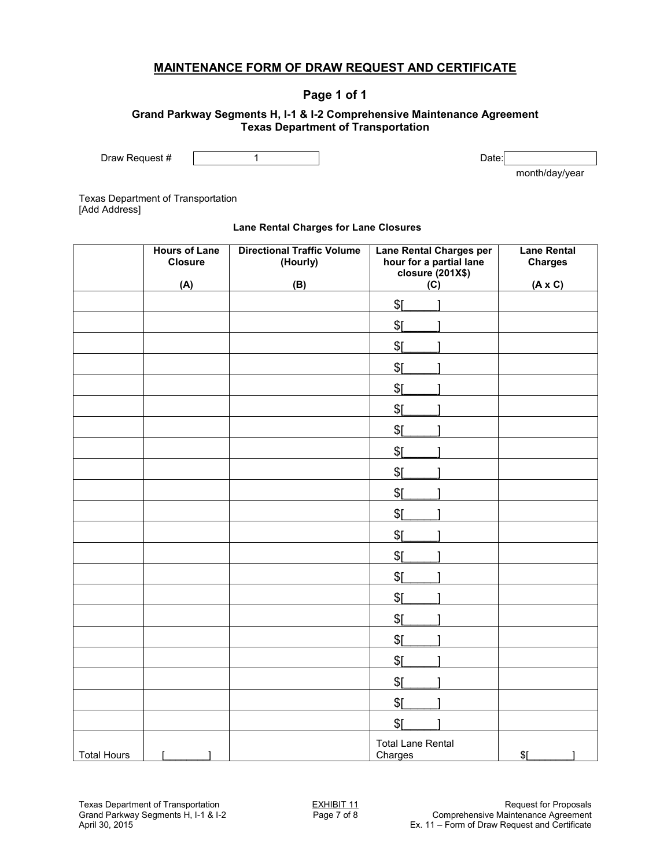### **Page 1 of 1**

#### **Grand Parkway Segments H, I-1 & I-2 Comprehensive Maintenance Agreement Texas Department of Transportation**

Draw Request # 1 1 Date:

month/day/year

Texas Department of Transportation [Add Address]

#### **Lane Rental Charges for Lane Closures**

|                    | <b>Hours of Lane</b><br><b>Closure</b><br>(A) | <b>Directional Traffic Volume</b><br>(Hourly)<br>(B) | <b>Lane Rental Charges per</b><br>hour for a partial lane<br>closure (201X\$)<br>(C) | <b>Lane Rental</b><br><b>Charges</b><br>$(A \times C)$ |
|--------------------|-----------------------------------------------|------------------------------------------------------|--------------------------------------------------------------------------------------|--------------------------------------------------------|
|                    |                                               |                                                      | \$I                                                                                  |                                                        |
|                    |                                               |                                                      | \$I                                                                                  |                                                        |
|                    |                                               |                                                      | \$I                                                                                  |                                                        |
|                    |                                               |                                                      | \$[                                                                                  |                                                        |
|                    |                                               |                                                      | \$I                                                                                  |                                                        |
|                    |                                               |                                                      | \$I                                                                                  |                                                        |
|                    |                                               |                                                      | \$[                                                                                  |                                                        |
|                    |                                               |                                                      | \$[                                                                                  |                                                        |
|                    |                                               |                                                      | \$[                                                                                  |                                                        |
|                    |                                               |                                                      | \$[                                                                                  |                                                        |
|                    |                                               |                                                      | \$[                                                                                  |                                                        |
|                    |                                               |                                                      | \$[                                                                                  |                                                        |
|                    |                                               |                                                      | \$[                                                                                  |                                                        |
|                    |                                               |                                                      | \$[                                                                                  |                                                        |
|                    |                                               |                                                      | \$[                                                                                  |                                                        |
|                    |                                               |                                                      | \$[                                                                                  |                                                        |
|                    |                                               |                                                      | \$[                                                                                  |                                                        |
|                    |                                               |                                                      | \$[                                                                                  |                                                        |
|                    |                                               |                                                      | \$I                                                                                  |                                                        |
|                    |                                               |                                                      | \$[                                                                                  |                                                        |
|                    |                                               |                                                      | \$[                                                                                  |                                                        |
| <b>Total Hours</b> | $\mathbf{I}$                                  |                                                      | <b>Total Lane Rental</b><br>Charges                                                  | \$L                                                    |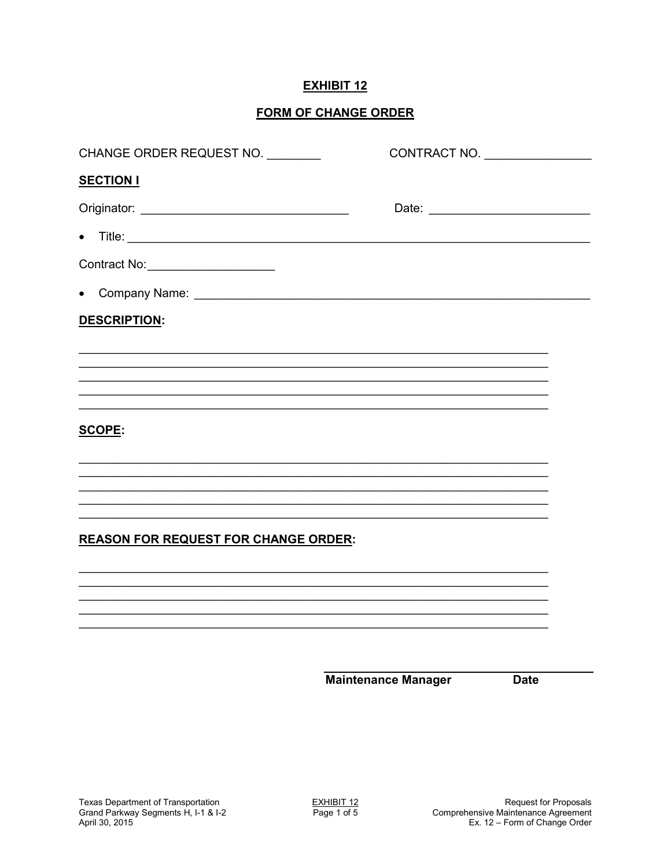## **EXHIBIT 12**

## **FORM OF CHANGE ORDER**

| CHANGE ORDER REQUEST NO.                    | CONTRACT NO. |  |
|---------------------------------------------|--------------|--|
| <b>SECTION I</b>                            |              |  |
|                                             |              |  |
| $\bullet$                                   |              |  |
| Contract No: _______________________        |              |  |
| $\bullet$                                   |              |  |
| <b>DESCRIPTION:</b>                         |              |  |
|                                             |              |  |
|                                             |              |  |
|                                             |              |  |
| SCOPE:                                      |              |  |
|                                             |              |  |
|                                             |              |  |
|                                             |              |  |
| <b>REASON FOR REQUEST FOR CHANGE ORDER:</b> |              |  |
|                                             |              |  |
|                                             |              |  |
|                                             |              |  |
|                                             |              |  |
|                                             |              |  |

**Maintenance Manager** 

**Date**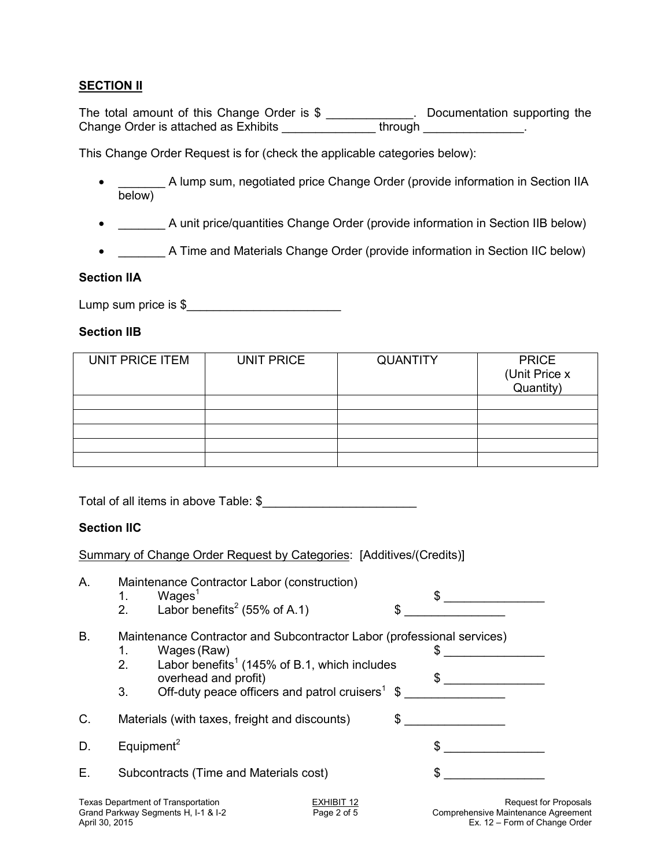### **SECTION II**

The total amount of this Change Order is \$ \_\_\_\_\_\_\_\_\_\_\_\_\_. Documentation supporting the Change Order is attached as Exhibits \_\_\_\_\_\_\_\_\_\_\_\_\_\_\_\_\_through \_\_\_\_\_\_\_\_\_\_\_\_\_\_\_\_.

This Change Order Request is for (check the applicable categories below):

- \_\_\_\_\_\_\_ A lump sum, negotiated price Change Order (provide information in Section IIA below)
- \_\_\_\_\_\_\_ A unit price/quantities Change Order (provide information in Section IIB below)
- \_\_\_\_\_\_\_ A Time and Materials Change Order (provide information in Section IIC below)

### **Section IIA**

Lump sum price is  $\frac{1}{2}$   $\frac{1}{2}$   $\frac{1}{2}$   $\frac{1}{2}$   $\frac{1}{2}$   $\frac{1}{2}$   $\frac{1}{2}$   $\frac{1}{2}$   $\frac{1}{2}$   $\frac{1}{2}$   $\frac{1}{2}$   $\frac{1}{2}$   $\frac{1}{2}$   $\frac{1}{2}$   $\frac{1}{2}$   $\frac{1}{2}$   $\frac{1}{2}$   $\frac{1}{2}$   $\frac{1}{2}$   $\frac{1}{2}$   $\frac$ 

### **Section IIB**

| UNIT PRICE ITEM | UNIT PRICE | <b>QUANTITY</b> | <b>PRICE</b><br>(Unit Price x<br>Quantity) |
|-----------------|------------|-----------------|--------------------------------------------|
|                 |            |                 |                                            |
|                 |            |                 |                                            |
|                 |            |                 |                                            |
|                 |            |                 |                                            |
|                 |            |                 |                                            |

Total of all items in above Table: \$

### **Section IIC**

Summary of Change Order Request by Categories: [Additives/(Credits)]

| Α. | Maintenance Contractor Labor (construction)<br>Wages <sup>1</sup><br>1. |                                                                                                                                                 |                           |    | $\mathbb{S}$                                                 |  |
|----|-------------------------------------------------------------------------|-------------------------------------------------------------------------------------------------------------------------------------------------|---------------------------|----|--------------------------------------------------------------|--|
|    | 2.                                                                      | Labor benefits <sup>2</sup> (55% of A.1)                                                                                                        |                           |    |                                                              |  |
| В. | 1.                                                                      | Maintenance Contractor and Subcontractor Labor (professional services)<br>Wages (Raw)                                                           |                           |    |                                                              |  |
|    | 2.<br>3.                                                                | Labor benefits <sup>1</sup> (145% of B.1, which includes<br>overhead and profit)<br>Off-duty peace officers and patrol cruisers <sup>1</sup> \$ |                           |    | $\mathbb{S}$                                                 |  |
| C. | Materials (with taxes, freight and discounts)<br>\$                     |                                                                                                                                                 |                           |    |                                                              |  |
| D. | Equipment <sup>2</sup>                                                  |                                                                                                                                                 |                           | \$ |                                                              |  |
| Е. | Subcontracts (Time and Materials cost)                                  |                                                                                                                                                 |                           | \$ |                                                              |  |
|    |                                                                         | <b>Texas Department of Transportation</b><br>Grand Parkway Segments H, I-1 & I-2                                                                | EXHIBIT 12<br>Page 2 of 5 |    | Request for Proposals<br>Comprehensive Maintenance Agreement |  |

Grand Parkway Segments H, 1-1 & 1-2<br>April 30, 2015 Ex. 12 – Form of Change Order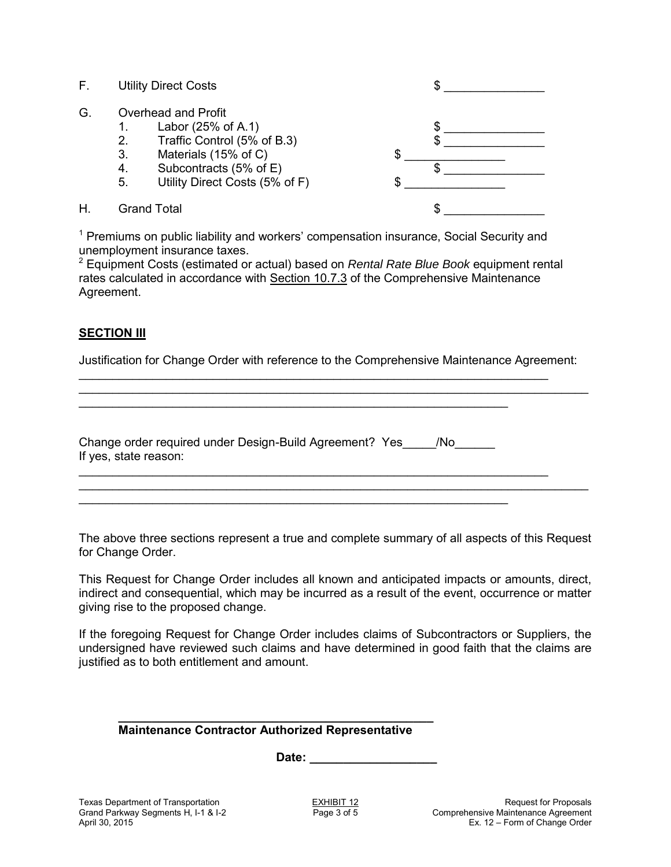- F. Utility Direct Costs \$
- G. Overhead and Profit<br>1. Labor (25% o
	- Labor (25% of A.1)
	- 2. Traffic Control  $(5\% \text{ of } B.3)$
	-
	- 4. Subcontracts  $(5\% \text{ of } E)$
	- 5. Utility Direct Costs (5% of F)
- 

3. Materials (15% of C)  $$$   $$$   $$$ H. Grand Total  $\sim$ 

<sup>1</sup> Premiums on public liability and workers' compensation insurance, Social Security and unemployment insurance taxes.

2 Equipment Costs (estimated or actual) based on *Rental Rate Blue Book* equipment rental rates calculated in accordance with Section 10.7.3 of the Comprehensive Maintenance Agreement.

### **SECTION III**

Justification for Change Order with reference to the Comprehensive Maintenance Agreement:

\_\_\_\_\_\_\_\_\_\_\_\_\_\_\_\_\_\_\_\_\_\_\_\_\_\_\_\_\_\_\_\_\_\_\_\_\_\_\_\_\_\_\_\_\_\_\_\_\_\_\_\_\_\_\_\_\_\_\_\_\_\_\_\_\_\_\_\_\_\_\_\_\_\_\_\_

\_\_\_\_\_\_\_\_\_\_\_\_\_\_\_\_\_\_\_\_\_\_\_\_\_\_\_\_\_\_\_\_\_\_\_\_\_\_\_\_\_\_\_\_\_\_\_\_\_\_\_\_\_\_\_\_\_\_\_\_\_\_\_\_\_\_\_\_\_\_

\_\_\_\_\_\_\_\_\_\_\_\_\_\_\_\_\_\_\_\_\_\_\_\_\_\_\_\_\_\_\_\_\_\_\_\_\_\_\_\_\_\_\_\_\_\_\_\_\_\_\_\_\_\_\_\_\_\_\_\_\_\_\_\_\_\_\_\_\_\_

Change order required under Design-Build Agreement? Yes\_\_\_\_\_/No\_\_\_\_\_\_\_ If yes, state reason:

\_\_\_\_\_\_\_\_\_\_\_\_\_\_\_\_\_\_\_\_\_\_\_\_\_\_\_\_\_\_\_\_\_\_\_\_\_\_\_\_\_\_\_\_\_\_\_\_\_\_\_\_\_\_\_\_\_\_\_\_\_\_\_\_

\_\_\_\_\_\_\_\_\_\_\_\_\_\_\_\_\_\_\_\_\_\_\_\_\_\_\_\_\_\_\_\_\_\_\_\_\_\_\_\_\_\_\_\_\_\_\_\_\_\_\_\_\_\_\_\_\_\_\_\_\_\_\_\_

The above three sections represent a true and complete summary of all aspects of this Request for Change Order.

\_\_\_\_\_\_\_\_\_\_\_\_\_\_\_\_\_\_\_\_\_\_\_\_\_\_\_\_\_\_\_\_\_\_\_\_\_\_\_\_\_\_\_\_\_\_\_\_\_\_\_\_\_\_\_\_\_\_\_\_\_\_\_\_\_\_\_\_\_\_\_\_\_\_\_\_

This Request for Change Order includes all known and anticipated impacts or amounts, direct, indirect and consequential, which may be incurred as a result of the event, occurrence or matter giving rise to the proposed change.

If the foregoing Request for Change Order includes claims of Subcontractors or Suppliers, the undersigned have reviewed such claims and have determined in good faith that the claims are justified as to both entitlement and amount.

#### **\_\_\_\_\_\_\_\_\_\_\_\_\_\_\_\_\_\_\_\_\_\_\_\_\_\_\_\_\_\_\_\_\_\_\_\_\_\_\_\_\_\_\_\_\_\_\_ Maintenance Contractor Authorized Representative**

Date: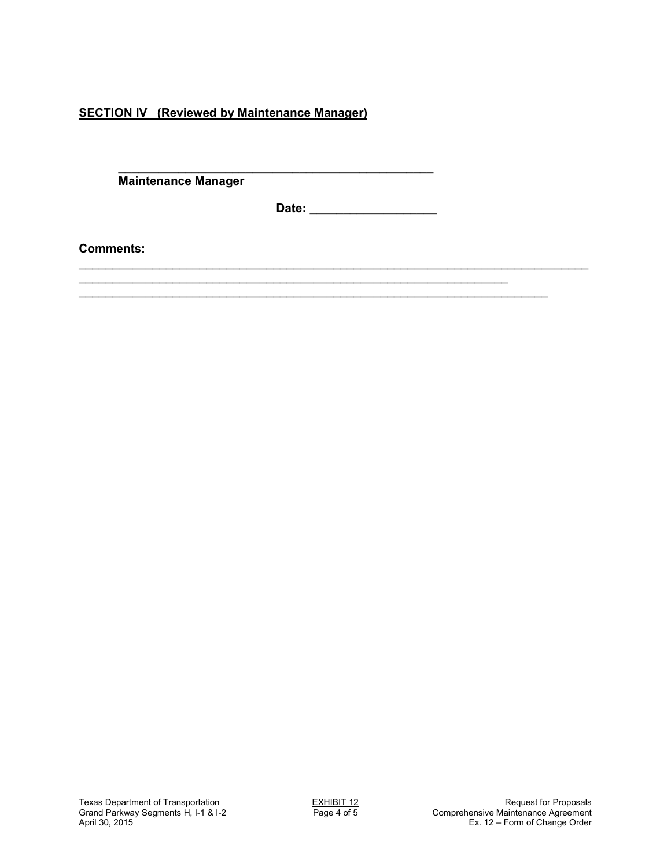**SECTION IV (Reviewed by Maintenance Manager)** 

**\_\_\_\_\_\_\_\_\_\_\_\_\_\_\_\_\_\_\_\_\_\_\_\_\_\_\_\_\_\_\_\_\_\_\_\_\_\_\_\_\_\_\_\_\_\_\_ Maintenance Manager** 

**Date: \_\_\_\_\_\_\_\_\_\_\_\_\_\_\_\_\_\_\_** 

\_\_\_\_\_\_\_\_\_\_\_\_\_\_\_\_\_\_\_\_\_\_\_\_\_\_\_\_\_\_\_\_\_\_\_\_\_\_\_\_\_\_\_\_\_\_\_\_\_\_\_\_\_\_\_\_\_\_\_\_\_\_\_\_\_\_\_\_\_\_\_\_\_\_\_\_

\_\_\_\_\_\_\_\_\_\_\_\_\_\_\_\_\_\_\_\_\_\_\_\_\_\_\_\_\_\_\_\_\_\_\_\_\_\_\_\_\_\_\_\_\_\_\_\_\_\_\_\_\_\_\_\_\_\_\_\_\_\_\_\_

\_\_\_\_\_\_\_\_\_\_\_\_\_\_\_\_\_\_\_\_\_\_\_\_\_\_\_\_\_\_\_\_\_\_\_\_\_\_\_\_\_\_\_\_\_\_\_\_\_\_\_\_\_\_\_\_\_\_\_\_\_\_\_\_\_\_\_\_\_\_

**Comments:**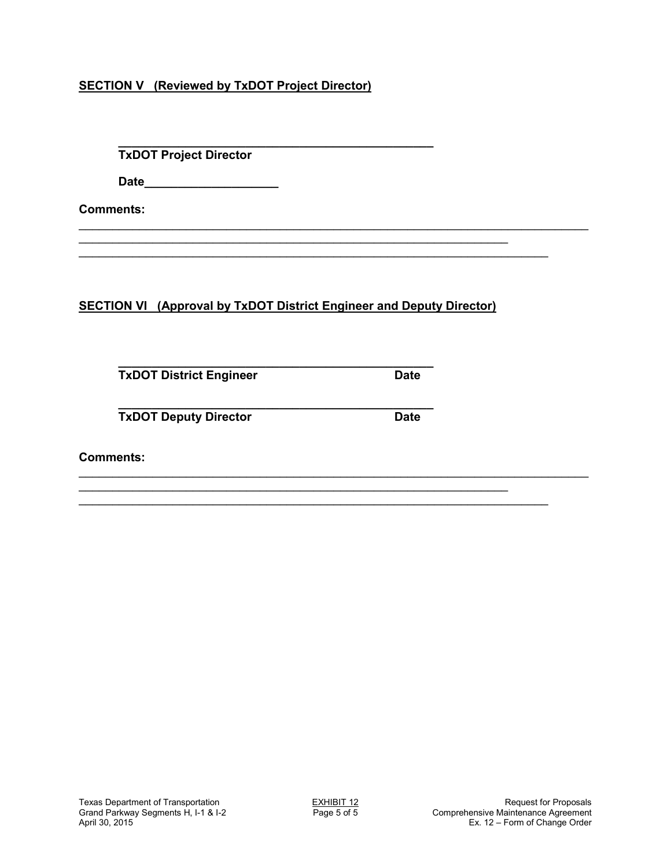## **SECTION V (Reviewed by TxDOT Project Director)**

**\_\_\_\_\_\_\_\_\_\_\_\_\_\_\_\_\_\_\_\_\_\_\_\_\_\_\_\_\_\_\_\_\_\_\_\_\_\_\_\_\_\_\_\_\_\_\_ TxDOT Project Director** 

 **Date\_\_\_\_\_\_\_\_\_\_\_\_\_\_\_\_\_\_\_\_** 

**Comments:**

**SECTION VI (Approval by TxDOT District Engineer and Deputy Director)** 

\_\_\_\_\_\_\_\_\_\_\_\_\_\_\_\_\_\_\_\_\_\_\_\_\_\_\_\_\_\_\_\_\_\_\_\_\_\_\_\_\_\_\_\_\_\_\_\_\_\_\_\_\_\_\_\_\_\_\_\_\_\_\_\_

\_\_\_\_\_\_\_\_\_\_\_\_\_\_\_\_\_\_\_\_\_\_\_\_\_\_\_\_\_\_\_\_\_\_\_\_\_\_\_\_\_\_\_\_\_\_\_\_\_\_\_\_\_\_\_\_\_\_\_\_\_\_\_\_\_\_\_\_\_\_

\_\_\_\_\_\_\_\_\_\_\_\_\_\_\_\_\_\_\_\_\_\_\_\_\_\_\_\_\_\_\_\_\_\_\_\_\_\_\_\_\_\_\_\_\_\_\_\_\_\_\_\_\_\_\_\_\_\_\_\_\_\_\_\_\_\_\_\_\_\_\_\_\_\_\_\_

\_\_\_\_\_\_\_\_\_\_\_\_\_\_\_\_\_\_\_\_\_\_\_\_\_\_\_\_\_\_\_\_\_\_\_\_\_\_\_\_\_\_\_\_\_\_\_\_\_\_\_\_\_\_\_\_\_\_\_\_\_\_\_\_\_\_\_\_\_\_\_\_\_\_\_\_ \_\_\_\_\_\_\_\_\_\_\_\_\_\_\_\_\_\_\_\_\_\_\_\_\_\_\_\_\_\_\_\_\_\_\_\_\_\_\_\_\_\_\_\_\_\_\_\_\_\_\_\_\_\_\_\_\_\_\_\_\_\_\_\_

\_\_\_\_\_\_\_\_\_\_\_\_\_\_\_\_\_\_\_\_\_\_\_\_\_\_\_\_\_\_\_\_\_\_\_\_\_\_\_\_\_\_\_\_\_\_\_\_\_\_\_\_\_\_\_\_\_\_\_\_\_\_\_\_\_\_\_\_\_\_

**\_\_\_\_\_\_\_\_\_\_\_\_\_\_\_\_\_\_\_\_\_\_\_\_\_\_\_\_\_\_\_\_\_\_\_\_\_\_\_\_\_\_\_\_\_\_\_ TxDOT District Engineer Date CONTER DATE:** 

**\_\_\_\_\_\_\_\_\_\_\_\_\_\_\_\_\_\_\_\_\_\_\_\_\_\_\_\_\_\_\_\_\_\_\_\_\_\_\_\_\_\_\_\_\_\_\_ TxDOT Deputy Director Date Date** 

**Comments:**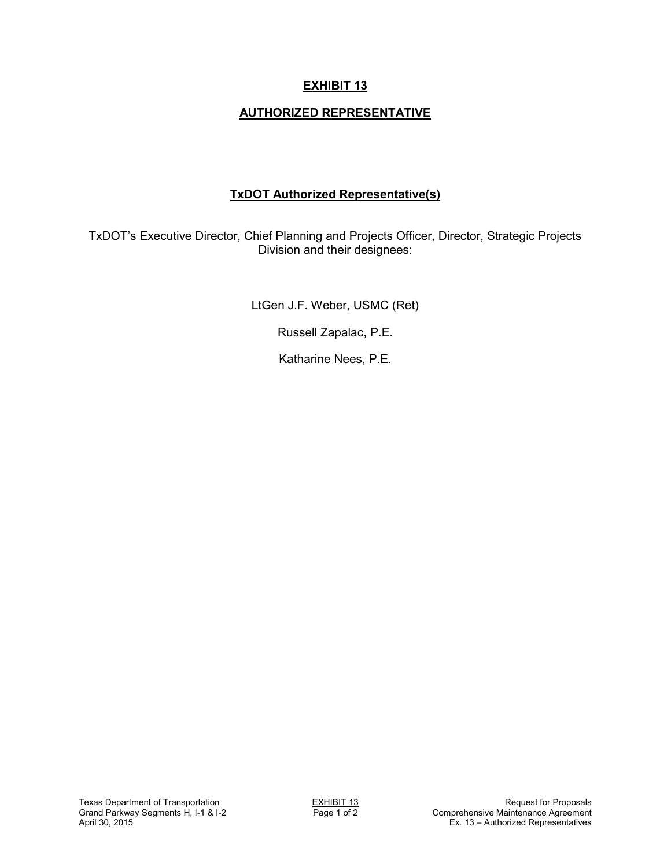## **EXHIBIT 13**

### **AUTHORIZED REPRESENTATIVE**

### **TxDOT Authorized Representative(s)**

TxDOT's Executive Director, Chief Planning and Projects Officer, Director, Strategic Projects Division and their designees:

LtGen J.F. Weber, USMC (Ret)

Russell Zapalac, P.E.

Katharine Nees, P.E.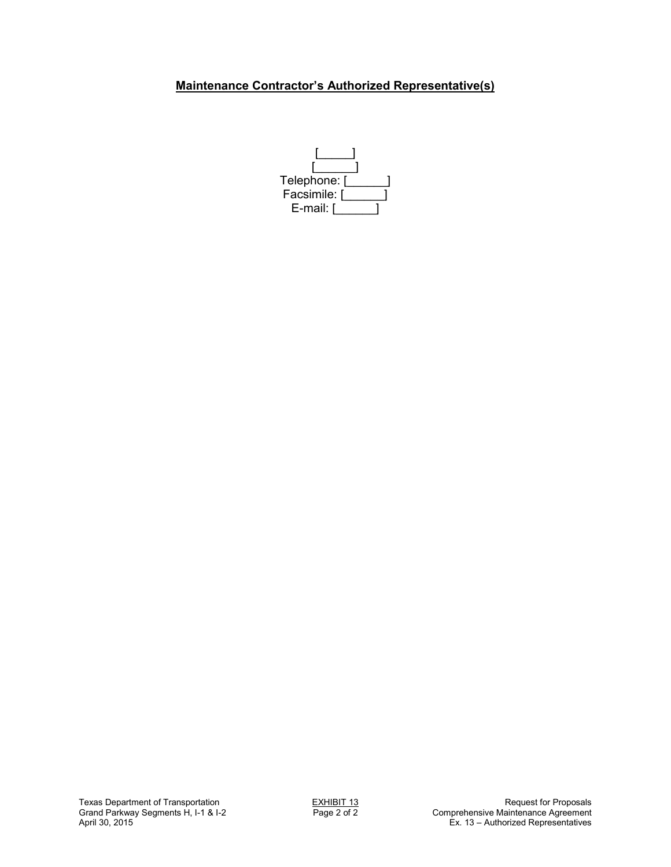## **Maintenance Contractor's Authorized Representative(s)**

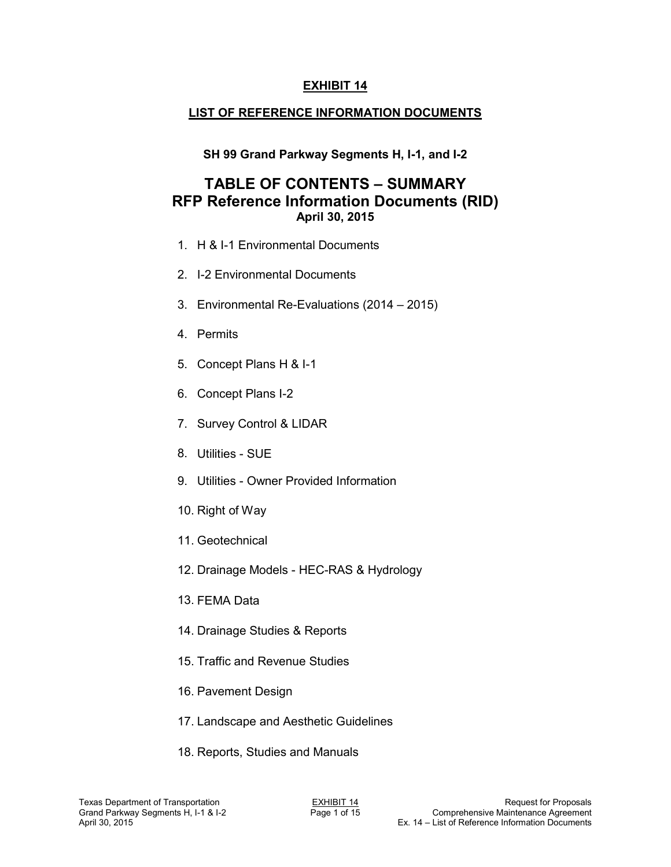### **EXHIBIT 14**

## **LIST OF REFERENCE INFORMATION DOCUMENTS**

## **SH 99 Grand Parkway Segments H, I-1, and I-2**

# **TABLE OF CONTENTS – SUMMARY RFP Reference Information Documents (RID) April 30, 2015**

- 1. H & I-1 Environmental Documents
- 2. I-2 Environmental Documents
- 3. Environmental Re-Evaluations (2014 2015)
- 4. Permits
- 5. Concept Plans H & I-1
- 6. Concept Plans I-2
- 7. Survey Control & LIDAR
- 8. Utilities SUE
- 9. Utilities Owner Provided Information
- 10. Right of Way
- 11. Geotechnical
- 12. Drainage Models HEC-RAS & Hydrology
- 13. FEMA Data
- 14. Drainage Studies & Reports
- 15. Traffic and Revenue Studies
- 16. Pavement Design
- 17. Landscape and Aesthetic Guidelines
- 18. Reports, Studies and Manuals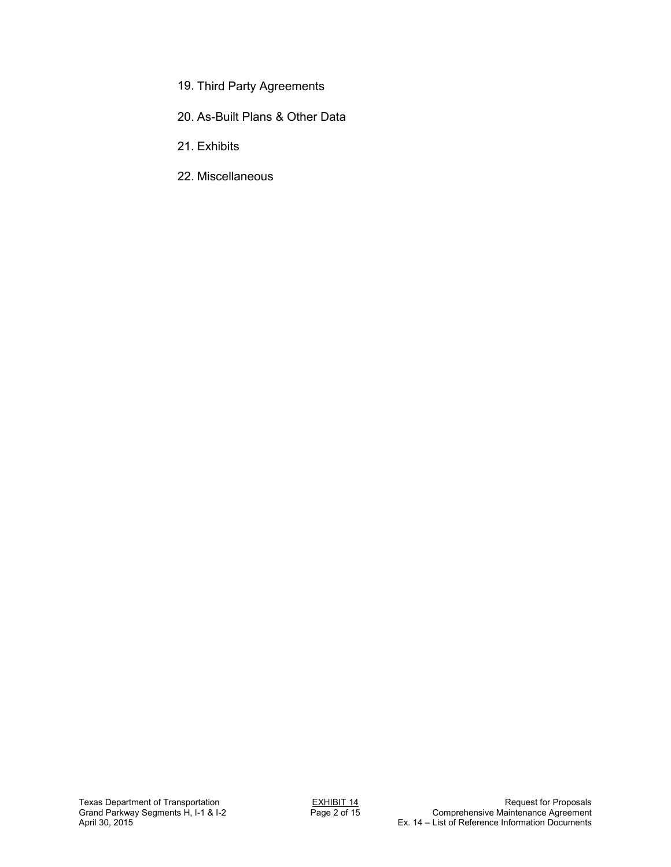- 19. Third Party Agreements
- 20. As-Built Plans & Other Data
- 21. Exhibits
- 22. Miscellaneous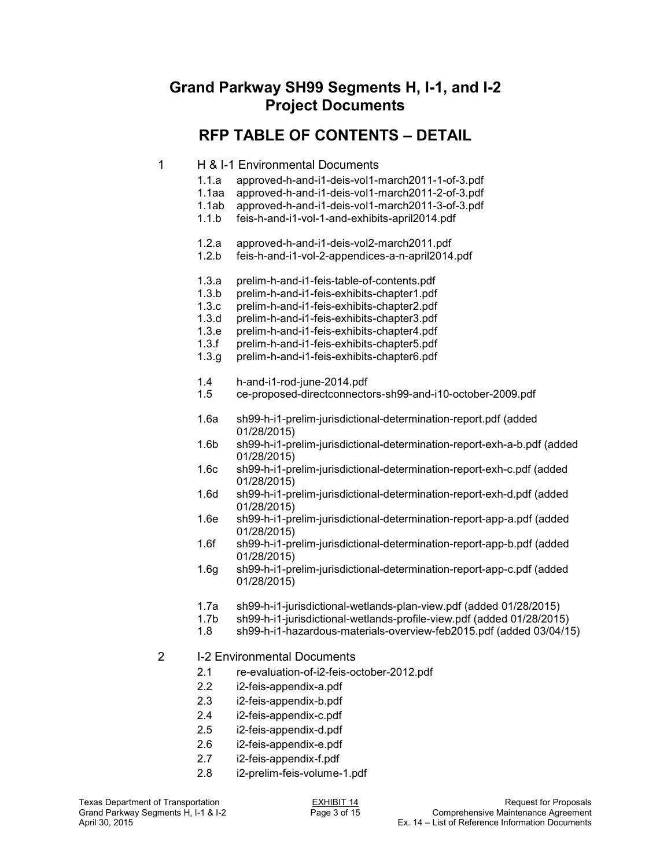# **Grand Parkway SH99 Segments H, I-1, and I-2 Project Documents**

# **RFP TABLE OF CONTENTS – DETAIL**

#### 1 H & I-1 Environmental Documents

- 1.1.a approved-h-and-i1-deis-vol1-march2011-1-of-3.pdf
- 1.1aa approved-h-and-i1-deis-vol1-march2011-2-of-3.pdf
- 1.1ab approved-h-and-i1-deis-vol1-march2011-3-of-3.pdf
- 1.1.b feis-h-and-i1-vol-1-and-exhibits-april2014.pdf
- 1.2.a approved-h-and-i1-deis-vol2-march2011.pdf
- feis-h-and-i1-vol-2-appendices-a-n-april2014.pdf
- 1.3.a prelim-h-and-i1-feis-table-of-contents.pdf
- prelim-h-and-i1-feis-exhibits-chapter1.pdf
- 1.3.c prelim-h-and-i1-feis-exhibits-chapter2.pdf
- 1.3.d prelim-h-and-i1-feis-exhibits-chapter3.pdf
- 1.3.e prelim-h-and-i1-feis-exhibits-chapter4.pdf
- 1.3.f prelim-h-and-i1-feis-exhibits-chapter5.pdf
- 1.3.g prelim-h-and-i1-feis-exhibits-chapter6.pdf
- 1.4 h-and-i1-rod-june-2014.pdf
- 1.5 ce-proposed-directconnectors-sh99-and-i10-october-2009.pdf
- 1.6a sh99-h-i1-prelim-jurisdictional-determination-report.pdf (added 01/28/2015)
- 1.6b sh99-h-i1-prelim-jurisdictional-determination-report-exh-a-b.pdf (added 01/28/2015)<br>1.6c sh99-h-i1-pr
- sh99-h-i1-prelim-jurisdictional-determination-report-exh-c.pdf (added 01/28/2015)<br>1.6d sh99-h-i1-pr
- sh99-h-i1-prelim-jurisdictional-determination-report-exh-d.pdf (added 01/28/2015)
- 1.6e sh99-h-i1-prelim-jurisdictional-determination-report-app-a.pdf (added 01/28/2015)<br>1.6f sh99-h-i1-pr
- sh99-h-i1-prelim-jurisdictional-determination-report-app-b.pdf (added 01/28/2015)
- 1.6g sh99-h-i1-prelim-jurisdictional-determination-report-app-c.pdf (added 01/28/2015)
- 1.7a sh99-h-i1-jurisdictional-wetlands-plan-view.pdf (added 01/28/2015)
- 1.7b sh99-h-i1-jurisdictional-wetlands-profile-view.pdf (added 01/28/2015)
- sh99-h-i1-hazardous-materials-overview-feb2015.pdf (added 03/04/15)

#### 2 I-2 Environmental Documents

- 2.1 re-evaluation-of-i2-feis-october-2012.pdf
- 2.2 i2-feis-appendix-a.pdf
- 2.3 i2-feis-appendix-b.pdf
- 2.4 i2-feis-appendix-c.pdf
- 2.5 i2-feis-appendix-d.pdf
- 2.6 i2-feis-appendix-e.pdf
- 2.7 i2-feis-appendix-f.pdf
- 2.8 i2-prelim-feis-volume-1.pdf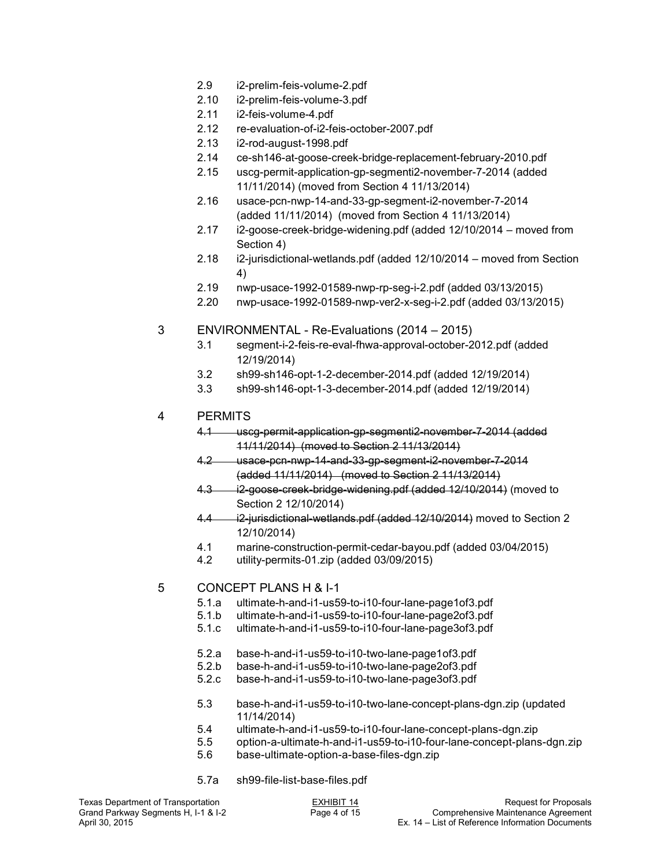- 2.9 i2-prelim-feis-volume-2.pdf
- 2.10 i2-prelim-feis-volume-3.pdf
- 2.11 i2-feis-volume-4.pdf
- 2.12 re-evaluation-of-i2-feis-october-2007.pdf
- 2.13 i2-rod-august-1998.pdf
- 2.14 ce-sh146-at-goose-creek-bridge-replacement-february-2010.pdf
- 2.15 uscg-permit-application-gp-segmenti2-november-7-2014 (added 11/11/2014) (moved from Section 4 11/13/2014)
- 2.16 usace-pcn-nwp-14-and-33-gp-segment-i2-november-7-2014 (added 11/11/2014) (moved from Section 4 11/13/2014)
- 2.17 i2-goose-creek-bridge-widening.pdf (added 12/10/2014 moved from Section 4)
- 2.18 i2-jurisdictional-wetlands.pdf (added 12/10/2014 moved from Section 4)
- 2.19 nwp-usace-1992-01589-nwp-rp-seg-i-2.pdf (added 03/13/2015)
- 2.20 nwp-usace-1992-01589-nwp-ver2-x-seg-i-2.pdf (added 03/13/2015)
- 3 ENVIRONMENTAL Re-Evaluations (2014 2015)
	- 3.1 segment-i-2-feis-re-eval-fhwa-approval-october-2012.pdf (added 12/19/2014)
	- 3.2 sh99-sh146-opt-1-2-december-2014.pdf (added 12/19/2014)
	- 3.3 sh99-sh146-opt-1-3-december-2014.pdf (added 12/19/2014)
- 4 PERMITS
	- 4.1 uscg-permit-application-gp-segmenti2-november-7-2014 (added 11/11/2014) (moved to Section 2 11/13/2014)
	- 4.2 usace-pcn-nwp-14-and-33-gp-segment-i2-november-7-2014 (added 11/11/2014) (moved to Section 2 11/13/2014)
	- 4.3 i2-goose-creek-bridge-widening.pdf (added 12/10/2014) (moved to Section 2 12/10/2014)
	- 4.4 i2-jurisdictional-wetlands.pdf (added 12/10/2014) moved to Section 2 12/10/2014)
	- 4.1 marine-construction-permit-cedar-bayou.pdf (added 03/04/2015)
	- 4.2 utility-permits-01.zip (added 03/09/2015)

#### 5 CONCEPT PLANS H & I-1

- 5.1.a ultimate-h-and-i1-us59-to-i10-four-lane-page1of3.pdf
- 5.1.b ultimate-h-and-i1-us59-to-i10-four-lane-page2of3.pdf
- 5.1.c ultimate-h-and-i1-us59-to-i10-four-lane-page3of3.pdf
- 5.2.a base-h-and-i1-us59-to-i10-two-lane-page1of3.pdf
- 5.2.b base-h-and-i1-us59-to-i10-two-lane-page2of3.pdf
- 5.2.c base-h-and-i1-us59-to-i10-two-lane-page3of3.pdf
- 5.3 base-h-and-i1-us59-to-i10-two-lane-concept-plans-dgn.zip (updated 11/14/2014)<br>5.4 ultimate-h-ar
- ultimate-h-and-i1-us59-to-i10-four-lane-concept-plans-dgn.zip
- 5.5 option-a-ultimate-h-and-i1-us59-to-i10-four-lane-concept-plans-dgn.zip
- 5.6 base-ultimate-option-a-base-files-dgn.zip
- 5.7a sh99-file-list-base-files.pdf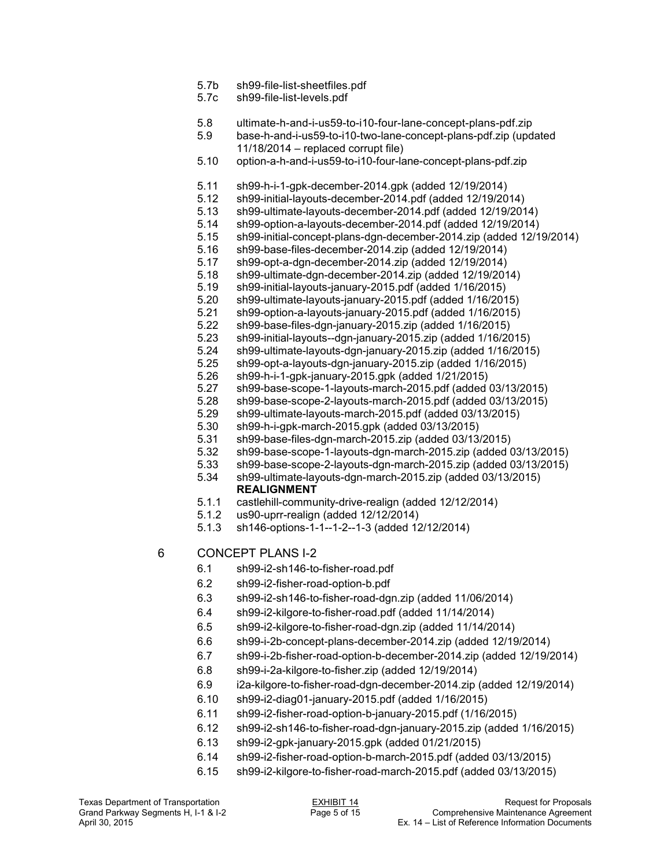- 5.7b sh99-file-list-sheetfiles.pdf
- 5.7c sh99-file-list-levels.pdf
- 5.8 ultimate-h-and-i-us59-to-i10-four-lane-concept-plans-pdf.zip
- 5.9 base-h-and-i-us59-to-i10-two-lane-concept-plans-pdf.zip (updated 11/18/2014 – replaced corrupt file)
- 5.10 option-a-h-and-i-us59-to-i10-four-lane-concept-plans-pdf.zip
- 5.11 sh99-h-i-1-gpk-december-2014.gpk (added 12/19/2014)
- 5.12 sh99-initial-layouts-december-2014.pdf (added 12/19/2014)
- 5.13 sh99-ultimate-layouts-december-2014.pdf (added 12/19/2014)
- 5.14 sh99-option-a-layouts-december-2014.pdf (added 12/19/2014)
- 5.15 sh99-initial-concept-plans-dgn-december-2014.zip (added 12/19/2014)
- 5.16 sh99-base-files-december-2014.zip (added 12/19/2014)
- 5.17 sh99-opt-a-dgn-december-2014.zip (added 12/19/2014)
- 5.18 sh99-ultimate-dgn-december-2014.zip (added 12/19/2014)
- 5.19 sh99-initial-layouts-january-2015.pdf (added 1/16/2015)
- 5.20 sh99-ultimate-layouts-january-2015.pdf (added 1/16/2015)
- 5.21 sh99-option-a-layouts-january-2015.pdf (added 1/16/2015)
- 5.22 sh99-base-files-dgn-january-2015.zip (added 1/16/2015)
- 5.23 sh99-initial-layouts--dgn-january-2015.zip (added 1/16/2015)
- 5.24 sh99-ultimate-layouts-dgn-january-2015.zip (added 1/16/2015)
- 5.25 sh99-opt-a-layouts-dgn-january-2015.zip (added 1/16/2015)
- 5.26 sh99-h-i-1-gpk-january-2015.gpk (added 1/21/2015)
- 5.27 sh99-base-scope-1-layouts-march-2015.pdf (added 03/13/2015)
- 5.28 sh99-base-scope-2-layouts-march-2015.pdf (added 03/13/2015)
- 5.29 sh99-ultimate-layouts-march-2015.pdf (added 03/13/2015)
- 5.30 sh99-h-i-gpk-march-2015.gpk (added 03/13/2015)
- 5.31 sh99-base-files-dgn-march-2015.zip (added 03/13/2015)
- 5.32 sh99-base-scope-1-layouts-dgn-march-2015.zip (added 03/13/2015)
- 5.33 sh99-base-scope-2-layouts-dgn-march-2015.zip (added 03/13/2015)
- 5.34 sh99-ultimate-layouts-dgn-march-2015.zip (added 03/13/2015) **REALIGNMENT**
- 5.1.1 castlehill-community-drive-realign (added 12/12/2014)
- 5.1.2 us90-uprr-realign (added 12/12/2014)
- 5.1.3 sh146-options-1-1--1-2--1-3 (added 12/12/2014)

### 6 CONCEPT PLANS I-2

- 6.1 sh99-i2-sh146-to-fisher-road.pdf
- 6.2 sh99-i2-fisher-road-option-b.pdf
- 6.3 sh99-i2-sh146-to-fisher-road-dgn.zip (added 11/06/2014)
- 6.4 sh99-i2-kilgore-to-fisher-road.pdf (added 11/14/2014)
- 6.5 sh99-i2-kilgore-to-fisher-road-dgn.zip (added 11/14/2014)
- 6.6 sh99-i-2b-concept-plans-december-2014.zip (added 12/19/2014)
- 6.7 sh99-i-2b-fisher-road-option-b-december-2014.zip (added 12/19/2014)
- 6.8 sh99-i-2a-kilgore-to-fisher.zip (added 12/19/2014)
- 6.9 i2a-kilgore-to-fisher-road-dgn-december-2014.zip (added 12/19/2014)
- 6.10 sh99-i2-diag01-january-2015.pdf (added 1/16/2015)
- 6.11 sh99-i2-fisher-road-option-b-january-2015.pdf (1/16/2015)
- 6.12 sh99-i2-sh146-to-fisher-road-dgn-january-2015.zip (added 1/16/2015)
- 6.13 sh99-i2-gpk-january-2015.gpk (added 01/21/2015)
- 6.14 sh99-i2-fisher-road-option-b-march-2015.pdf (added 03/13/2015)
- 6.15 sh99-i2-kilgore-to-fisher-road-march-2015.pdf (added 03/13/2015)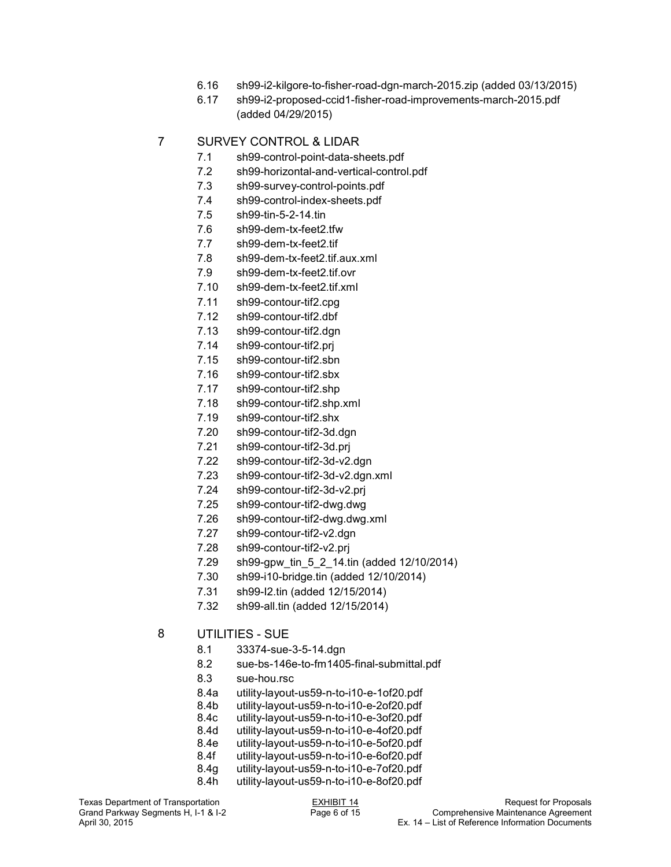- 6.16 sh99-i2-kilgore-to-fisher-road-dgn-march-2015.zip (added 03/13/2015)
- 6.17 sh99-i2-proposed-ccid1-fisher-road-improvements-march-2015.pdf (added 04/29/2015)

### 7 SURVEY CONTROL & LIDAR

- 7.1 sh99-control-point-data-sheets.pdf
- 7.2 sh99-horizontal-and-vertical-control.pdf
- 7.3 sh99-survey-control-points.pdf
- 7.4 sh99-control-index-sheets.pdf
- 7.5 sh99-tin-5-2-14.tin
- 7.6 sh99-dem-tx-feet2.tfw
- 7.7 sh99-dem-tx-feet2.tif
- 7.8 sh99-dem-tx-feet2.tif.aux.xml
- 7.9 sh99-dem-tx-feet2.tif.ovr
- 7.10 sh99-dem-tx-feet2.tif.xml
- 7.11 sh99-contour-tif2.cpg
- 7.12 sh99-contour-tif2.dbf
- 7.13 sh99-contour-tif2.dgn
- 7.14 sh99-contour-tif2.prj
- 7.15 sh99-contour-tif2.sbn
- 7.16 sh99-contour-tif2.sbx
- 7.17 sh99-contour-tif2.shp
- 7.18 sh99-contour-tif2.shp.xml
- 7.19 sh99-contour-tif2.shx
- 7.20 sh99-contour-tif2-3d.dgn
- 7.21 sh99-contour-tif2-3d.prj
- 7.22 sh99-contour-tif2-3d-v2.dgn
- 7.23 sh99-contour-tif2-3d-v2.dgn.xml
- 7.24 sh99-contour-tif2-3d-v2.prj
- 7.25 sh99-contour-tif2-dwg.dwg
- 7.26 sh99-contour-tif2-dwg.dwg.xml
- 7.27 sh99-contour-tif2-v2.dgn
- 7.28 sh99-contour-tif2-v2.prj
- 7.29 sh99-gpw\_tin\_5\_2\_14.tin (added 12/10/2014)
- 7.30 sh99-i10-bridge.tin (added 12/10/2014)
- 7.31 sh99-I2.tin (added 12/15/2014)
- 7.32 sh99-all.tin (added 12/15/2014)

### 8 UTILITIES - SUE

- 8.1 33374-sue-3-5-14.dgn
- 8.2 sue-bs-146e-to-fm1405-final-submittal.pdf
- 8.3 sue-hou.rsc
- 8.4a utility-layout-us59-n-to-i10-e-1of20.pdf
- 8.4b utility-layout-us59-n-to-i10-e-2of20.pdf
- utility-layout-us59-n-to-i10-e-3of20.pdf
- 8.4d utility-layout-us59-n-to-i10-e-4of20.pdf
- 8.4e utility-layout-us59-n-to-i10-e-5of20.pdf
- 8.4f utility-layout-us59-n-to-i10-e-6of20.pdf
- 8.4g utility-layout-us59-n-to-i10-e-7of20.pdf
- utility-layout-us59-n-to-i10-e-8of20.pdf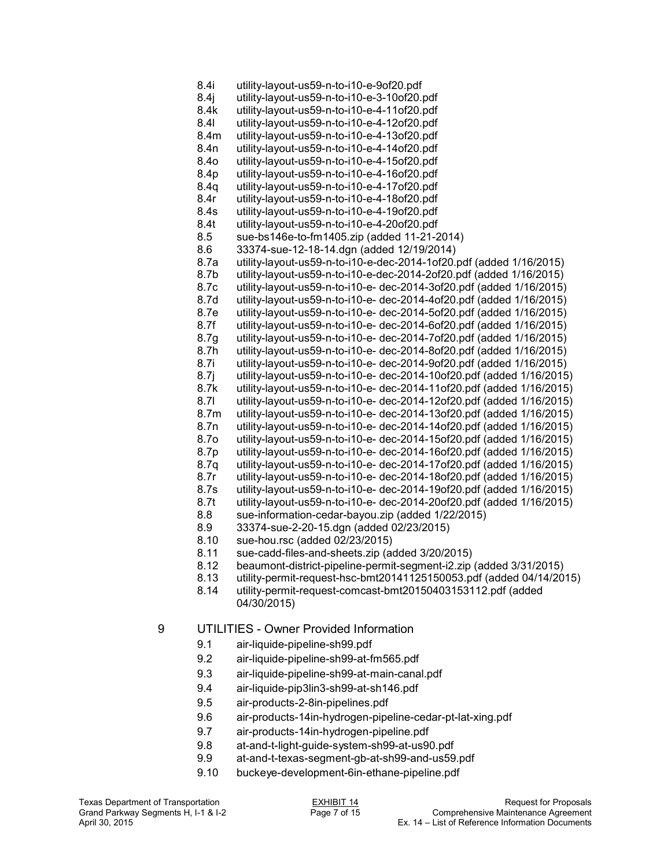8.4i utility-layout-us59-n-to-i10-e-9of20.pdf 8.4j utility-layout-us59-n-to-i10-e-3-10of20.pdf utility-layout-us59-n-to-i10-e-4-11of20.pdf 8.4l utility-layout-us59-n-to-i10-e-4-12of20.pdf 8.4m utility-layout-us59-n-to-i10-e-4-13of20.pdf 8.4n utility-layout-us59-n-to-i10-e-4-14of20.pdf 8.4o utility-layout-us59-n-to-i10-e-4-15of20.pdf utility-layout-us59-n-to-i10-e-4-16of20.pdf 8.4q utility-layout-us59-n-to-i10-e-4-17of20.pdf 8.4r utility-layout-us59-n-to-i10-e-4-18of20.pdf utility-layout-us59-n-to-i10-e-4-19of20.pdf 8.4t utility-layout-us59-n-to-i10-e-4-20of20.pdf 8.5 sue-bs146e-to-fm1405.zip (added 11-21-2014) 8.6 33374-sue-12-18-14.dgn (added 12/19/2014) 8.7a utility-layout-us59-n-to-i10-e-dec-2014-1of20.pdf (added 1/16/2015) 8.7b utility-layout-us59-n-to-i10-e-dec-2014-2of20.pdf (added 1/16/2015) 8.7c utility-layout-us59-n-to-i10-e- dec-2014-3of20.pdf (added 1/16/2015) 8.7d utility-layout-us59-n-to-i10-e- dec-2014-4of20.pdf (added 1/16/2015) 8.7e utility-layout-us59-n-to-i10-e- dec-2014-5of20.pdf (added 1/16/2015) 8.7f utility-layout-us59-n-to-i10-e- dec-2014-6of20.pdf (added 1/16/2015) 8.7g utility-layout-us59-n-to-i10-e- dec-2014-7of20.pdf (added 1/16/2015) 8.7h utility-layout-us59-n-to-i10-e- dec-2014-8of20.pdf (added 1/16/2015) 8.7i utility-layout-us59-n-to-i10-e- dec-2014-9of20.pdf (added 1/16/2015) 8.7j utility-layout-us59-n-to-i10-e- dec-2014-10of20.pdf (added 1/16/2015) 8.7k utility-layout-us59-n-to-i10-e- dec-2014-11of20.pdf (added 1/16/2015) 8.7l utility-layout-us59-n-to-i10-e- dec-2014-12of20.pdf (added 1/16/2015) 8.7m utility-layout-us59-n-to-i10-e- dec-2014-13of20.pdf (added 1/16/2015) 8.7n utility-layout-us59-n-to-i10-e- dec-2014-14of20.pdf (added 1/16/2015) 8.7o utility-layout-us59-n-to-i10-e- dec-2014-15of20.pdf (added 1/16/2015) 8.7p utility-layout-us59-n-to-i10-e- dec-2014-16of20.pdf (added 1/16/2015) 8.7q utility-layout-us59-n-to-i10-e- dec-2014-17of20.pdf (added 1/16/2015) 8.7r utility-layout-us59-n-to-i10-e- dec-2014-18of20.pdf (added 1/16/2015) 8.7s utility-layout-us59-n-to-i10-e- dec-2014-19of20.pdf (added 1/16/2015) 8.7t utility-layout-us59-n-to-i10-e- dec-2014-20of20.pdf (added 1/16/2015) 8.8 sue-information-cedar-bayou.zip (added  $1/22/2015$ )<br>8.9 33374-sue-2-20-15 dan (added 02/23/2015) 8.9 33374-sue-2-20-15.dgn (added 02/23/2015) 8.10 sue-hou.rsc (added 02/23/2015) 8.11 sue-cadd-files-and-sheets.zip (added 3/20/2015)

- 8.12 beaumont-district-pipeline-permit-segment-i2.zip (added 3/31/2015)
- 8.13 utility-permit-request-hsc-bmt20141125150053.pdf (added 04/14/2015)
- utility-permit-request-comcast-bmt20150403153112.pdf (added 04/30/2015)

## 9 UTILITIES - Owner Provided Information

- 9.1 air-liquide-pipeline-sh99.pdf
- 9.2 air-liquide-pipeline-sh99-at-fm565.pdf
- 9.3 air-liquide-pipeline-sh99-at-main-canal.pdf
- 9.4 air-liquide-pip3lin3-sh99-at-sh146.pdf
- 9.5 air-products-2-8in-pipelines.pdf
- 9.6 air-products-14in-hydrogen-pipeline-cedar-pt-lat-xing.pdf
- 9.7 air-products-14in-hydrogen-pipeline.pdf
- 9.8 at-and-t-light-guide-system-sh99-at-us90.pdf
- at-and-t-texas-segment-gb-at-sh99-and-us59.pdf
- 9.10 buckeye-development-6in-ethane-pipeline.pdf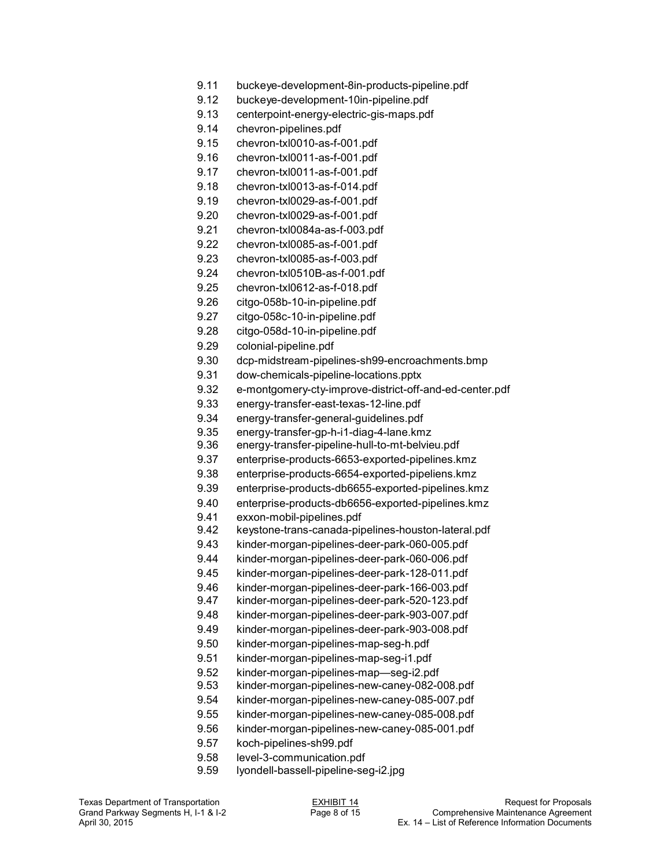- 9.11 buckeye-development-8in-products-pipeline.pdf
- 9.12 buckeye-development-10in-pipeline.pdf
- 9.13 centerpoint-energy-electric-gis-maps.pdf
- 9.14 chevron-pipelines.pdf
- 9.15 chevron-txl0010-as-f-001.pdf
- 9.16 chevron-txl0011-as-f-001.pdf
- 9.17 chevron-txl0011-as-f-001.pdf
- 9.18 chevron-txl0013-as-f-014.pdf
- 9.19 chevron-txl0029-as-f-001.pdf
- 9.20 chevron-txl0029-as-f-001.pdf
- 9.21 chevron-txl0084a-as-f-003.pdf
- 9.22 chevron-txl0085-as-f-001.pdf
- 9.23 chevron-txl0085-as-f-003.pdf
- 9.24 chevron-txl0510B-as-f-001.pdf
- 9.25 chevron-txl0612-as-f-018.pdf
- 9.26 citgo-058b-10-in-pipeline.pdf
- 9.27 citgo-058c-10-in-pipeline.pdf
- 9.28 citgo-058d-10-in-pipeline.pdf
- 9.29 colonial-pipeline.pdf
- 9.30 dcp-midstream-pipelines-sh99-encroachments.bmp
- 9.31 dow-chemicals-pipeline-locations.pptx
- 9.32 e-montgomery-cty-improve-district-off-and-ed-center.pdf
- 9.33 energy-transfer-east-texas-12-line.pdf
- 9.34 energy-transfer-general-guidelines.pdf
- 9.35 energy-transfer-gp-h-i1-diag-4-lane.kmz
- 9.36 energy-transfer-pipeline-hull-to-mt-belvieu.pdf
- 9.37 enterprise-products-6653-exported-pipelines.kmz
- 9.38 enterprise-products-6654-exported-pipeliens.kmz
- 9.39 enterprise-products-db6655-exported-pipelines.kmz
- 9.40 enterprise-products-db6656-exported-pipelines.kmz
- 9.41 exxon-mobil-pipelines.pdf
- 9.42 keystone-trans-canada-pipelines-houston-lateral.pdf
- 9.43 kinder-morgan-pipelines-deer-park-060-005.pdf
- 9.44 kinder-morgan-pipelines-deer-park-060-006.pdf
- 9.45 kinder-morgan-pipelines-deer-park-128-011.pdf
- 9.46 kinder-morgan-pipelines-deer-park-166-003.pdf
- 9.47 kinder-morgan-pipelines-deer-park-520-123.pdf
- 9.48 kinder-morgan-pipelines-deer-park-903-007.pdf
- 9.49 kinder-morgan-pipelines-deer-park-903-008.pdf
- 9.50 kinder-morgan-pipelines-map-seg-h.pdf
- 9.51 kinder-morgan-pipelines-map-seg-i1.pdf
- 9.52 kinder-morgan-pipelines-map—seg-i2.pdf
- 9.53 kinder-morgan-pipelines-new-caney-082-008.pdf
- 9.54 kinder-morgan-pipelines-new-caney-085-007.pdf
- 9.55 kinder-morgan-pipelines-new-caney-085-008.pdf
- 9.56 kinder-morgan-pipelines-new-caney-085-001.pdf
- 9.57 koch-pipelines-sh99.pdf
- 9.58 level-3-communication.pdf
- 9.59 lyondell-bassell-pipeline-seg-i2.jpg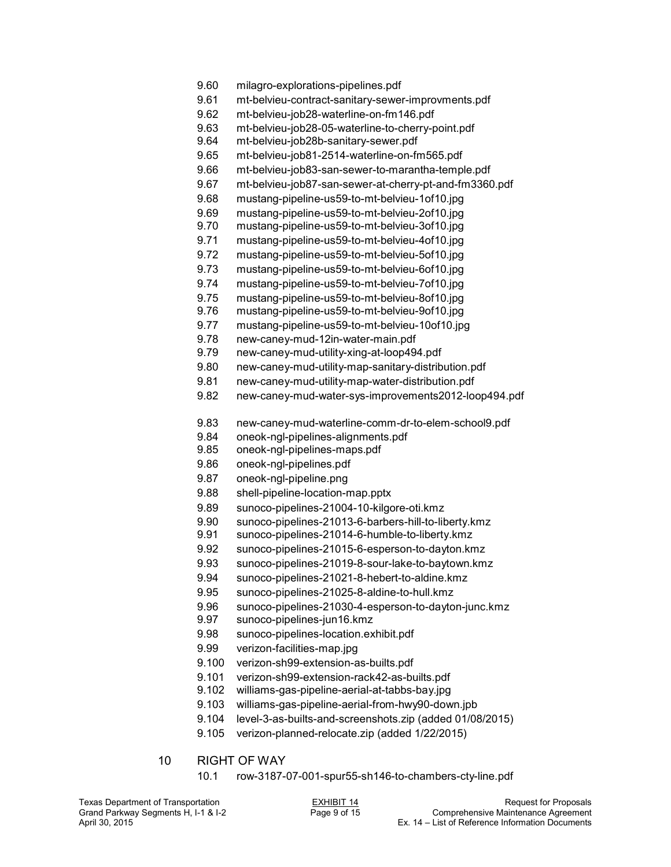- 9.60 milagro-explorations-pipelines.pdf
- 9.61 mt-belvieu-contract-sanitary-sewer-improvments.pdf
- 9.62 mt-belvieu-job28-waterline-on-fm146.pdf
- 9.63 mt-belvieu-job28-05-waterline-to-cherry-point.pdf
- 9.64 mt-belvieu-job28b-sanitary-sewer.pdf
- 9.65 mt-belvieu-job81-2514-waterline-on-fm565.pdf
- 9.66 mt-belvieu-job83-san-sewer-to-marantha-temple.pdf
- 9.67 mt-belvieu-job87-san-sewer-at-cherry-pt-and-fm3360.pdf
- 9.68 mustang-pipeline-us59-to-mt-belvieu-1of10.jpg
- 9.69 mustang-pipeline-us59-to-mt-belvieu-2of10.ipg
- 9.70 mustang-pipeline-us59-to-mt-belvieu-3of10.jpg
- 9.71 mustang-pipeline-us59-to-mt-belvieu-4of10.jpg
- 9.72 mustang-pipeline-us59-to-mt-belvieu-5of10.jpg
- 9.73 mustang-pipeline-us59-to-mt-belvieu-6of10.jpg
- 9.74 mustang-pipeline-us59-to-mt-belvieu-7of10.jpg
- 9.75 mustang-pipeline-us59-to-mt-belvieu-8of10.jpg
- 9.76 mustang-pipeline-us59-to-mt-belvieu-9of10.jpg
- 9.77 mustang-pipeline-us59-to-mt-belvieu-10of10.jpg
- 9.78 new-caney-mud-12in-water-main.pdf
- 9.79 new-caney-mud-utility-xing-at-loop494.pdf
- 9.80 new-caney-mud-utility-map-sanitary-distribution.pdf
- 9.81 new-caney-mud-utility-map-water-distribution.pdf
- 9.82 new-caney-mud-water-sys-improvements2012-loop494.pdf
- 9.83 new-caney-mud-waterline-comm-dr-to-elem-school9.pdf
- 9.84 oneok-ngl-pipelines-alignments.pdf
- 9.85 oneok-ngl-pipelines-maps.pdf
- 9.86 oneok-ngl-pipelines.pdf
- 9.87 oneok-ngl-pipeline.png
- 9.88 shell-pipeline-location-map.pptx
- 9.89 sunoco-pipelines-21004-10-kilgore-oti.kmz
- 9.90 sunoco-pipelines-21013-6-barbers-hill-to-liberty.kmz
- 9.91 sunoco-pipelines-21014-6-humble-to-liberty.kmz
- 9.92 sunoco-pipelines-21015-6-esperson-to-dayton.kmz
- 9.93 sunoco-pipelines-21019-8-sour-lake-to-baytown.kmz
- 9.94 sunoco-pipelines-21021-8-hebert-to-aldine.kmz
- 9.95 sunoco-pipelines-21025-8-aldine-to-hull.kmz
- 9.96 sunoco-pipelines-21030-4-esperson-to-dayton-junc.kmz
- 9.97 sunoco-pipelines-jun16.kmz
- 9.98 sunoco-pipelines-location.exhibit.pdf
- 9.99 verizon-facilities-map.jpg
- 9.100 verizon-sh99-extension-as-builts.pdf
- 9.101 verizon-sh99-extension-rack42-as-builts.pdf
- 9.102 williams-gas-pipeline-aerial-at-tabbs-bay.jpg
- 9.103 williams-gas-pipeline-aerial-from-hwy90-down.jpb
- 9.104 level-3-as-builts-and-screenshots.zip (added 01/08/2015)
- 9.105 verizon-planned-relocate.zip (added 1/22/2015)
- 10 RIGHT OF WAY
	- 10.1 row-3187-07-001-spur55-sh146-to-chambers-cty-line.pdf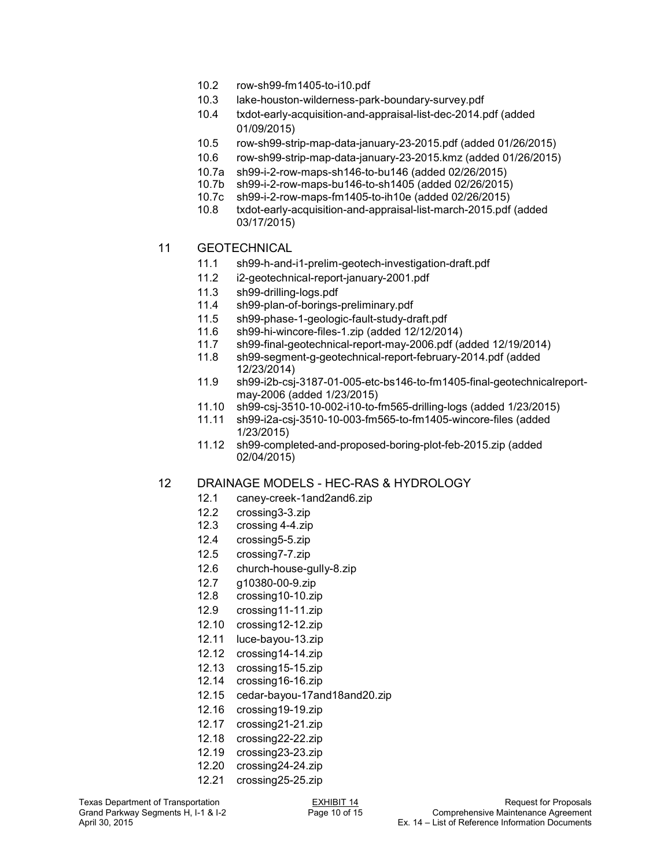- 10.2 row-sh99-fm1405-to-i10.pdf
- 10.3 lake-houston-wilderness-park-boundary-survey.pdf
- 10.4 txdot-early-acquisition-and-appraisal-list-dec-2014.pdf (added 01/09/2015)
- 10.5 row-sh99-strip-map-data-january-23-2015.pdf (added 01/26/2015)
- 10.6 row-sh99-strip-map-data-january-23-2015.kmz (added 01/26/2015)
- 10.7a sh99-i-2-row-maps-sh146-to-bu146 (added 02/26/2015)
- 10.7b sh99-i-2-row-maps-bu146-to-sh1405 (added 02/26/2015)
- 10.7c sh99-i-2-row-maps-fm1405-to-ih10e (added 02/26/2015)
- txdot-early-acquisition-and-appraisal-list-march-2015.pdf (added 03/17/2015)
- 11 GEOTECHNICAL
	- 11.1 sh99-h-and-i1-prelim-geotech-investigation-draft.pdf
	- 11.2 i2-geotechnical-report-january-2001.pdf
	- 11.3 sh99-drilling-logs.pdf
	- 11.4 sh99-plan-of-borings-preliminary.pdf
	- 11.5 sh99-phase-1-geologic-fault-study-draft.pdf
	- 11.6 sh99-hi-wincore-files-1.zip (added 12/12/2014)
	- 11.7 sh99-final-geotechnical-report-may-2006.pdf (added 12/19/2014)
	- sh99-segment-g-geotechnical-report-february-2014.pdf (added 12/23/2014)
	- 11.9 sh99-i2b-csj-3187-01-005-etc-bs146-to-fm1405-final-geotechnicalreportmay-2006 (added 1/23/2015)
	- 11.10 sh99-csj-3510-10-002-i10-to-fm565-drilling-logs (added 1/23/2015)
	- 11.11 sh99-i2a-csj-3510-10-003-fm565-to-fm1405-wincore-files (added 1/23/2015)
	- 11.12 sh99-completed-and-proposed-boring-plot-feb-2015.zip (added 02/04/2015)

#### 12 DRAINAGE MODELS - HEC-RAS & HYDROLOGY

- 12.1 caney-creek-1and2and6.zip
- 12.2 crossing3-3.zip
- 12.3 crossing 4-4.zip
- 12.4 crossing5-5.zip
- 12.5 crossing7-7.zip
- 12.6 church-house-gully-8.zip
- 12.7 g10380-00-9.zip
- 12.8 crossing10-10.zip
- 12.9 crossing11-11.zip
- 12.10 crossing12-12.zip
- 12.11 luce-bayou-13.zip
- 12.12 crossing14-14.zip
- 12.13 crossing15-15.zip
- 12.14 crossing16-16.zip
- 12.15 cedar-bayou-17and18and20.zip
- 12.16 crossing19-19.zip
- 12.17 crossing21-21.zip
- 12.18 crossing22-22.zip
- 12.19 crossing23-23.zip
- 12.20 crossing24-24.zip
- 12.21 crossing25-25.zip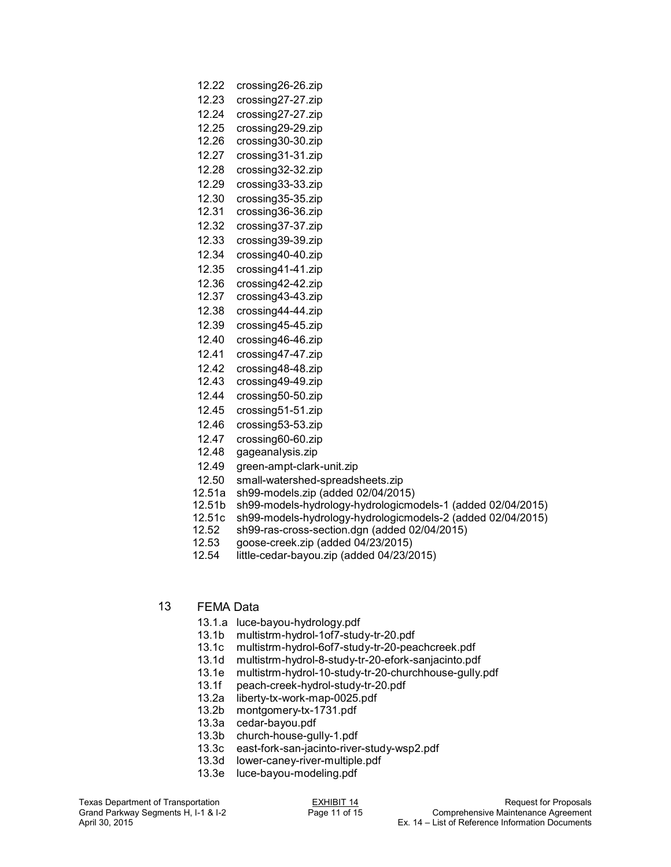#### 12.22 crossing26-26.zip

12.23 crossing27-27.zip

- 12.24 crossing27-27.zip
- 12.25 crossing29-29.zip 12.26 crossing30-30.zip
- 12.27 crossing31-31.zip
- 12.28 crossing32-32.zip
- 12.29 crossing33-33.zip
- 12.30 crossing35-35.zip
- 12.31 crossing36-36.zip
- 12.32 crossing37-37.zip
- 12.33 crossing39-39.zip 12.34 crossing40-40.zip
- 12.35 crossing41-41.zip
- 
- 12.36 crossing42-42.zip<br>12.37 crossing43-43.zip crossing43-43.zip
- 12.38 crossing44-44.zip
- 12.39 crossing45-45.zip
- 12.40 crossing46-46.zip
- 12.41 crossing47-47.zip
- 
- 12.42 crossing48-48.zip
- 12.43 crossing49-49.zip
- 12.44 crossing50-50.zip
- 12.45 crossing51-51.zip
- 12.46 crossing53-53.zip
- 12.47 crossing60-60.zip
- 12.48 gageanalysis.zip
- 12.49 green-ampt-clark-unit.zip
- 12.50 small-watershed-spreadsheets.zip
- 12.51a sh99-models.zip (added 02/04/2015)
- 12.51b sh99-models-hydrology-hydrologicmodels-1 (added 02/04/2015)
- 12.51c sh99-models-hydrology-hydrologicmodels-2 (added 02/04/2015)
- sh99-ras-cross-section.dgn (added 02/04/2015)
- 12.53 goose-creek.zip (added 04/23/2015)
- 12.54 little-cedar-bayou.zip (added 04/23/2015)
- 13 FEMA Data
	- 13.1.a luce-bayou-hydrology.pdf
	- 13.1b multistrm-hydrol-1of7-study-tr-20.pdf
	- 13.1c multistrm-hydrol-6of7-study-tr-20-peachcreek.pdf
	- 13.1d multistrm-hydrol-8-study-tr-20-efork-sanjacinto.pdf
	- 13.1e multistrm-hydrol-10-study-tr-20-churchhouse-gully.pdf
	- 13.1f peach-creek-hydrol-study-tr-20.pdf<br>13.2a liberty-tx-work-map-0025.pdf
	- liberty-tx-work-map-0025.pdf
	- 13.2b montgomery-tx-1731.pdf
	- 13.3a cedar-bayou.pdf
	- 13.3b church-house-gully-1.pdf
	- 13.3c east-fork-san-jacinto-river-study-wsp2.pdf
	- 13.3d lower-caney-river-multiple.pdf
	- 13.3e luce-bayou-modeling.pdf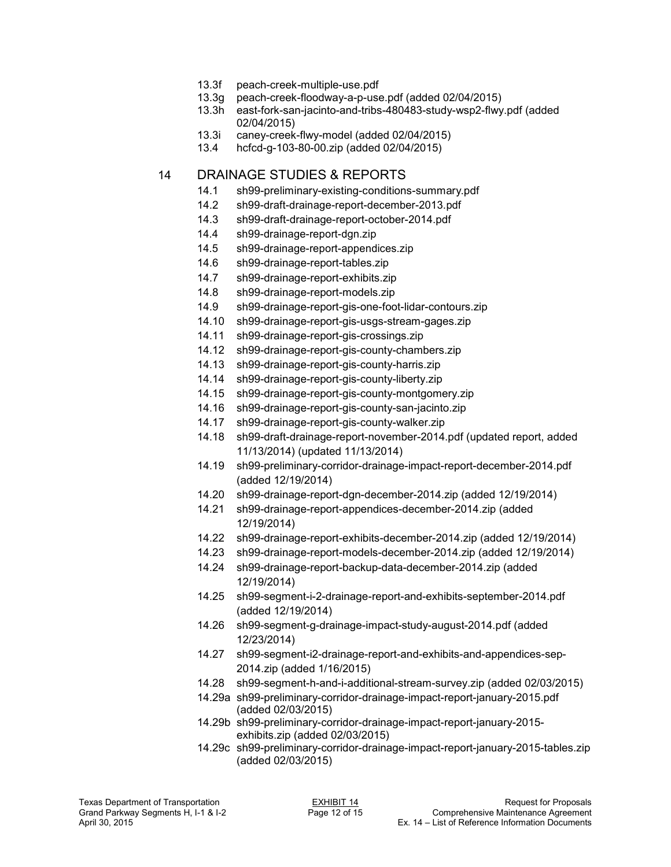- 13.3f peach-creek-multiple-use.pdf
- 13.3g peach-creek-floodway-a-p-use.pdf (added 02/04/2015)
- 13.3h east-fork-san-jacinto-and-tribs-480483-study-wsp2-flwy.pdf (added 02/04/2015)
- 13.3i caney-creek-flwy-model (added 02/04/2015)
- 13.4 hcfcd-g-103-80-00.zip (added 02/04/2015)

## 14 DRAINAGE STUDIES & REPORTS

- 14.1 sh99-preliminary-existing-conditions-summary.pdf
- 14.2 sh99-draft-drainage-report-december-2013.pdf
- 14.3 sh99-draft-drainage-report-october-2014.pdf
- 14.4 sh99-drainage-report-dgn.zip
- 14.5 sh99-drainage-report-appendices.zip
- 14.6 sh99-drainage-report-tables.zip
- 14.7 sh99-drainage-report-exhibits.zip
- 14.8 sh99-drainage-report-models.zip
- 14.9 sh99-drainage-report-gis-one-foot-lidar-contours.zip
- 14.10 sh99-drainage-report-gis-usgs-stream-gages.zip
- 14.11 sh99-drainage-report-gis-crossings.zip
- 14.12 sh99-drainage-report-gis-county-chambers.zip
- 14.13 sh99-drainage-report-gis-county-harris.zip
- 14.14 sh99-drainage-report-gis-county-liberty.zip
- 14.15 sh99-drainage-report-gis-county-montgomery.zip
- 14.16 sh99-drainage-report-gis-county-san-jacinto.zip
- 14.17 sh99-drainage-report-gis-county-walker.zip
- 14.18 sh99-draft-drainage-report-november-2014.pdf (updated report, added 11/13/2014) (updated 11/13/2014)
- 14.19 sh99-preliminary-corridor-drainage-impact-report-december-2014.pdf (added 12/19/2014)
- 14.20 sh99-drainage-report-dgn-december-2014.zip (added 12/19/2014)
- 14.21 sh99-drainage-report-appendices-december-2014.zip (added 12/19/2014)
- 14.22 sh99-drainage-report-exhibits-december-2014.zip (added 12/19/2014)
- 14.23 sh99-drainage-report-models-december-2014.zip (added 12/19/2014)
- 14.24 sh99-drainage-report-backup-data-december-2014.zip (added 12/19/2014)
- 14.25 sh99-segment-i-2-drainage-report-and-exhibits-september-2014.pdf (added 12/19/2014)
- 14.26 sh99-segment-g-drainage-impact-study-august-2014.pdf (added 12/23/2014)
- 14.27 sh99-segment-i2-drainage-report-and-exhibits-and-appendices-sep-2014.zip (added 1/16/2015)
- 14.28 sh99-segment-h-and-i-additional-stream-survey.zip (added 02/03/2015)
- 14.29a sh99-preliminary-corridor-drainage-impact-report-january-2015.pdf (added 02/03/2015)
- 14.29b sh99-preliminary-corridor-drainage-impact-report-january-2015 exhibits.zip (added 02/03/2015)
- 14.29c sh99-preliminary-corridor-drainage-impact-report-january-2015-tables.zip (added 02/03/2015)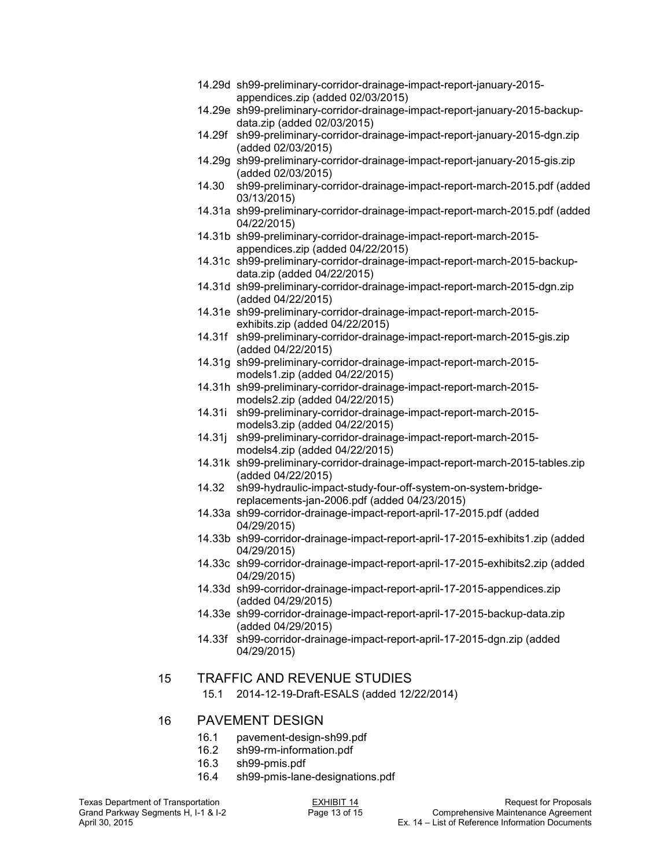- 14.29d sh99-preliminary-corridor-drainage-impact-report-january-2015 appendices.zip (added 02/03/2015)
- 14.29e sh99-preliminary-corridor-drainage-impact-report-january-2015-backup data.zip (added 02/03/2015)
- 14.29f sh99-preliminary-corridor-drainage-impact-report-january-2015-dgn.zip (added 02/03/2015)
- 14.29g sh99-preliminary-corridor-drainage-impact-report-january-2015-gis.zip (added 02/03/2015)
- 14.30 sh99-preliminary-corridor-drainage-impact-report-march-2015.pdf (added 03/13/2015)
- 14.31a sh99-preliminary-corridor-drainage-impact-report-march-2015.pdf (added 04/22/2015)
- 14.31b sh99-preliminary-corridor-drainage-impact-report-march-2015 appendices.zip (added 04/22/2015)
- 14.31c sh99-preliminary-corridor-drainage-impact-report-march-2015-backup data.zip (added 04/22/2015)
- 14.31d sh99-preliminary-corridor-drainage-impact-report-march-2015-dgn.zip (added 04/22/2015)
- 14.31e sh99-preliminary-corridor-drainage-impact-report-march-2015 exhibits.zip (added 04/22/2015)
- 14.31f sh99-preliminary-corridor-drainage-impact-report-march-2015-gis.zip (added 04/22/2015)
- 14.31g sh99-preliminary-corridor-drainage-impact-report-march-2015 models1.zip (added 04/22/2015)
- 14.31h sh99-preliminary-corridor-drainage-impact-report-march-2015 models2.zip (added 04/22/2015)
- 14.31i sh99-preliminary-corridor-drainage-impact-report-march-2015 models3.zip (added 04/22/2015)
- 14.31j sh99-preliminary-corridor-drainage-impact-report-march-2015 models4.zip (added 04/22/2015)
- 14.31k sh99-preliminary-corridor-drainage-impact-report-march-2015-tables.zip (added 04/22/2015)
- 14.32 sh99-hydraulic-impact-study-four-off-system-on-system-bridge replacements-jan-2006.pdf (added 04/23/2015)
- 14.33a sh99-corridor-drainage-impact-report-april-17-2015.pdf (added 04/29/2015)
- 14.33b sh99-corridor-drainage-impact-report-april-17-2015-exhibits1.zip (added 04/29/2015)
- 14.33c sh99-corridor-drainage-impact-report-april-17-2015-exhibits2.zip (added 04/29/2015)
- 14.33d sh99-corridor-drainage-impact-report-april-17-2015-appendices.zip (added 04/29/2015)
- 14.33e sh99-corridor-drainage-impact-report-april-17-2015-backup-data.zip (added 04/29/2015)
- 14.33f sh99-corridor-drainage-impact-report-april-17-2015-dgn.zip (added 04/29/2015)

### 15 TRAFFIC AND REVENUE STUDIES

15.1 2014-12-19-Draft-ESALS (added 12/22/2014)

#### 16 PAVEMENT DESIGN

- 16.1 pavement-design-sh99.pdf
- 16.2 sh99-rm-information.pdf
- 16.3 sh99-pmis.pdf
- 16.4 sh99-pmis-lane-designations.pdf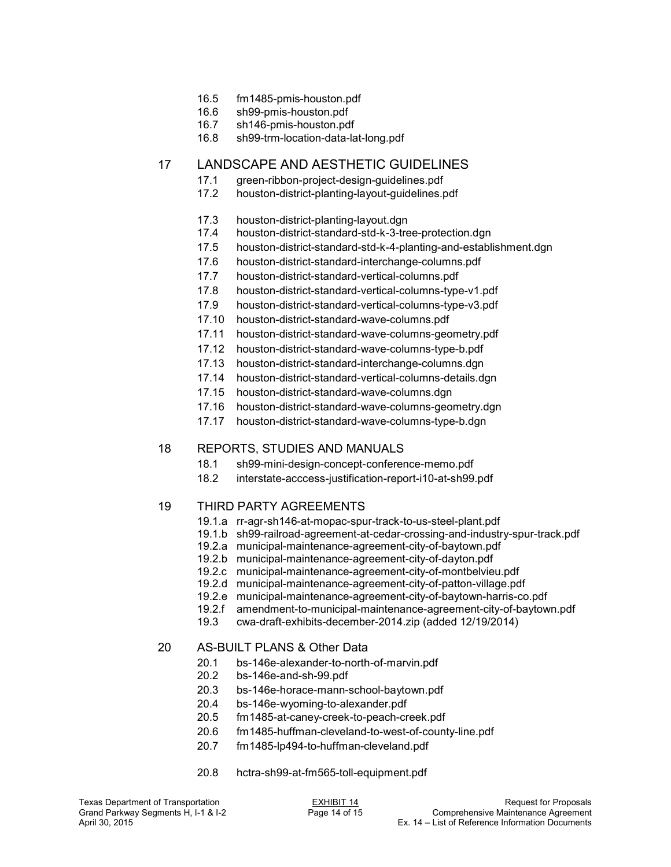- 16.5 fm1485-pmis-houston.pdf
- 16.6 sh99-pmis-houston.pdf
- 16.7 sh146-pmis-houston.pdf
- 16.8 sh99-trm-location-data-lat-long.pdf

## 17 LANDSCAPE AND AESTHETIC GUIDELINES

- 17.1 green-ribbon-project-design-guidelines.pdf
- 17.2 houston-district-planting-layout-guidelines.pdf
- 17.3 houston-district-planting-layout.dgn
- 17.4 houston-district-standard-std-k-3-tree-protection.dgn
- 17.5 houston-district-standard-std-k-4-planting-and-establishment.dgn
- 17.6 houston-district-standard-interchange-columns.pdf
- 17.7 houston-district-standard-vertical-columns.pdf
- 17.8 houston-district-standard-vertical-columns-type-v1.pdf
- 17.9 houston-district-standard-vertical-columns-type-v3.pdf
- 17.10 houston-district-standard-wave-columns.pdf
- 17.11 houston-district-standard-wave-columns-geometry.pdf
- 17.12 houston-district-standard-wave-columns-type-b.pdf
- 17.13 houston-district-standard-interchange-columns.dgn
- 17.14 houston-district-standard-vertical-columns-details.dgn
- 17.15 houston-district-standard-wave-columns.dgn
- 17.16 houston-district-standard-wave-columns-geometry.dgn
- 17.17 houston-district-standard-wave-columns-type-b.dgn

## 18 REPORTS, STUDIES AND MANUALS

- 18.1 sh99-mini-design-concept-conference-memo.pdf
- 18.2 interstate-acccess-justification-report-i10-at-sh99.pdf

#### 19 THIRD PARTY AGREEMENTS

- 19.1.a rr-agr-sh146-at-mopac-spur-track-to-us-steel-plant.pdf
- 19.1.b sh99-railroad-agreement-at-cedar-crossing-and-industry-spur-track.pdf
- 19.2.a municipal-maintenance-agreement-city-of-baytown.pdf
- 19.2.b municipal-maintenance-agreement-city-of-dayton.pdf
- 19.2.c municipal-maintenance-agreement-city-of-montbelvieu.pdf
- 19.2.d municipal-maintenance-agreement-city-of-patton-village.pdf
- 19.2.e municipal-maintenance-agreement-city-of-baytown-harris-co.pdf
- 19.2.f amendment-to-municipal-maintenance-agreement-city-of-baytown.pdf
- 19.3 cwa-draft-exhibits-december-2014.zip (added 12/19/2014)
- 20 AS-BUILT PLANS & Other Data
	- 20.1 bs-146e-alexander-to-north-of-marvin.pdf
	- bs-146e-and-sh-99.pdf
	- 20.3 bs-146e-horace-mann-school-baytown.pdf
	- 20.4 bs-146e-wyoming-to-alexander.pdf
	- 20.5 fm1485-at-caney-creek-to-peach-creek.pdf
	- 20.6 fm1485-huffman-cleveland-to-west-of-county-line.pdf
	- 20.7 fm1485-lp494-to-huffman-cleveland.pdf
	- 20.8 hctra-sh99-at-fm565-toll-equipment.pdf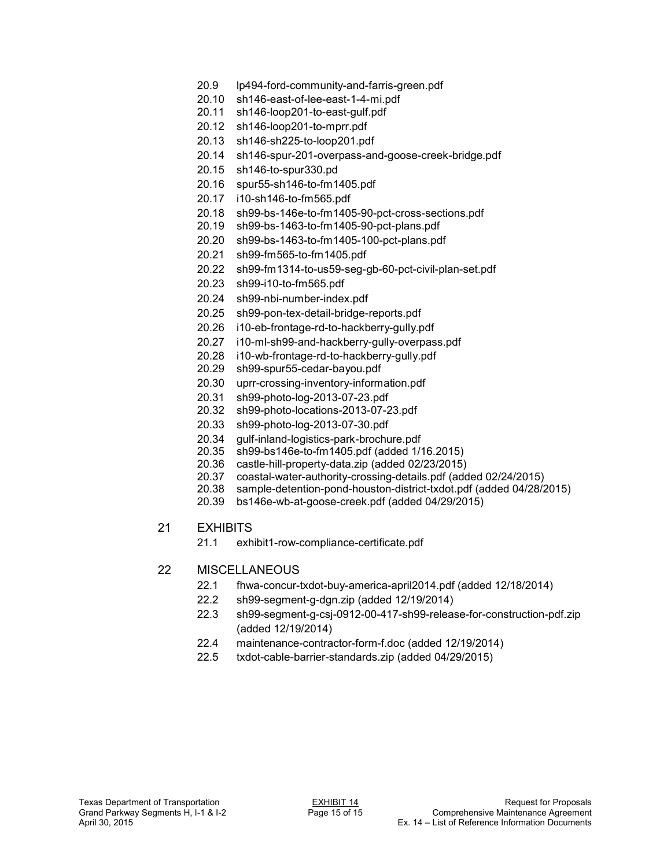- 20.9 lp494-ford-community-and-farris-green.pdf
- 20.10 sh146-east-of-lee-east-1-4-mi.pdf
- 20.11 sh146-loop201-to-east-gulf.pdf
- 20.12 sh146-loop201-to-mprr.pdf
- 20.13 sh146-sh225-to-loop201.pdf
- 20.14 sh146-spur-201-overpass-and-goose-creek-bridge.pdf
- 20.15 sh146-to-spur330.pd
- 20.16 spur55-sh146-to-fm1405.pdf
- 20.17 i10-sh146-to-fm565.pdf
- 20.18 sh99-bs-146e-to-fm1405-90-pct-cross-sections.pdf
- 20.19 sh99-bs-1463-to-fm1405-90-pct-plans.pdf
- 20.20 sh99-bs-1463-to-fm1405-100-pct-plans.pdf
- 20.21 sh99-fm565-to-fm1405.pdf
- 20.22 sh99-fm1314-to-us59-seg-gb-60-pct-civil-plan-set.pdf
- 20.23 sh99-i10-to-fm565.pdf
- 20.24 sh99-nbi-number-index.pdf
- 20.25 sh99-pon-tex-detail-bridge-reports.pdf
- 20.26 i10-eb-frontage-rd-to-hackberry-gully.pdf
- 20.27 i10-ml-sh99-and-hackberry-gully-overpass.pdf
- 20.28 i10-wb-frontage-rd-to-hackberry-gully.pdf
- 20.29 sh99-spur55-cedar-bayou.pdf
- 20.30 uprr-crossing-inventory-information.pdf
- 20.31 sh99-photo-log-2013-07-23.pdf
- 20.32 sh99-photo-locations-2013-07-23.pdf
- 20.33 sh99-photo-log-2013-07-30.pdf
- 20.34 gulf-inland-logistics-park-brochure.pdf
- 20.35 sh99-bs146e-to-fm1405.pdf (added 1/16.2015)
- 20.36 castle-hill-property-data.zip (added 02/23/2015)
- 20.37 coastal-water-authority-crossing-details.pdf (added 02/24/2015)
- 20.38 sample-detention-pond-houston-district-txdot.pdf (added 04/28/2015)
- 20.39 bs146e-wb-at-goose-creek.pdf (added 04/29/2015)
- 21 EXHIBITS
	- 21.1 exhibit1-row-compliance-certificate.pdf

#### 22 MISCELLANEOUS

- 22.1 fhwa-concur-txdot-buy-america-april2014.pdf (added 12/18/2014)
- 22.2 sh99-segment-g-dgn.zip (added 12/19/2014)
- 22.3 sh99-segment-g-csj-0912-00-417-sh99-release-for-construction-pdf.zip (added 12/19/2014)
- 22.4 maintenance-contractor-form-f.doc (added 12/19/2014)
- 22.5 txdot-cable-barrier-standards.zip (added 04/29/2015)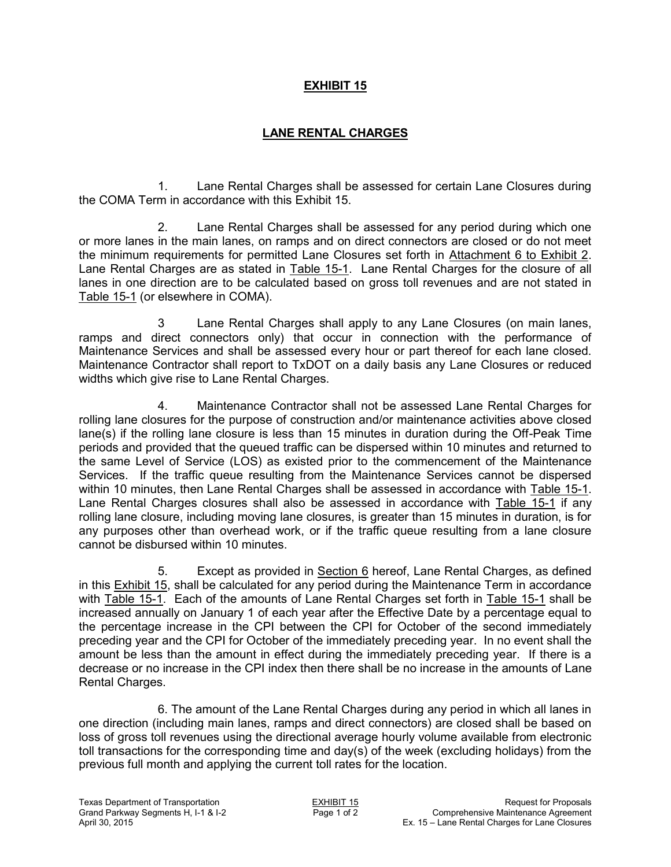## **EXHIBIT 15**

# **LANE RENTAL CHARGES**

1. Lane Rental Charges shall be assessed for certain Lane Closures during the COMA Term in accordance with this Exhibit 15.

2. Lane Rental Charges shall be assessed for any period during which one or more lanes in the main lanes, on ramps and on direct connectors are closed or do not meet the minimum requirements for permitted Lane Closures set forth in Attachment 6 to Exhibit 2. Lane Rental Charges are as stated in Table 15-1. Lane Rental Charges for the closure of all lanes in one direction are to be calculated based on gross toll revenues and are not stated in Table 15-1 (or elsewhere in COMA).

3 Lane Rental Charges shall apply to any Lane Closures (on main lanes, ramps and direct connectors only) that occur in connection with the performance of Maintenance Services and shall be assessed every hour or part thereof for each lane closed. Maintenance Contractor shall report to TxDOT on a daily basis any Lane Closures or reduced widths which give rise to Lane Rental Charges.

4. Maintenance Contractor shall not be assessed Lane Rental Charges for rolling lane closures for the purpose of construction and/or maintenance activities above closed lane(s) if the rolling lane closure is less than 15 minutes in duration during the Off-Peak Time periods and provided that the queued traffic can be dispersed within 10 minutes and returned to the same Level of Service (LOS) as existed prior to the commencement of the Maintenance Services. If the traffic queue resulting from the Maintenance Services cannot be dispersed within 10 minutes, then Lane Rental Charges shall be assessed in accordance with Table 15-1. Lane Rental Charges closures shall also be assessed in accordance with Table 15-1 if any rolling lane closure, including moving lane closures, is greater than 15 minutes in duration, is for any purposes other than overhead work, or if the traffic queue resulting from a lane closure cannot be disbursed within 10 minutes.

5. Except as provided in Section 6 hereof, Lane Rental Charges, as defined in this Exhibit 15, shall be calculated for any period during the Maintenance Term in accordance with Table 15-1. Each of the amounts of Lane Rental Charges set forth in Table 15-1 shall be increased annually on January 1 of each year after the Effective Date by a percentage equal to the percentage increase in the CPI between the CPI for October of the second immediately preceding year and the CPI for October of the immediately preceding year. In no event shall the amount be less than the amount in effect during the immediately preceding year. If there is a decrease or no increase in the CPI index then there shall be no increase in the amounts of Lane Rental Charges.

6. The amount of the Lane Rental Charges during any period in which all lanes in one direction (including main lanes, ramps and direct connectors) are closed shall be based on loss of gross toll revenues using the directional average hourly volume available from electronic toll transactions for the corresponding time and day(s) of the week (excluding holidays) from the previous full month and applying the current toll rates for the location.